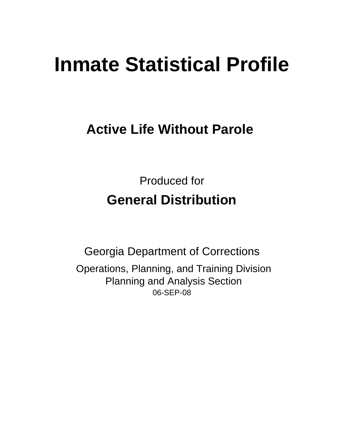# **Inmate Statistical Profile**

## **Active Life Without Parole**

Produced for **General Distribution**

06-SEP-08 Georgia Department of Corrections Operations, Planning, and Training Division Planning and Analysis Section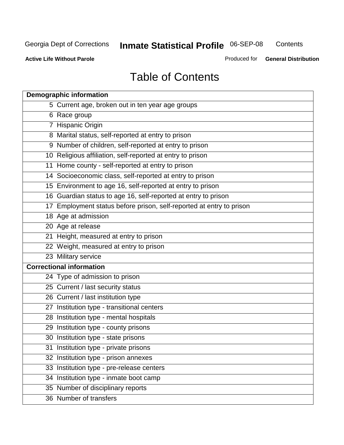**Contents** 

**Active Life Without Parole** 

Produced for **General Distribution**

## Table of Contents

| <b>Demographic information</b>                                       |
|----------------------------------------------------------------------|
| 5 Current age, broken out in ten year age groups                     |
| 6 Race group                                                         |
| 7 Hispanic Origin                                                    |
| 8 Marital status, self-reported at entry to prison                   |
| 9 Number of children, self-reported at entry to prison               |
| 10 Religious affiliation, self-reported at entry to prison           |
| 11 Home county - self-reported at entry to prison                    |
| 14 Socioeconomic class, self-reported at entry to prison             |
| 15 Environment to age 16, self-reported at entry to prison           |
| 16 Guardian status to age 16, self-reported at entry to prison       |
| 17 Employment status before prison, self-reported at entry to prison |
| 18 Age at admission                                                  |
| 20 Age at release                                                    |
| 21 Height, measured at entry to prison                               |
| 22 Weight, measured at entry to prison                               |
| 23 Military service                                                  |
| <b>Correctional information</b>                                      |
| 24 Type of admission to prison                                       |
| 25 Current / last security status                                    |
| 26 Current / last institution type                                   |
| 27 Institution type - transitional centers                           |
| 28 Institution type - mental hospitals                               |
| 29 Institution type - county prisons                                 |
| 30 Institution type - state prisons                                  |
| 31 Institution type - private prisons                                |
| 32 Institution type - prison annexes                                 |
| 33 Institution type - pre-release centers                            |
| 34 Institution type - inmate boot camp                               |
| 35 Number of disciplinary reports                                    |
| 36 Number of transfers                                               |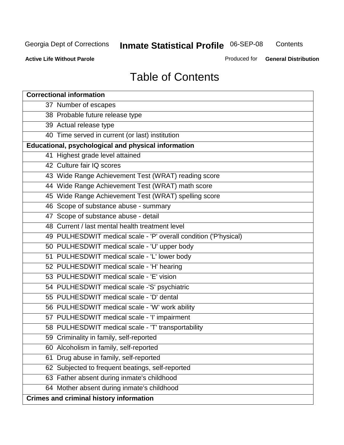**Contents** 

**Active Life Without Parole** 

Produced for **General Distribution**

## Table of Contents

| <b>Correctional information</b>                                  |
|------------------------------------------------------------------|
| 37 Number of escapes                                             |
| 38 Probable future release type                                  |
| 39 Actual release type                                           |
| 40 Time served in current (or last) institution                  |
| Educational, psychological and physical information              |
| 41 Highest grade level attained                                  |
| 42 Culture fair IQ scores                                        |
| 43 Wide Range Achievement Test (WRAT) reading score              |
| 44 Wide Range Achievement Test (WRAT) math score                 |
| 45 Wide Range Achievement Test (WRAT) spelling score             |
| 46 Scope of substance abuse - summary                            |
| 47 Scope of substance abuse - detail                             |
| 48 Current / last mental health treatment level                  |
| 49 PULHESDWIT medical scale - 'P' overall condition ('P'hysical) |
| 50 PULHESDWIT medical scale - 'U' upper body                     |
| 51 PULHESDWIT medical scale - 'L' lower body                     |
| 52 PULHESDWIT medical scale - 'H' hearing                        |
| 53 PULHESDWIT medical scale - 'E' vision                         |
| 54 PULHESDWIT medical scale -'S' psychiatric                     |
| 55 PULHESDWIT medical scale - 'D' dental                         |
| 56 PULHESDWIT medical scale - 'W' work ability                   |
| 57 PULHESDWIT medical scale - 'I' impairment                     |
| 58 PULHESDWIT medical scale - 'T' transportability               |
| 59 Criminality in family, self-reported                          |
| 60 Alcoholism in family, self-reported                           |
| Drug abuse in family, self-reported<br>61                        |
| 62 Subjected to frequent beatings, self-reported                 |
| 63 Father absent during inmate's childhood                       |
| 64 Mother absent during inmate's childhood                       |
| <b>Crimes and criminal history information</b>                   |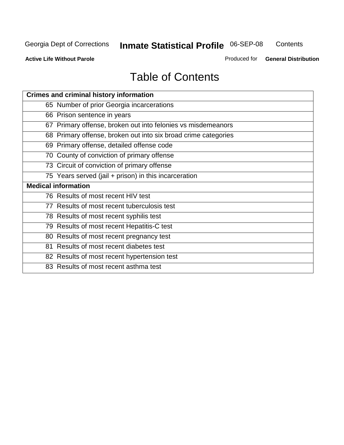**Contents** 

**Active Life Without Parole** 

Produced for **General Distribution**

## Table of Contents

| <b>Crimes and criminal history information</b>                 |
|----------------------------------------------------------------|
| 65 Number of prior Georgia incarcerations                      |
| 66 Prison sentence in years                                    |
| 67 Primary offense, broken out into felonies vs misdemeanors   |
| 68 Primary offense, broken out into six broad crime categories |
| 69 Primary offense, detailed offense code                      |
| 70 County of conviction of primary offense                     |
| 73 Circuit of conviction of primary offense                    |
| 75 Years served (jail + prison) in this incarceration          |
| <b>Medical information</b>                                     |
|                                                                |
| 76 Results of most recent HIV test                             |
| 77 Results of most recent tuberculosis test                    |
| 78 Results of most recent syphilis test                        |
| 79 Results of most recent Hepatitis-C test                     |
| 80 Results of most recent pregnancy test                       |
| 81 Results of most recent diabetes test                        |
| 82 Results of most recent hypertension test                    |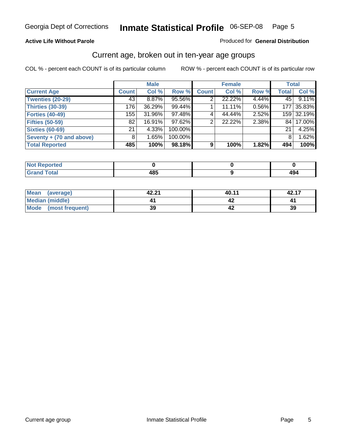#### **Active Life Without Parole**

#### Produced for **General Distribution**

#### Current age, broken out in ten-year age groups

|                          |              | <b>Male</b> |         |              | <b>Female</b> |       |              | <b>Total</b> |
|--------------------------|--------------|-------------|---------|--------------|---------------|-------|--------------|--------------|
| <b>Current Age</b>       | <b>Count</b> | Col %       | Row %   | <b>Count</b> | Col %         | Row % | <b>Total</b> | Col %        |
| <b>Twenties (20-29)</b>  | 43           | $8.87\%$    | 95.56%  |              | 22.22%        | 4.44% | 45 l         | 9.11%        |
| <b>Thirties (30-39)</b>  | 176          | 36.29%      | 99.44%  |              | 11.11%        | 0.56% | 177          | 35.83%       |
| Forties (40-49)          | 155          | 31.96%      | 97.48%  | 4            | 44.44%        | 2.52% |              | 159 32.19%   |
| <b>Fifties (50-59)</b>   | 82           | 16.91%      | 97.62%  | 2            | 22.22%        | 2.38% | 84 I         | 17.00%       |
| <b>Sixties (60-69)</b>   | 21           | 4.33%       | 100.00% |              |               |       | 21           | 4.25%        |
| Seventy + (70 and above) | 8            | 1.65%       | 100.00% |              |               |       | 8            | 1.62%        |
| <b>Total Reported</b>    | 485          | 100%        | 98.18%  | 9            | 100%          | 1.82% | 494          | 100%         |

| rtea<br>$\cdots$<br>$\sim$ |                |     |
|----------------------------|----------------|-----|
| υιαι                       | $\overline{ }$ | .   |
| _____                      | .              | TV. |

| Mean (average)                 | 42.21 | 40.11 | 42.17 |
|--------------------------------|-------|-------|-------|
| Median (middle)                |       |       |       |
| <b>Mode</b><br>(most frequent) | 39    |       | 39    |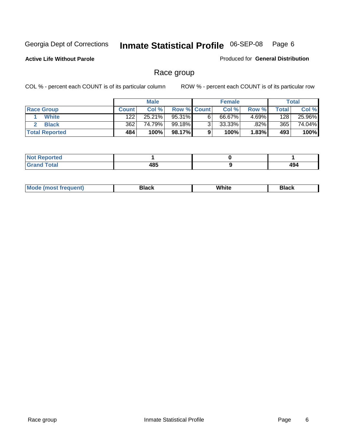**Active Life Without Parole** 

Produced for **General Distribution**

#### Race group

|                       |              | <b>Male</b> |                    |   | <b>Female</b> |          |       | <b>Total</b> |
|-----------------------|--------------|-------------|--------------------|---|---------------|----------|-------|--------------|
| <b>Race Group</b>     | <b>Count</b> | Col %       | <b>Row % Count</b> |   | Col %         | Row %    | Total | Col %        |
| <b>White</b>          | 122          | 25.21%      | 95.31%             | 6 | 66.67%        | $4.69\%$ | 128   | 25.96%       |
| <b>Black</b>          | 362          | 74.79%      | 99.18%I            | ົ | 33.33%        | .82%     | 365   | 74.04%       |
| <b>Total Reported</b> | 484          | 100%        | 98.17%             |   | 100%          | 1.83%    | 493   | 100%         |

| eported<br>.<br>$\cdots$ |      |      |
|--------------------------|------|------|
| fota'                    | 10 E | 10 / |
| _____                    | မ၀၁  | ᅮ    |

| $^1$ Mo. | Rlack | White | 3lack |
|----------|-------|-------|-------|
| .        |       |       |       |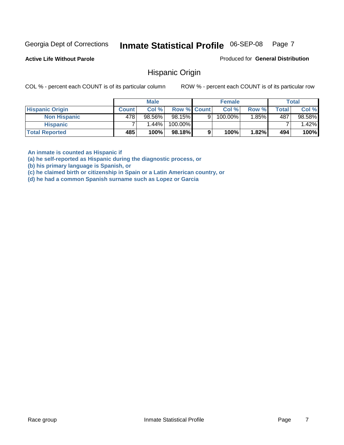**Active Life Without Parole** 

Produced for **General Distribution**

#### Hispanic Origin

COL % - percent each COUNT is of its particular column ROW % - percent each COUNT is of its particular row

|                        |              | <b>Male</b> |                    |   | <b>Female</b> |       |       | <b>Total</b> |
|------------------------|--------------|-------------|--------------------|---|---------------|-------|-------|--------------|
| <b>Hispanic Origin</b> | <b>Count</b> | Col%        | <b>Row % Count</b> |   | Col %         | Row % | Total | Col %        |
| <b>Non Hispanic</b>    | 478          | 98.56%      | 98.15%             | 9 | 100.00%       | 1.85% | 487   | 98.58%       |
| <b>Hispanic</b>        |              | $1.44\%$    | 100.00%            |   |               |       |       | 1.42%        |
| <b>Total Reported</b>  | 485          | 100%        | 98.18%             | 9 | 100%          | 1.82% | 494   | 100%         |

**An inmate is counted as Hispanic if** 

**(a) he self-reported as Hispanic during the diagnostic process, or** 

**(b) his primary language is Spanish, or** 

**(c) he claimed birth or citizenship in Spain or a Latin American country, or** 

**(d) he had a common Spanish surname such as Lopez or Garcia**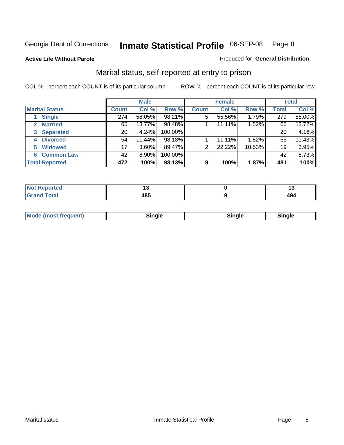#### **Active Life Without Parole**

#### Produced for **General Distribution**

#### Marital status, self-reported at entry to prison

|                        | <b>Male</b>  |          |         | <b>Female</b>  |        |        | <b>Total</b> |        |
|------------------------|--------------|----------|---------|----------------|--------|--------|--------------|--------|
| <b>Marital Status</b>  | <b>Count</b> | Col %    | Row %   | <b>Count</b>   | Col %  | Row %  | <b>Total</b> | Col %  |
| <b>Single</b>          | 274          | 58.05%   | 98.21%  | $\overline{5}$ | 55.56% | 1.79%  | 279          | 58.00% |
| <b>Married</b><br>2.   | 65           | 13.77%   | 98.48%  |                | 11.11% | 1.52%  | 66           | 13.72% |
| <b>Separated</b><br>3  | 20           | 4.24%    | 100.00% |                |        |        | 20           | 4.16%  |
| <b>Divorced</b><br>4   | 54           | 11.44%   | 98.18%  |                | 11.11% | 1.82%  | 55           | 11.43% |
| <b>Widowed</b><br>5    | 17           | $3.60\%$ | 89.47%  | $\overline{2}$ | 22.22% | 10.53% | 19           | 3.95%  |
| <b>Common Law</b><br>6 | 42           | 8.90%    | 100.00% |                |        |        | 42           | 8.73%  |
| <b>Total Reported</b>  | 472          | 100%     | 98.13%  | 9              | 100%   | 1.87%  | 481          | 100%   |

|       |                  | . .       |
|-------|------------------|-----------|
| _____ | .<br>TV.<br>$ -$ | -⊶<br>$-$ |

| <b>Mode (most frequent)</b><br>Sinale<br>™ale |
|-----------------------------------------------|
|-----------------------------------------------|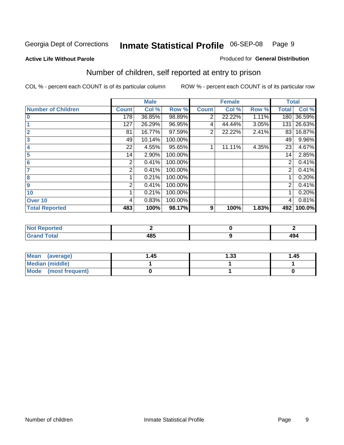#### **Active Life Without Parole**

#### Produced for **General Distribution**

## Number of children, self reported at entry to prison

|                           |              | <b>Male</b> |         |                | <b>Female</b> |       |                | <b>Total</b> |
|---------------------------|--------------|-------------|---------|----------------|---------------|-------|----------------|--------------|
| <b>Number of Children</b> | <b>Count</b> | Col %       | Row %   | <b>Count</b>   | Col %         | Row % | <b>Total</b>   | Col %        |
| $\bf{0}$                  | 178          | 36.85%      | 98.89%  | 2              | 22.22%        | 1.11% | 180            | 36.59%       |
|                           | 127          | 26.29%      | 96.95%  | 4              | 44.44%        | 3.05% | 131            | 26.63%       |
| $\overline{2}$            | 81           | 16.77%      | 97.59%  | $\overline{2}$ | 22.22%        | 2.41% | 83             | 16.87%       |
| 3                         | 49           | 10.14%      | 100.00% |                |               |       | 49             | 9.96%        |
| 4                         | 22           | 4.55%       | 95.65%  |                | 11.11%        | 4.35% | 23             | 4.67%        |
| 5                         | 14           | 2.90%       | 100.00% |                |               |       | 14             | 2.85%        |
| $6\phantom{a}$            | 2            | 0.41%       | 100.00% |                |               |       | 2              | 0.41%        |
|                           | 2            | 0.41%       | 100.00% |                |               |       | 2              | 0.41%        |
| 8                         |              | 0.21%       | 100.00% |                |               |       |                | 0.20%        |
| 9                         | 2            | 0.41%       | 100.00% |                |               |       | $\overline{2}$ | 0.41%        |
| 10                        |              | 0.21%       | 100.00% |                |               |       |                | 0.20%        |
| Over 10                   | 4            | 0.83%       | 100.00% |                |               |       | 4              | 0.81%        |
| <b>Total Reported</b>     | 483          | 100%        | 98.17%  | 9              | 100%          | 1.83% | 492            | 100.0%       |

| nrteu<br>$\sim$                 |          |     |
|---------------------------------|----------|-----|
| <b>otal</b><br>$\mathbf{v}$ and | IOE<br>. | 494 |

| <b>Mean</b><br>(average) | 45. ا | 1.33 | 1.45 |
|--------------------------|-------|------|------|
| <b>Median (middle)</b>   |       |      |      |
| Mode (most frequent)     |       |      |      |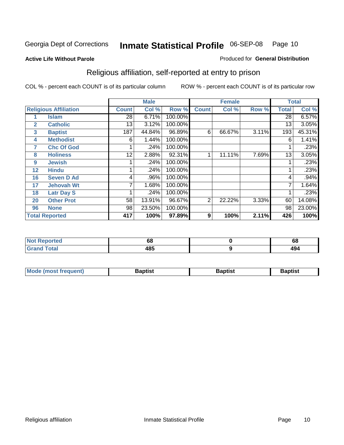#### **Active Life Without Parole**

#### Produced for **General Distribution**

## Religious affiliation, self-reported at entry to prison

|              |                              |              | <b>Male</b> |         |              | <b>Female</b> |       |              | <b>Total</b> |
|--------------|------------------------------|--------------|-------------|---------|--------------|---------------|-------|--------------|--------------|
|              | <b>Religious Affiliation</b> | <b>Count</b> | Col %       | Row %   | <b>Count</b> | Col %         | Row % | <b>Total</b> | Col %        |
|              | <b>Islam</b>                 | 28           | 6.71%       | 100.00% |              |               |       | 28           | 6.57%        |
| $\mathbf{2}$ | <b>Catholic</b>              | 13           | 3.12%       | 100.00% |              |               |       | 13           | 3.05%        |
| 3            | <b>Baptist</b>               | 187          | 44.84%      | 96.89%  | 6            | 66.67%        | 3.11% | 193          | 45.31%       |
| 4            | <b>Methodist</b>             | 6            | 1.44%       | 100.00% |              |               |       | 6            | 1.41%        |
| 7            | <b>Chc Of God</b>            |              | .24%        | 100.00% |              |               |       |              | .23%         |
| 8            | <b>Holiness</b>              | 12           | 2.88%       | 92.31%  |              | 11.11%        | 7.69% | 13           | 3.05%        |
| 9            | <b>Jewish</b>                |              | .24%        | 100.00% |              |               |       |              | .23%         |
| 12           | <b>Hindu</b>                 |              | .24%        | 100.00% |              |               |       |              | .23%         |
| 16           | <b>Seven D Ad</b>            | 4            | .96%        | 100.00% |              |               |       | 4            | .94%         |
| 17           | <b>Jehovah Wt</b>            |              | 1.68%       | 100.00% |              |               |       |              | 1.64%        |
| 18           | <b>Latr Day S</b>            |              | .24%        | 100.00% |              |               |       |              | .23%         |
| 20           | <b>Other Prot</b>            | 58           | 13.91%      | 96.67%  | 2            | 22.22%        | 3.33% | 60           | 14.08%       |
| 96           | <b>None</b>                  | 98           | 23.50%      | 100.00% |              |               |       | 98           | 23.00%       |
|              | <b>Total Reported</b>        | 417          | 100%        | 97.89%  | 9            | 100%          | 2.11% | 426          | 100%         |

| Reported<br>NOT.<br>$\sim$      | 68          | c<br>oo |
|---------------------------------|-------------|---------|
| <b>otal</b><br>$\mathbf{v}$ and | 10 C<br>4໐ບ | 494     |

| <b>Mode (most frequent)</b><br><b>Baptist</b><br>Baptist | Baptist |
|----------------------------------------------------------|---------|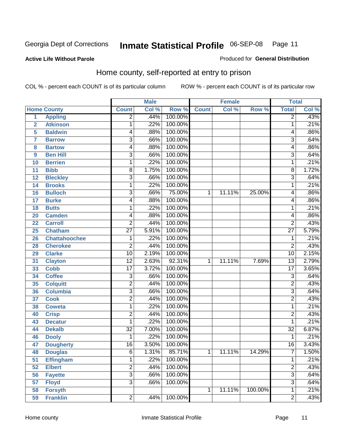Produced for **General Distribution**

#### **Active Life Without Parole**

## Home county, self-reported at entry to prison

|                |                      |                 | <b>Male</b> |         |              | <b>Female</b> |         | <b>Total</b>    |       |
|----------------|----------------------|-----------------|-------------|---------|--------------|---------------|---------|-----------------|-------|
|                | <b>Home County</b>   | <b>Count</b>    | Col %       | Row %   | <b>Count</b> | Col %         | Row %   | <b>Total</b>    | Col % |
| $\overline{1}$ | <b>Appling</b>       | $\overline{2}$  | .44%        | 100.00% |              |               |         | $\overline{2}$  | .43%  |
| $\overline{2}$ | <b>Atkinson</b>      | 1               | .22%        | 100.00% |              |               |         | 1               | .21%  |
| 5              | <b>Baldwin</b>       | 4               | .88%        | 100.00% |              |               |         | 4               | .86%  |
| $\overline{7}$ | <b>Barrow</b>        | 3               | .66%        | 100.00% |              |               |         | 3               | .64%  |
| 8              | <b>Bartow</b>        | 4               | .88%        | 100.00% |              |               |         | 4               | .86%  |
| 9              | <b>Ben Hill</b>      | 3               | .66%        | 100.00% |              |               |         | 3               | .64%  |
| 10             | <b>Berrien</b>       | 1               | .22%        | 100.00% |              |               |         | 1               | .21%  |
| 11             | <b>Bibb</b>          | 8               | 1.75%       | 100.00% |              |               |         | 8               | 1.72% |
| 12             | <b>Bleckley</b>      | 3               | .66%        | 100.00% |              |               |         | 3               | .64%  |
| 14             | <b>Brooks</b>        | 1               | .22%        | 100.00% |              |               |         | 1               | .21%  |
| 16             | <b>Bulloch</b>       | $\overline{3}$  | .66%        | 75.00%  | 1            | 11.11%        | 25.00%  | 4               | .86%  |
| 17             | <b>Burke</b>         | 4               | .88%        | 100.00% |              |               |         | 4               | .86%  |
| 18             | <b>Butts</b>         | 1               | .22%        | 100.00% |              |               |         | 1               | .21%  |
| 20             | <b>Camden</b>        | 4               | .88%        | 100.00% |              |               |         | 4               | .86%  |
| 22             | <b>Carroll</b>       | $\overline{2}$  | .44%        | 100.00% |              |               |         | 2               | .43%  |
| 25             | <b>Chatham</b>       | $\overline{27}$ | 5.91%       | 100.00% |              |               |         | $\overline{27}$ | 5.79% |
| 26             | <b>Chattahoochee</b> | 1               | .22%        | 100.00% |              |               |         | 1               | .21%  |
| 28             | <b>Cherokee</b>      | $\overline{c}$  | .44%        | 100.00% |              |               |         | 2               | .43%  |
| 29             | <b>Clarke</b>        | $\overline{10}$ | 2.19%       | 100.00% |              |               |         | 10              | 2.15% |
| 31             | <b>Clayton</b>       | $\overline{12}$ | 2.63%       | 92.31%  | 1            | 11.11%        | 7.69%   | $\overline{13}$ | 2.79% |
| 33             | <b>Cobb</b>          | $\overline{17}$ | 3.72%       | 100.00% |              |               |         | $\overline{17}$ | 3.65% |
| 34             | <b>Coffee</b>        | $\overline{3}$  | .66%        | 100.00% |              |               |         | 3               | .64%  |
| 35             | <b>Colquitt</b>      | $\overline{2}$  | .44%        | 100.00% |              |               |         | $\overline{2}$  | .43%  |
| 36             | <b>Columbia</b>      | 3               | .66%        | 100.00% |              |               |         | 3               | .64%  |
| 37             | <b>Cook</b>          | $\overline{2}$  | .44%        | 100.00% |              |               |         | $\overline{2}$  | .43%  |
| 38             | <b>Coweta</b>        | 1               | .22%        | 100.00% |              |               |         | 1               | .21%  |
| 40             | <b>Crisp</b>         | $\overline{2}$  | .44%        | 100.00% |              |               |         | $\overline{2}$  | .43%  |
| 43             | <b>Decatur</b>       | 1               | .22%        | 100.00% |              |               |         | 1               | .21%  |
| 44             | <b>Dekalb</b>        | $\overline{32}$ | 7.00%       | 100.00% |              |               |         | $\overline{32}$ | 6.87% |
| 46             | <b>Dooly</b>         | 1               | .22%        | 100.00% |              |               |         | 1               | .21%  |
| 47             | <b>Dougherty</b>     | $\overline{16}$ | 3.50%       | 100.00% |              |               |         | $\overline{16}$ | 3.43% |
| 48             | <b>Douglas</b>       | 6               | 1.31%       | 85.71%  | 1            | 11.11%        | 14.29%  | 7               | 1.50% |
| 51             | <b>Effingham</b>     | 1               | .22%        | 100.00% |              |               |         | 1               | .21%  |
| 52             | <b>Elbert</b>        | $\overline{2}$  | .44%        | 100.00% |              |               |         | $\overline{2}$  | .43%  |
| 56             | <b>Fayette</b>       | $\overline{3}$  | .66%        | 100.00% |              |               |         | 3               | .64%  |
| 57             | <b>Floyd</b>         | $\overline{3}$  | .66%        | 100.00% |              |               |         | $\overline{3}$  | .64%  |
| 58             | <b>Forsyth</b>       |                 |             |         | 1            | 11.11%        | 100.00% | 1               | .21%  |
| 59             | <b>Franklin</b>      | $\overline{2}$  | .44%        | 100.00% |              |               |         | $\overline{2}$  | .43%  |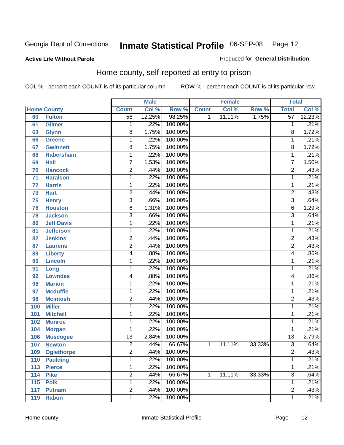Produced for **General Distribution**

#### **Active Life Without Parole**

#### Home county, self-reported at entry to prison

|     |                    |                 | <b>Male</b> |         |              | <b>Female</b> |        | <b>Total</b>    |        |
|-----|--------------------|-----------------|-------------|---------|--------------|---------------|--------|-----------------|--------|
|     | <b>Home County</b> | <b>Count</b>    | Col %       | Row %   | <b>Count</b> | Col %         | Row %  | <b>Total</b>    | Col %  |
| 60  | <b>Fulton</b>      | 56              | 12.25%      | 98.25%  | $\mathbf{1}$ | 11.11%        | 1.75%  | $\overline{57}$ | 12.23% |
| 61  | <b>Gilmer</b>      | 1               | .22%        | 100.00% |              |               |        | 1               | .21%   |
| 63  | <b>Glynn</b>       | $\overline{8}$  | 1.75%       | 100.00% |              |               |        | 8               | 1.72%  |
| 66  | <b>Greene</b>      | 1               | .22%        | 100.00% |              |               |        | 1               | .21%   |
| 67  | <b>Gwinnett</b>    | $\overline{8}$  | 1.75%       | 100.00% |              |               |        | 8               | 1.72%  |
| 68  | <b>Habersham</b>   | 1               | .22%        | 100.00% |              |               |        | 1               | .21%   |
| 69  | <b>Hall</b>        | $\overline{7}$  | 1.53%       | 100.00% |              |               |        | $\overline{7}$  | 1.50%  |
| 70  | <b>Hancock</b>     | 2               | .44%        | 100.00% |              |               |        | $\overline{2}$  | .43%   |
| 71  | <b>Haralson</b>    | 1               | .22%        | 100.00% |              |               |        | 1               | .21%   |
| 72  | <b>Harris</b>      | 1               | .22%        | 100.00% |              |               |        | 1               | .21%   |
| 73  | <b>Hart</b>        | $\overline{2}$  | .44%        | 100.00% |              |               |        | $\overline{2}$  | .43%   |
| 75  | <b>Henry</b>       | $\overline{3}$  | .66%        | 100.00% |              |               |        | $\overline{3}$  | .64%   |
| 76  | <b>Houston</b>     | $\overline{6}$  | 1.31%       | 100.00% |              |               |        | 6               | 1.29%  |
| 78  | <b>Jackson</b>     | $\overline{3}$  | .66%        | 100.00% |              |               |        | $\overline{3}$  | .64%   |
| 80  | <b>Jeff Davis</b>  | 1               | .22%        | 100.00% |              |               |        | 1               | .21%   |
| 81  | <b>Jefferson</b>   | 1               | .22%        | 100.00% |              |               |        | 1               | .21%   |
| 82  | <b>Jenkins</b>     | $\overline{2}$  | .44%        | 100.00% |              |               |        | $\overline{2}$  | .43%   |
| 87  | <b>Laurens</b>     | $\overline{2}$  | .44%        | 100.00% |              |               |        | $\overline{2}$  | .43%   |
| 89  | <b>Liberty</b>     | 4               | .88%        | 100.00% |              |               |        | 4               | .86%   |
| 90  | <b>Lincoln</b>     | 1               | .22%        | 100.00% |              |               |        | 1               | .21%   |
| 91  | Long               | $\mathbf{1}$    | .22%        | 100.00% |              |               |        | 1               | .21%   |
| 92  | <b>Lowndes</b>     | 4               | .88%        | 100.00% |              |               |        | 4               | .86%   |
| 96  | <b>Marion</b>      | 1               | .22%        | 100.00% |              |               |        | 1               | .21%   |
| 97  | <b>Mcduffie</b>    | 1               | .22%        | 100.00% |              |               |        | 1               | .21%   |
| 98  | <b>Mcintosh</b>    | $\overline{2}$  | .44%        | 100.00% |              |               |        | $\overline{2}$  | .43%   |
| 100 | <b>Miller</b>      | 1               | .22%        | 100.00% |              |               |        | 1               | .21%   |
| 101 | <b>Mitchell</b>    | 1               | .22%        | 100.00% |              |               |        | 1               | .21%   |
| 102 | <b>Monroe</b>      | 1               | .22%        | 100.00% |              |               |        | 1               | .21%   |
| 104 | <b>Morgan</b>      | 1               | .22%        | 100.00% |              |               |        | 1               | .21%   |
| 106 | <b>Muscogee</b>    | $\overline{13}$ | 2.84%       | 100.00% |              |               |        | $\overline{13}$ | 2.79%  |
| 107 | <b>Newton</b>      | $\overline{2}$  | .44%        | 66.67%  | 1            | 11.11%        | 33.33% | $\overline{3}$  | .64%   |
| 109 | <b>Oglethorpe</b>  | 2               | .44%        | 100.00% |              |               |        | 2               | .43%   |
| 110 | <b>Paulding</b>    | $\overline{1}$  | .22%        | 100.00% |              |               |        | 1               | .21%   |
| 113 | <b>Pierce</b>      | 1               | .22%        | 100.00% |              |               |        | 1               | .21%   |
| 114 | <b>Pike</b>        | $\overline{2}$  | .44%        | 66.67%  | 1            | 11.11%        | 33.33% | $\overline{3}$  | .64%   |
| 115 | <b>Polk</b>        | 1               | .22%        | 100.00% |              |               |        | 1               | .21%   |
| 117 | <b>Putnam</b>      | $\overline{2}$  | .44%        | 100.00% |              |               |        | $\overline{2}$  | .43%   |
| 119 | <b>Rabun</b>       | 1               | .22%        | 100.00% |              |               |        | 1               | .21%   |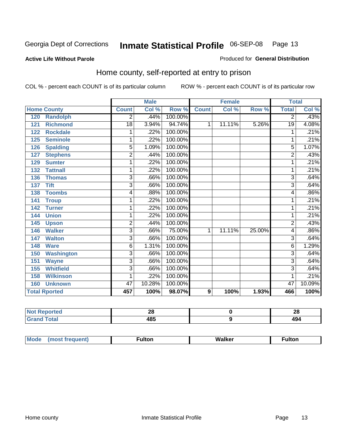#### **Active Life Without Parole**

#### Produced for **General Distribution**

#### Home county, self-reported at entry to prison

|                      |                   |                | <b>Male</b> |         |              | <b>Female</b> |        | <b>Total</b>   |        |
|----------------------|-------------------|----------------|-------------|---------|--------------|---------------|--------|----------------|--------|
| <b>Home County</b>   |                   | <b>Count</b>   | Col %       | Row %   | <b>Count</b> | Col %         | Row %  | <b>Total</b>   | Col %  |
| 120                  | <b>Randolph</b>   | 2              | .44%        | 100.00% |              |               |        | 2              | .43%   |
| 121                  | <b>Richmond</b>   | 18             | 3.94%       | 94.74%  | 1            | 11.11%        | 5.26%  | 19             | 4.08%  |
| 122                  | <b>Rockdale</b>   | 1              | .22%        | 100.00% |              |               |        | 1              | .21%   |
| 125                  | <b>Seminole</b>   | 1              | .22%        | 100.00% |              |               |        | 1              | .21%   |
| 126                  | <b>Spalding</b>   | 5              | 1.09%       | 100.00% |              |               |        | 5              | 1.07%  |
| 127                  | <b>Stephens</b>   | 2              | .44%        | 100.00% |              |               |        | $\overline{c}$ | .43%   |
| 129                  | <b>Sumter</b>     | 1              | .22%        | 100.00% |              |               |        |                | .21%   |
| 132                  | <b>Tattnall</b>   | 1              | .22%        | 100.00% |              |               |        |                | .21%   |
| 136                  | <b>Thomas</b>     | 3              | .66%        | 100.00% |              |               |        | 3              | .64%   |
| <b>Tift</b><br>137   |                   | $\overline{3}$ | .66%        | 100.00% |              |               |        | $\overline{3}$ | .64%   |
| 138                  | <b>Toombs</b>     | 4              | .88%        | 100.00% |              |               |        | 4              | .86%   |
| 141<br><b>Troup</b>  |                   | 1              | .22%        | 100.00% |              |               |        | 1              | .21%   |
| 142                  | <b>Turner</b>     | 1              | .22%        | 100.00% |              |               |        | 1              | .21%   |
| <b>Union</b><br>144  |                   | 1              | .22%        | 100.00% |              |               |        |                | .21%   |
| 145                  | <b>Upson</b>      | $\overline{2}$ | .44%        | 100.00% |              |               |        | 2              | .43%   |
| 146                  | <b>Walker</b>     | 3              | .66%        | 75.00%  | 1            | 11.11%        | 25.00% | 4              | .86%   |
| 147                  | <b>Walton</b>     | 3              | .66%        | 100.00% |              |               |        | 3              | .64%   |
| 148<br><b>Ware</b>   |                   | 6              | 1.31%       | 100.00% |              |               |        | 6              | 1.29%  |
| 150                  | <b>Washington</b> | 3              | .66%        | 100.00% |              |               |        | 3              | .64%   |
| 151                  | <b>Wayne</b>      | 3              | .66%        | 100.00% |              |               |        | 3              | .64%   |
| 155                  | <b>Whitfield</b>  | $\overline{3}$ | .66%        | 100.00% |              |               |        | 3              | .64%   |
| 158                  | <b>Wilkinson</b>  | 1              | .22%        | 100.00% |              |               |        | 1              | .21%   |
| 160                  | <b>Unknown</b>    | 47             | 10.28%      | 100.00% |              |               |        | 47             | 10.09% |
| <b>Total Rported</b> |                   | 457            | 100%        | 98.07%  | 9            | 100%          | 1.93%  | 466            | 100%   |

| тео.        | ΔU   | ົ<br>ZO |
|-------------|------|---------|
| <b>otal</b> | 10 E | ИΛ.     |
| $\sim$ .    | roj  | 17      |

| Mode<br>(most frequent) | ∙ulton | Walker | ∙ulton |
|-------------------------|--------|--------|--------|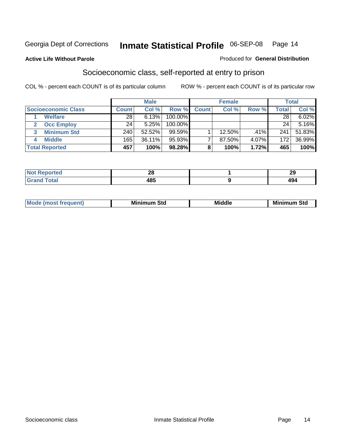#### **Active Life Without Parole**

#### Produced for **General Distribution**

#### Socioeconomic class, self-reported at entry to prison

|                                   |                  | <b>Male</b> |            |              | <b>Female</b> |       |              | <b>Total</b> |
|-----------------------------------|------------------|-------------|------------|--------------|---------------|-------|--------------|--------------|
| <b>Socioeconomic Class</b>        | <b>Count</b>     | Col %       | Row %      | <b>Count</b> | Col %         | Row % | <b>Total</b> | Col %        |
| <b>Welfare</b>                    | 28               | 6.13%       | 100.00%    |              |               |       | 28           | 6.02%        |
| <b>Occ Employ</b><br>$\mathbf{2}$ | 24               | 5.25%       | $100.00\%$ |              |               |       | 24           | 5.16%        |
| <b>Minimum Std</b>                | 240 <sub>1</sub> | 52.52%      | 99.59%     |              | 12.50%        | .41%  | 241          | 51.83%       |
| <b>Middle</b>                     | 165              | $36.11\%$   | $95.93\%$  |              | 87.50%        | 4.07% | 172          | 36.99%       |
| <b>Total Reported</b>             | 457              | 100%        | 98.28%     |              | 100%          | 1.72% | 465          | 100%         |

| بمستركب بالتوارد              | n c         | $\overline{\phantom{a}}$        |
|-------------------------------|-------------|---------------------------------|
| тео                           | ZС          | $\overline{a}$                  |
| $T = 4 - T$<br>υιαι<br>------ | 10 E<br>403 | $\overline{\phantom{a}}$<br>494 |

| .<br>___ |
|----------|
|----------|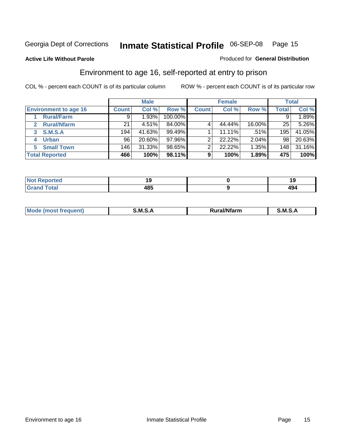Produced for **General Distribution**

#### **Active Life Without Parole**

#### Environment to age 16, self-reported at entry to prison

|                              |              | <b>Male</b> |           |              | <b>Female</b> |         |       | <b>Total</b> |
|------------------------------|--------------|-------------|-----------|--------------|---------------|---------|-------|--------------|
| <b>Environment to age 16</b> | <b>Count</b> | Col %       | Row %     | <b>Count</b> | Col %         | Row %   | Total | Col %        |
| <b>Rural/Farm</b>            | 9            | $1.93\%$    | 100.00%   |              |               |         |       | 1.89%        |
| <b>Rural/Nfarm</b><br>2      | 21           | 4.51%       | 84.00%    |              | 44.44%        | 16.00%  | 25    | 5.26%        |
| <b>S.M.S.A</b><br>3          | 194          | 41.63%      | 99.49%    |              | 11.11%        | $.51\%$ | 195   | 41.05%       |
| <b>Urban</b><br>4            | 96           | 20.60%      | $97.96\%$ |              | 22.22%        | 2.04%   | 98    | 20.63%       |
| <b>Small Town</b>            | 146          | 31.33%      | 98.65%    | ⌒            | 22.22%        | 1.35%   | 148   | 31.16%       |
| <b>Total Reported</b>        | 466          | 100%        | 98.11%    | 9            | 100%          | 1.89%   | 475   | 100%         |

| Reported<br><b>Not</b>       |     |            |
|------------------------------|-----|------------|
| <b>Total</b><br><b>Grand</b> | 485 | 10.<br>494 |

| Mo<br><b>CONTRACTOR</b><br>. M S<br>M<br>---<br>Nfarn<br>.<br>______<br>______ |  |  |
|--------------------------------------------------------------------------------|--|--|
|                                                                                |  |  |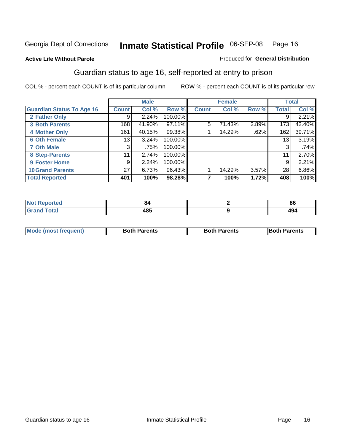Produced for **General Distribution**

#### **Active Life Without Parole**

#### Guardian status to age 16, self-reported at entry to prison

|                                  |              | <b>Male</b> |         |              | <b>Female</b> |       |              | <b>Total</b> |
|----------------------------------|--------------|-------------|---------|--------------|---------------|-------|--------------|--------------|
| <b>Guardian Status To Age 16</b> | <b>Count</b> | Col %       | Row %   | <b>Count</b> | Col %         | Row % | <b>Total</b> | Col %        |
| 2 Father Only                    | 9            | 2.24%       | 100.00% |              |               |       | 9            | 2.21%        |
| <b>3 Both Parents</b>            | 168          | 41.90%      | 97.11%  | 5            | 71.43%        | 2.89% | 173          | 42.40%       |
| <b>4 Mother Only</b>             | 161          | 40.15%      | 99.38%  |              | 14.29%        | .62%  | 162          | 39.71%       |
| <b>6 Oth Female</b>              | 13           | 3.24%       | 100.00% |              |               |       | 13           | 3.19%        |
| <b>7 Oth Male</b>                | 3            | .75%        | 100.00% |              |               |       | 3            | .74%         |
| 8 Step-Parents                   | 11           | 2.74%       | 100.00% |              |               |       | 11           | 2.70%        |
| 9 Foster Home                    | 9            | 2.24%       | 100.00% |              |               |       | 9            | 2.21%        |
| <b>10 Grand Parents</b>          | 27           | 6.73%       | 96.43%  |              | 14.29%        | 3.57% | 28           | 6.86%        |
| <b>Total Reported</b>            | 401          | 100%        | 98.28%  |              | 100%          | 1.72% | 408          | 100%         |

| ™orted and   | AD. | $\mathbf{o}$<br>oc |
|--------------|-----|--------------------|
| <b>Total</b> | 485 | 494                |

| <b>Mode (most frequent)</b> | <b>Both Parents</b> | <b>Both Parents</b> | <b>IBoth Parents</b> |
|-----------------------------|---------------------|---------------------|----------------------|
|                             |                     |                     |                      |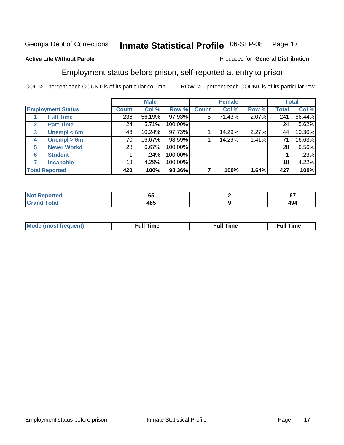#### **Active Life Without Parole**

#### Produced for **General Distribution**

#### Employment status before prison, self-reported at entry to prison

|              |                          |              | <b>Male</b> |         |              | <b>Female</b> |       |       | <b>Total</b> |
|--------------|--------------------------|--------------|-------------|---------|--------------|---------------|-------|-------|--------------|
|              | <b>Employment Status</b> | <b>Count</b> | Col %       | Row %   | <b>Count</b> | Col %         | Row % | Total | Col %        |
|              | <b>Full Time</b>         | 236          | 56.19%      | 97.93%  | 5            | 71.43%        | 2.07% | 241   | 56.44%       |
| $\mathbf{2}$ | <b>Part Time</b>         | 24           | 5.71%       | 100.00% |              |               |       | 24    | 5.62%        |
| 3            | Unempl $<$ 6m            | 43           | 10.24%      | 97.73%  |              | 14.29%        | 2.27% | 44    | 10.30%       |
| 4            | Unempl > 6m              | 70           | 16.67%      | 98.59%  |              | 14.29%        | 1.41% | 71    | 16.63%       |
| 5            | <b>Never Workd</b>       | 28           | 6.67%       | 100.00% |              |               |       | 28    | $6.56\%$     |
| 6            | <b>Student</b>           |              | .24%        | 100.00% |              |               |       |       | .23%         |
|              | <b>Incapable</b>         | 18           | 4.29%       | 100.00% |              |               |       | 18    | 4.22%        |
|              | <b>Total Reported</b>    | 420          | 100%        | 98.36%  |              | 100%          | 1.64% | 427   | 100%         |

| тес.             | - -<br>uu | $\sim$<br>v. |
|------------------|-----------|--------------|
| Coto"<br>_______ | 485       | 494          |

| Mo | 'me<br>uн<br>the contract of the contract of the contract of the contract of the contract of the contract of the contract of the contract of the contract of the contract of the contract of the contract of the contract of the contract o | ïme<br>uı.<br>the contract of the contract of the contract of the contract of the contract of the contract of the contract of the contract of the contract of the contract of the contract of the contract of the contract of the contract o |
|----|---------------------------------------------------------------------------------------------------------------------------------------------------------------------------------------------------------------------------------------------|----------------------------------------------------------------------------------------------------------------------------------------------------------------------------------------------------------------------------------------------|
|    |                                                                                                                                                                                                                                             |                                                                                                                                                                                                                                              |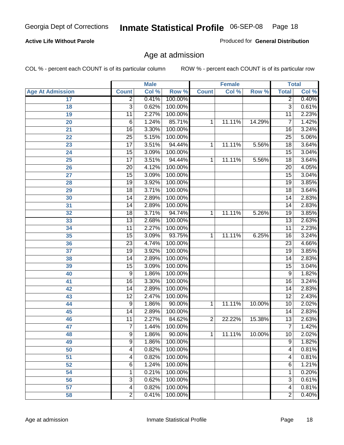#### **Active Life Without Parole**

Produced for **General Distribution**

#### Age at admission

|                         | <b>Male</b>     |       | <b>Female</b> |                |        | <b>Total</b> |                 |       |
|-------------------------|-----------------|-------|---------------|----------------|--------|--------------|-----------------|-------|
| <b>Age At Admission</b> | <b>Count</b>    | Col % | Row %         | <b>Count</b>   | Col %  | Row %        | <b>Total</b>    | Col % |
| 17                      | $\overline{2}$  | 0.41% | 100.00%       |                |        |              | $\overline{2}$  | 0.40% |
| 18                      | 3               | 0.62% | 100.00%       |                |        |              | $\overline{3}$  | 0.61% |
| 19                      | $\overline{11}$ | 2.27% | 100.00%       |                |        |              | $\overline{11}$ | 2.23% |
| 20                      | 6               | 1.24% | 85.71%        | 1              | 11.11% | 14.29%       | 7               | 1.42% |
| 21                      | $\overline{16}$ | 3.30% | 100.00%       |                |        |              | 16              | 3.24% |
| 22                      | $\overline{25}$ | 5.15% | 100.00%       |                |        |              | $\overline{25}$ | 5.06% |
| 23                      | $\overline{17}$ | 3.51% | 94.44%        | 1              | 11.11% | 5.56%        | $\overline{18}$ | 3.64% |
| 24                      | $\overline{15}$ | 3.09% | 100.00%       |                |        |              | 15              | 3.04% |
| $\overline{25}$         | $\overline{17}$ | 3.51% | 94.44%        | 1              | 11.11% | 5.56%        | 18              | 3.64% |
| 26                      | 20              | 4.12% | 100.00%       |                |        |              | 20              | 4.05% |
| 27                      | $\overline{15}$ | 3.09% | 100.00%       |                |        |              | $\overline{15}$ | 3.04% |
| 28                      | 19              | 3.92% | 100.00%       |                |        |              | 19              | 3.85% |
| 29                      | $\overline{18}$ | 3.71% | 100.00%       |                |        |              | $\overline{18}$ | 3.64% |
| 30                      | 14              | 2.89% | 100.00%       |                |        |              | 14              | 2.83% |
| 31                      | $\overline{14}$ | 2.89% | 100.00%       |                |        |              | $\overline{14}$ | 2.83% |
| 32                      | 18              | 3.71% | 94.74%        | 1              | 11.11% | 5.26%        | 19              | 3.85% |
| 33                      | $\overline{13}$ | 2.68% | 100.00%       |                |        |              | 13              | 2.63% |
| 34                      | 11              | 2.27% | 100.00%       |                |        |              | 11              | 2.23% |
| 35                      | $\overline{15}$ | 3.09% | 93.75%        | 1              | 11.11% | 6.25%        | 16              | 3.24% |
| 36                      | $\overline{23}$ | 4.74% | 100.00%       |                |        |              | $\overline{23}$ | 4.66% |
| 37                      | $\overline{19}$ | 3.92% | 100.00%       |                |        |              | $\overline{19}$ | 3.85% |
| 38                      | $\overline{14}$ | 2.89% | 100.00%       |                |        |              | 14              | 2.83% |
| 39                      | $\overline{15}$ | 3.09% | 100.00%       |                |        |              | $\overline{15}$ | 3.04% |
| 40                      | 9               | 1.86% | 100.00%       |                |        |              | 9               | 1.82% |
| 41                      | 16              | 3.30% | 100.00%       |                |        |              | 16              | 3.24% |
| 42                      | 14              | 2.89% | 100.00%       |                |        |              | 14              | 2.83% |
| 43                      | $\overline{12}$ | 2.47% | 100.00%       |                |        |              | $\overline{12}$ | 2.43% |
| 44                      | 9               | 1.86% | 90.00%        | 1              | 11.11% | 10.00%       | 10              | 2.02% |
| 45                      | $\overline{14}$ | 2.89% | 100.00%       |                |        |              | 14              | 2.83% |
| 46                      | $\overline{11}$ | 2.27% | 84.62%        | $\overline{2}$ | 22.22% | 15.38%       | $\overline{13}$ | 2.63% |
| 47                      | $\overline{7}$  | 1.44% | 100.00%       |                |        |              | 7               | 1.42% |
| 48                      | 9               | 1.86% | $90.00\%$     | 1              | 11.11% | 10.00%       | 10              | 2.02% |
| 49                      | $\overline{9}$  | 1.86% | 100.00%       |                |        |              | $\overline{9}$  | 1.82% |
| 50                      | 4               | 0.82% | 100.00%       |                |        |              | 4               | 0.81% |
| 51                      | 4               | 0.82% | 100.00%       |                |        |              | $\overline{4}$  | 0.81% |
| 52                      | 6               | 1.24% | 100.00%       |                |        |              | 6               | 1.21% |
| 54                      | 1               | 0.21% | 100.00%       |                |        |              | 1               | 0.20% |
| 56                      | 3               | 0.62% | 100.00%       |                |        |              | $\overline{3}$  | 0.61% |
| 57                      | 4               | 0.82% | 100.00%       |                |        |              | $\overline{4}$  | 0.81% |
| 58                      | $\overline{2}$  | 0.41% | 100.00%       |                |        |              | $\overline{2}$  | 0.40% |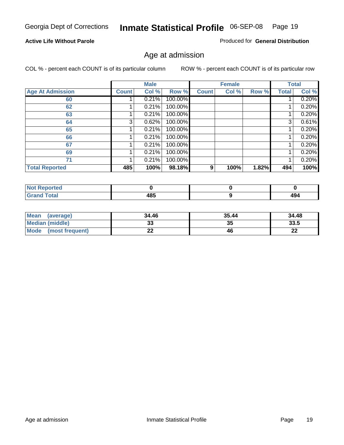#### **Active Life Without Parole**

Produced for **General Distribution**

#### Age at admission

|                         |              | <b>Male</b> |         |              | <b>Female</b> |       |              | <b>Total</b> |
|-------------------------|--------------|-------------|---------|--------------|---------------|-------|--------------|--------------|
| <b>Age At Admission</b> | <b>Count</b> | Col %       | Row %   | <b>Count</b> | Col %         | Row % | <b>Total</b> | Col %        |
| 60                      |              | 0.21%       | 100.00% |              |               |       |              | 0.20%        |
| 62                      |              | 0.21%       | 100.00% |              |               |       |              | 0.20%        |
| 63                      |              | 0.21%       | 100.00% |              |               |       |              | 0.20%        |
| 64                      | 3            | 0.62%       | 100.00% |              |               |       | 3            | 0.61%        |
| 65                      |              | 0.21%       | 100.00% |              |               |       |              | 0.20%        |
| 66                      |              | 0.21%       | 100.00% |              |               |       |              | 0.20%        |
| 67                      |              | 0.21%       | 100.00% |              |               |       |              | 0.20%        |
| 69                      |              | 0.21%       | 100.00% |              |               |       |              | 0.20%        |
| 71                      |              | 0.21%       | 100.00% |              |               |       |              | 0.20%        |
| <b>Total Reported</b>   | 485          | 100%        | 98.18%  | 9            | 100%          | 1.82% | 494          | 100%         |

| <b>Reported</b><br>' NOT<br>$\sim$ |     |     |
|------------------------------------|-----|-----|
| <b>Total</b><br>$\mathbf{v}$ and   | 485 | 494 |

| Mean (average)         | 34.46    | 35.44 | 34.48   |
|------------------------|----------|-------|---------|
| <b>Median (middle)</b> | აა       | 35    | 33.5    |
| Mode (most frequent)   | ^^<br>LL | 46    | ົ<br>44 |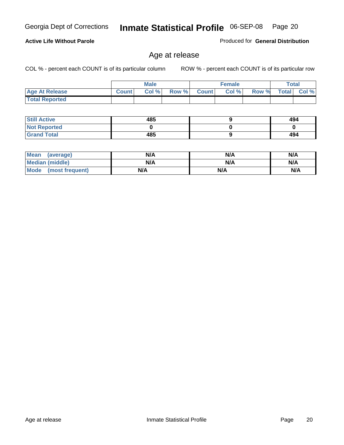**Age At Release Count Col % Row % Count Col % Row % Total Col %** 

 **Total Reported**

**Active Life Without Parole** 

| <b>Still Active</b> | 485 | 494 |
|---------------------|-----|-----|
| <b>Not Reported</b> |     |     |
| <b>Grand Total</b>  | 485 | 494 |

| <b>Mean</b><br>(average)       | N/A | N/A | N/A |
|--------------------------------|-----|-----|-----|
| <b>Median (middle)</b>         | N/A | N/A | N/A |
| <b>Mode</b><br>(most frequent) | N/A | N/A | N/A |

#### Age at release

**Male**

COL % - percent each COUNT is of its particular column ROW % - percent each COUNT is of its particular row

**Female Total**

Produced for **General Distribution**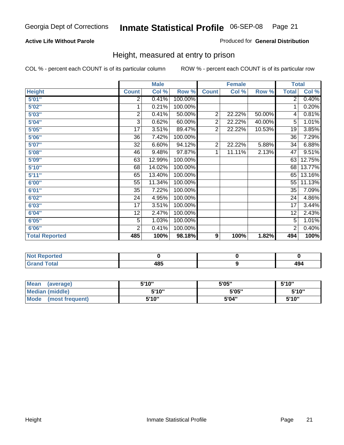#### **Active Life Without Parole**

#### Produced for **General Distribution**

#### Height, measured at entry to prison

|                       |                | <b>Male</b> |         |                | <b>Female</b> |        |                 | <b>Total</b> |
|-----------------------|----------------|-------------|---------|----------------|---------------|--------|-----------------|--------------|
| <b>Height</b>         | <b>Count</b>   | Col %       | Row %   | <b>Count</b>   | Col %         | Row %  | <b>Total</b>    | Col %        |
| 5'01''                | 2              | 0.41%       | 100.00% |                |               |        | 2 <sup>1</sup>  | 0.40%        |
| 5'02"                 | 1              | 0.21%       | 100.00% |                |               |        | 1               | 0.20%        |
| 5'03"                 | 2              | 0.41%       | 50.00%  | $\overline{c}$ | 22.22%        | 50.00% | 4               | 0.81%        |
| 5'04"                 | 3              | 0.62%       | 60.00%  | 2              | 22.22%        | 40.00% | $\overline{5}$  | 1.01%        |
| 5'05"                 | 17             | 3.51%       | 89.47%  | 2              | 22.22%        | 10.53% | 19              | 3.85%        |
| 5'06"                 | 36             | 7.42%       | 100.00% |                |               |        | $\overline{36}$ | 7.29%        |
| 5'07''                | 32             | 6.60%       | 94.12%  | $\overline{2}$ | 22.22%        | 5.88%  | 34              | 6.88%        |
| 5'08"                 | 46             | 9.48%       | 97.87%  | 1              | 11.11%        | 2.13%  | 47              | 9.51%        |
| 5'09"                 | 63             | 12.99%      | 100.00% |                |               |        | 63              | 12.75%       |
| 5'10''                | 68             | 14.02%      | 100.00% |                |               |        | 68              | 13.77%       |
| 5'11''                | 65             | 13.40%      | 100.00% |                |               |        | 65              | 13.16%       |
| 6'00''                | 55             | 11.34%      | 100.00% |                |               |        | 55              | 11.13%       |
| 6'01"                 | 35             | 7.22%       | 100.00% |                |               |        | 35              | 7.09%        |
| 6'02"                 | 24             | 4.95%       | 100.00% |                |               |        | 24              | 4.86%        |
| 6'03"                 | 17             | 3.51%       | 100.00% |                |               |        | 17              | 3.44%        |
| 6'04"                 | 12             | 2.47%       | 100.00% |                |               |        | 12              | 2.43%        |
| 6'05"                 | 5              | 1.03%       | 100.00% |                |               |        | 5               | 1.01%        |
| 6'06"                 | $\overline{2}$ | 0.41%       | 100.00% |                |               |        | $\overline{2}$  | 0.40%        |
| <b>Total Reported</b> | 485            | 100%        | 98.18%  | 9              | 100%          | 1.82%  | 494             | 100%         |

| τeα<br>. |                   |                      |
|----------|-------------------|----------------------|
| _____    | 10 E<br>40J<br>__ | 134<br>$\sim$ $\sim$ |

| <b>Mean</b><br>(average) | 5'10" | 5'05" | 5'10"  |
|--------------------------|-------|-------|--------|
| Median (middle)          | 5'10" | 5'05" | 5'10"  |
| Mode<br>(most frequent)  | 5'10" | 5'04" | 5'10'' |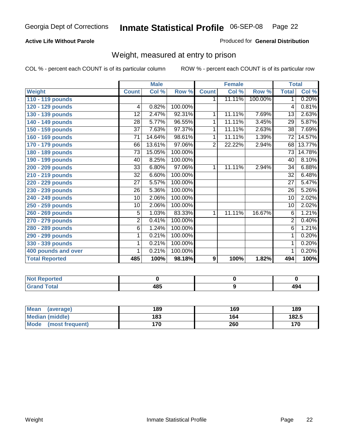#### **Active Life Without Parole**

#### Produced for **General Distribution**

#### Weight, measured at entry to prison

|                       |                 | <b>Male</b> |         |                | <b>Female</b> |         | <b>Total</b>    |        |
|-----------------------|-----------------|-------------|---------|----------------|---------------|---------|-----------------|--------|
| <b>Weight</b>         | <b>Count</b>    | Col %       | Row %   | <b>Count</b>   | Col %         | Row %   | <b>Total</b>    | Col %  |
| 110 - 119 pounds      |                 |             |         | 1.             | 11.11%        | 100.00% | 1 <sup>1</sup>  | 0.20%  |
| 120 - 129 pounds      | 4               | 0.82%       | 100.00% |                |               |         | 4               | 0.81%  |
| 130 - 139 pounds      | 12              | 2.47%       | 92.31%  | 1              | 11.11%        | 7.69%   | 13              | 2.63%  |
| 140 - 149 pounds      | 28              | 5.77%       | 96.55%  | 1              | 11.11%        | 3.45%   | 29              | 5.87%  |
| 150 - 159 pounds      | 37              | 7.63%       | 97.37%  | 1              | 11.11%        | 2.63%   | 38              | 7.69%  |
| 160 - 169 pounds      | 71              | 14.64%      | 98.61%  | 1              | 11.11%        | 1.39%   | 72              | 14.57% |
| 170 - 179 pounds      | 66              | 13.61%      | 97.06%  | $\overline{2}$ | 22.22%        | 2.94%   | 68              | 13.77% |
| 180 - 189 pounds      | $\overline{73}$ | 15.05%      | 100.00% |                |               |         | 73              | 14.78% |
| 190 - 199 pounds      | 40              | 8.25%       | 100.00% |                |               |         | 40              | 8.10%  |
| 200 - 209 pounds      | 33              | 6.80%       | 97.06%  | 1              | 11.11%        | 2.94%   | 34              | 6.88%  |
| 210 - 219 pounds      | 32              | 6.60%       | 100.00% |                |               |         | 32              | 6.48%  |
| 220 - 229 pounds      | 27              | 5.57%       | 100.00% |                |               |         | $\overline{27}$ | 5.47%  |
| 230 - 239 pounds      | 26              | 5.36%       | 100.00% |                |               |         | 26              | 5.26%  |
| 240 - 249 pounds      | 10              | 2.06%       | 100.00% |                |               |         | 10              | 2.02%  |
| 250 - 259 pounds      | 10              | 2.06%       | 100.00% |                |               |         | 10              | 2.02%  |
| 260 - 269 pounds      | $\overline{5}$  | 1.03%       | 83.33%  | 1              | 11.11%        | 16.67%  | 6               | 1.21%  |
| 270 - 279 pounds      | $\overline{2}$  | 0.41%       | 100.00% |                |               |         | $\overline{2}$  | 0.40%  |
| 280 - 289 pounds      | $\overline{6}$  | 1.24%       | 100.00% |                |               |         | $\overline{6}$  | 1.21%  |
| 290 - 299 pounds      | 1               | 0.21%       | 100.00% |                |               |         | 1               | 0.20%  |
| 330 - 339 pounds      | 1               | 0.21%       | 100.00% |                |               |         | 1               | 0.20%  |
| 400 pounds and over   | 1               | 0.21%       | 100.00% |                |               |         | 1               | 0.20%  |
| <b>Total Reported</b> | 485             | 100%        | 98.18%  | 9              | 100%          | 1.82%   | 494             | 100%   |

| .<br><b>NO</b><br>' Teo |                   |             |
|-------------------------|-------------------|-------------|
| <b>Total</b>            | 10 E<br>70J<br>__ | 10 I<br>TJT |

| Mean<br>(average)    | 189 | 169 | 189   |
|----------------------|-----|-----|-------|
| Median (middle)      | 183 | 164 | 182.5 |
| Mode (most frequent) | 170 | 260 | 170   |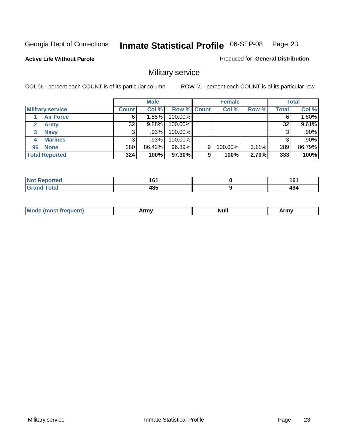**Active Life Without Parole** 

Produced for **General Distribution**

## Military service

|                         |              | <b>Male</b> |             |   | <b>Female</b> |          |       | <b>Total</b> |
|-------------------------|--------------|-------------|-------------|---|---------------|----------|-------|--------------|
| <b>Military service</b> | <b>Count</b> | Col %       | Row % Count |   | Col %         | Row %    | Total | Col %        |
| <b>Air Force</b>        | 6.           | 1.85%       | 100.00%     |   |               |          |       | 1.80%        |
| <b>Army</b>             | 32           | $9.88\%$    | 100.00%     |   |               |          | 32    | 9.61%        |
| <b>Navy</b><br>3        |              | .93%        | 100.00%     |   |               |          |       | $.90\%$      |
| <b>Marines</b><br>4     | 3            | .93%        | 100.00%     |   |               |          |       | $.90\%$      |
| 96 None                 | 280          | 86.42%      | 96.89%      | 9 | 100.00%       | $3.11\%$ | 289   | 86.79%       |
| <b>Total Reported</b>   | 324          | 100%        | 97.30%      | 9 | 100%          | 2.70%    | 333   | 100%         |

| <b>\rted</b> | .<br>. .<br>__    | 4 C 4<br>ιv<br>$\sim$ |
|--------------|-------------------|-----------------------|
| Coto!        | <b>AOE</b><br>10J | 494                   |

| M<br><b>IVUII</b><br>.<br>. |
|-----------------------------|
|-----------------------------|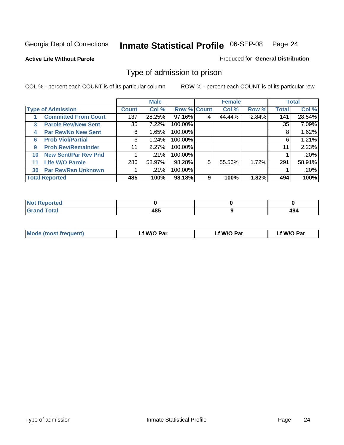#### **Active Life Without Parole**

#### Produced for **General Distribution**

#### Type of admission to prison

|    |                             |              | <b>Male</b> |                    |   | <b>Female</b> |       |              | <b>Total</b> |
|----|-----------------------------|--------------|-------------|--------------------|---|---------------|-------|--------------|--------------|
|    | <b>Type of Admission</b>    | <b>Count</b> | Col %       | <b>Row % Count</b> |   | Col %         | Row % | <b>Total</b> | Col %        |
|    | <b>Committed From Court</b> | 137          | 28.25%      | 97.16%             | 4 | 44.44%        | 2.84% | 141          | 28.54%       |
| 3  | <b>Parole Rev/New Sent</b>  | 35           | 7.22%       | 100.00%            |   |               |       | 35           | 7.09%        |
| 4  | <b>Par Rev/No New Sent</b>  | 8            | 1.65%       | 100.00%            |   |               |       | 8            | 1.62%        |
| 6  | <b>Prob Viol/Partial</b>    | 6            | 1.24%       | 100.00%            |   |               |       | 6            | 1.21%        |
| 9  | <b>Prob Rev/Remainder</b>   | 11           | 2.27%       | 100.00%            |   |               |       | 11           | 2.23%        |
| 10 | <b>New Sent/Par Rev Pnd</b> |              | .21%        | 100.00%            |   |               |       |              | .20%         |
| 11 | <b>Life W/O Parole</b>      | 286          | 58.97%      | 98.28%             | 5 | 55.56%        | 1.72% | 291          | 58.91%       |
| 30 | <b>Par Rev/Rsn Unknown</b>  |              | .21%        | 100.00%            |   |               |       |              | .20%         |
|    | <b>Total Reported</b>       | 485          | 100%        | 98.18%             | 9 | 100%          | 1.82% | 494          | 100%         |

| eported                           |              |                  |
|-----------------------------------|--------------|------------------|
| <b>Total</b><br><b></b><br>$\sim$ | 10 E<br>"ເວະ | $A\Omega$<br>434 |

| <b>Mode (most frequent)</b> | f W/O Par | f W/O Par | W/O Par |
|-----------------------------|-----------|-----------|---------|
|                             |           |           |         |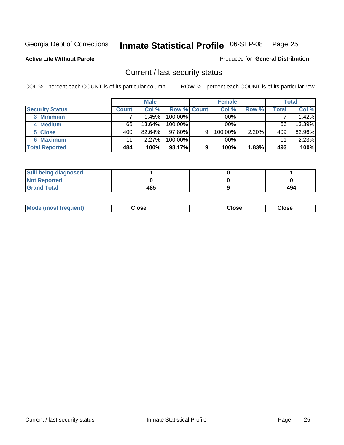**Active Life Without Parole** 

Produced for **General Distribution**

#### Current / last security status

|                        |              | <b>Male</b> |                    |   | <b>Female</b> |       |       | <b>Total</b> |
|------------------------|--------------|-------------|--------------------|---|---------------|-------|-------|--------------|
| <b>Security Status</b> | <b>Count</b> | Col %       | <b>Row % Count</b> |   | Col %         | Row % | Total | Col %        |
| 3 Minimum              |              | 1.45%       | $100.00\%$         |   | .00%          |       |       | 1.42%        |
| 4 Medium               | 66           | 13.64%      | $100.00\%$         |   | $.00\%$       |       | 66    | 13.39%       |
| 5 Close                | 400          | $82.64\%$   | $97.80\%$          | 9 | 100.00%       | 2.20% | 409   | 82.96%       |
| 6 Maximum              | 11           | 2.27%       | $100.00\%$         |   | .00%          |       | 11    | 2.23%        |
| <b>Total Reported</b>  | 484          | 100%        | 98.17%             | 9 | 100%          | 1.83% | 493   | 100%         |

| <b>Still being diagnosed</b> |     |     |
|------------------------------|-----|-----|
| <b>Not Reported</b>          |     |     |
| <b>Grand Total</b>           | 485 | 494 |

|  | Mo<br>frequent)<br>ww | Close<br>. | ∵lose<br>. | <b>OSE</b><br>. |
|--|-----------------------|------------|------------|-----------------|
|--|-----------------------|------------|------------|-----------------|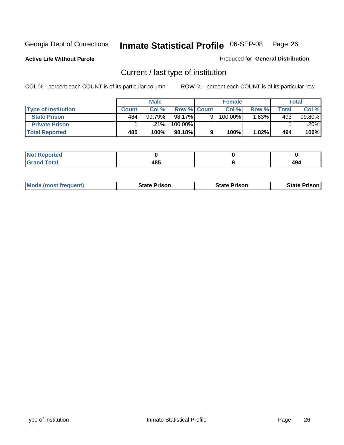**Active Life Without Parole** 

Produced for **General Distribution**

## Current / last type of institution

|                            |       | <b>Male</b> |                    | <b>Female</b> |       |       | <b>Total</b> |
|----------------------------|-------|-------------|--------------------|---------------|-------|-------|--------------|
| <b>Type of Institution</b> | Count | Col %       | <b>Row % Count</b> | Col%          | Row % | Total | Col %        |
| <b>State Prison</b>        | 484   | 99.79%      | 98.17%             | 100.00%       | .83%  | 493   | 99.80%       |
| <b>Private Prison</b>      |       | .21% '      | 100.00%            |               |       |       | .20%         |
| <b>Total Reported</b>      | 485   | 100%        | 98.18%             | 100%          | 1.82% | 494   | 100%         |

| τeα |      |     |
|-----|------|-----|
| int | 10 E | "   |
| --  | 40J  | - 3 |

| <b>Mode (most frequent)</b> | State Prison | <b>State Prison</b> | <b>State Prison</b> |
|-----------------------------|--------------|---------------------|---------------------|
|                             |              |                     |                     |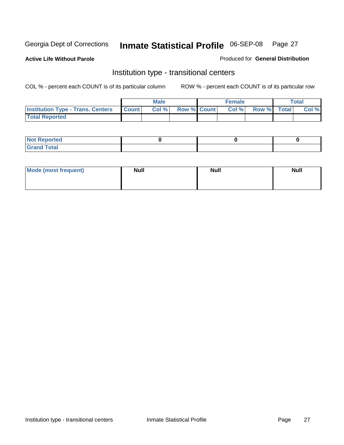**Active Life Without Parole** 

Produced for **General Distribution**

#### Institution type - transitional centers

|                                          |              | <b>Male</b> |                    | <b>Female</b> |             | Total |
|------------------------------------------|--------------|-------------|--------------------|---------------|-------------|-------|
| <b>Institution Type - Trans. Centers</b> | <b>Count</b> | Col%        | <b>Row % Count</b> | Col %         | Row % Total | Col % |
| <b>Total Reported</b>                    |              |             |                    |               |             |       |

| <b>Reported</b><br>$\sim$  |  |  |
|----------------------------|--|--|
| ota<br>C.v.<br>-<br>______ |  |  |

| Mode (most frequent) | <b>Null</b> | <b>Null</b> | <b>Null</b> |
|----------------------|-------------|-------------|-------------|
|                      |             |             |             |
|                      |             |             |             |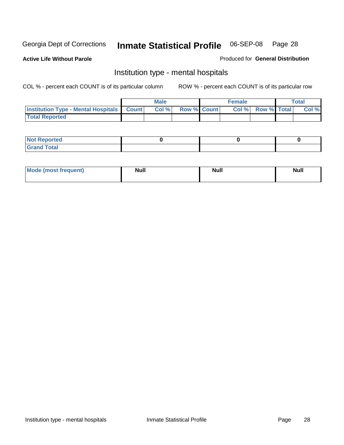**Active Life Without Parole** 

Produced for **General Distribution**

#### Institution type - mental hospitals

|                                                  | <b>Male</b> |                    | <b>Female</b> |                   | <b>Total</b> |
|--------------------------------------------------|-------------|--------------------|---------------|-------------------|--------------|
| <b>Institution Type - Mental Hospitals Count</b> | Col%        | <b>Row % Count</b> |               | Col % Row % Total | Col %        |
| <b>Total Reported</b>                            |             |                    |               |                   |              |

| <b>Not Reported</b> |  |  |
|---------------------|--|--|
| <b>Total</b><br>Cro |  |  |

| Mode (most frequent) | <b>Null</b> | <b>Null</b> | <b>Null</b> |
|----------------------|-------------|-------------|-------------|
|                      |             |             |             |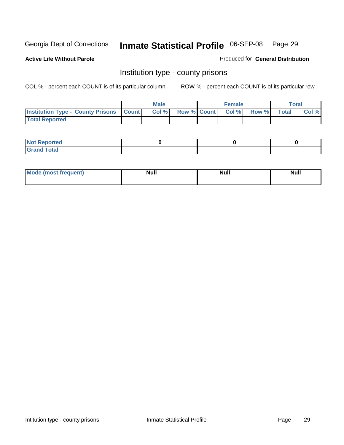**Active Life Without Parole** 

Produced for **General Distribution**

#### Institution type - county prisons

|                                                    | <b>Male</b> |  | <b>Female</b>            |              |       | Total |
|----------------------------------------------------|-------------|--|--------------------------|--------------|-------|-------|
| <b>Institution Type - County Prisons   Count  </b> | Col %       |  | <b>Row % Count Col %</b> | <b>Row %</b> | Total | Col % |
| <b>Total Reported</b>                              |             |  |                          |              |       |       |

| <b>Not</b><br><b>Reported</b> |  |  |
|-------------------------------|--|--|
| <b>Grand Total</b>            |  |  |

| Mode (m<br>frequent):<br>nnst | Moll<br>чин.<br>_____ | <b>Moll</b> | <b>Null</b> |
|-------------------------------|-----------------------|-------------|-------------|
|                               |                       |             |             |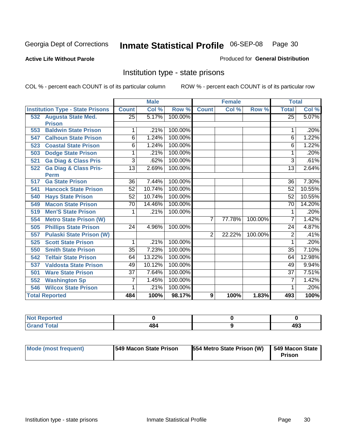#### **Active Life Without Parole**

#### Produced for **General Distribution**

#### Institution type - state prisons

|                       |                                         |                 | <b>Male</b> |         |                | <b>Female</b> |         | <b>Total</b>    |          |
|-----------------------|-----------------------------------------|-----------------|-------------|---------|----------------|---------------|---------|-----------------|----------|
|                       | <b>Institution Type - State Prisons</b> | <b>Count</b>    | Col %       | Row %   | <b>Count</b>   | Col %         | Row %   | <b>Total</b>    | Col %    |
| 532                   | <b>Augusta State Med.</b>               | $\overline{25}$ | 5.17%       | 100.00% |                |               |         | $\overline{25}$ | 5.07%    |
| <b>Prison</b>         |                                         |                 |             |         |                |               |         |                 |          |
| 553                   | <b>Baldwin State Prison</b>             | 1               | .21%        | 100.00% |                |               |         |                 | .20%     |
| 547                   | <b>Calhoun State Prison</b>             | 6               | 1.24%       | 100.00% |                |               |         | 6               | 1.22%    |
| 523                   | <b>Coastal State Prison</b>             | 6               | 1.24%       | 100.00% |                |               |         | 6               | 1.22%    |
| 503                   | <b>Dodge State Prison</b>               | 1               | .21%        | 100.00% |                |               |         | 1               | .20%     |
| 521                   | <b>Ga Diag &amp; Class Pris</b>         | 3               | .62%        | 100.00% |                |               |         | 3               | .61%     |
| 522                   | <b>Ga Diag &amp; Class Pris-</b>        | $\overline{13}$ | 2.69%       | 100.00% |                |               |         | $\overline{13}$ | 2.64%    |
| <b>Perm</b>           |                                         |                 |             |         |                |               |         |                 |          |
| 517                   | <b>Ga State Prison</b>                  | 36              | 7.44%       | 100.00% |                |               |         | 36              | 7.30%    |
| 541                   | <b>Hancock State Prison</b>             | 52              | 10.74%      | 100.00% |                |               |         | 52              | 10.55%   |
| 540                   | <b>Hays State Prison</b>                | 52              | 10.74%      | 100.00% |                |               |         | 52              | 10.55%   |
| 549                   | <b>Macon State Prison</b>               | $\overline{70}$ | 14.46%      | 100.00% |                |               |         | $\overline{70}$ | 14.20%   |
| 519                   | <b>Men'S State Prison</b>               | 1               | .21%        | 100.00% |                |               |         | 1               | .20%     |
| 554                   | <b>Metro State Prison (W)</b>           |                 |             |         | $\overline{7}$ | 77.78%        | 100.00% | 7               | 1.42%    |
| 505                   | <b>Phillips State Prison</b>            | $\overline{24}$ | 4.96%       | 100.00% |                |               |         | 24              | 4.87%    |
| 557                   | <b>Pulaski State Prison (W)</b>         |                 |             |         | $\overline{2}$ | 22.22%        | 100.00% | 2               | .41%     |
| 525                   | <b>Scott State Prison</b>               | 1               | .21%        | 100.00% |                |               |         | 1               | .20%     |
| 550                   | <b>Smith State Prison</b>               | $\overline{35}$ | 7.23%       | 100.00% |                |               |         | $\overline{35}$ | 7.10%    |
| 542                   | <b>Telfair State Prison</b>             | 64              | 13.22%      | 100.00% |                |               |         | 64              | 12.98%   |
| 537                   | <b>Valdosta State Prison</b>            | 49              | 10.12%      | 100.00% |                |               |         | 49              | $9.94\%$ |
| 501                   | <b>Ware State Prison</b>                | $\overline{37}$ | 7.64%       | 100.00% |                |               |         | $\overline{37}$ | 7.51%    |
| 552                   | <b>Washington Sp</b>                    | 7               | 1.45%       | 100.00% |                |               |         | 7               | 1.42%    |
| 546                   | <b>Wilcox State Prison</b>              | 1               | .21%        | 100.00% |                |               |         | 1               | .20%     |
| <b>Total Reported</b> |                                         | 484             | 100%        | 98.17%  | 9              | 100%          | 1.83%   | 493             | 100%     |

| <b>Not Reported</b> |     |            |
|---------------------|-----|------------|
| <b>Grand Total</b>  | 484 | れへつ<br>493 |

| <b>Mode (most frequent)</b> | <b>1549 Macon State Prison</b> | 554 Metro State Prison (W)   549 Macon State | Prison |
|-----------------------------|--------------------------------|----------------------------------------------|--------|
|                             |                                |                                              |        |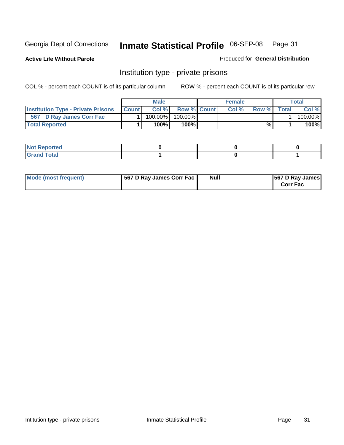**Active Life Without Parole** 

Produced for **General Distribution**

#### Institution type - private prisons

|                                           |              | <b>Male</b> |               | <b>Female</b> |       |       | Total   |
|-------------------------------------------|--------------|-------------|---------------|---------------|-------|-------|---------|
| <b>Institution Type - Private Prisons</b> | <b>Count</b> | Col %       | Row % Count   | Col %         | Row % | Total | Col %   |
| 567 D Ray James Corr Fac                  |              | $100.00\%$  | 100.00%       |               |       |       | 100.00% |
| <b>Total Reported</b>                     |              | 100%        | 100% <b>I</b> |               | %     |       | 100%    |

| Not Reported         |  |  |
|----------------------|--|--|
| <b>Total</b><br>re e |  |  |

| Mode (most frequent) | 567 D Ray James Corr Fac | <b>Null</b> | <b>567 D Ray James</b><br><b>Corr Fac</b> |
|----------------------|--------------------------|-------------|-------------------------------------------|
|----------------------|--------------------------|-------------|-------------------------------------------|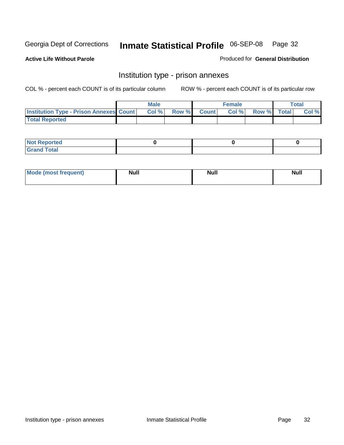**Active Life Without Parole** 

Produced for **General Distribution**

#### Institution type - prison annexes

|                                                | <b>Male</b> |              |                | <b>Female</b> |             | <b>Total</b> |
|------------------------------------------------|-------------|--------------|----------------|---------------|-------------|--------------|
| <b>Institution Type - Prison Annexes Count</b> | Col %       | <b>Row %</b> | <b>Count</b> Ⅰ | Col%          | Row % Total | Col %        |
| <b>Total Reported</b>                          |             |              |                |               |             |              |

| <b>Not Reported</b>            |  |  |
|--------------------------------|--|--|
| <b>Total</b><br>Croi<br>$\sim$ |  |  |

| Mode (most frequent) | <b>Null</b> | <b>Null</b> | <b>Null</b> |
|----------------------|-------------|-------------|-------------|
|                      |             |             |             |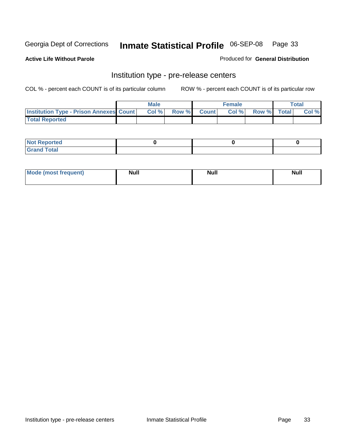**Active Life Without Parole** 

Produced for **General Distribution**

#### Institution type - pre-release centers

|                                                | <b>Male</b> |       |              | <b>Female</b> |             | <b>Total</b> |
|------------------------------------------------|-------------|-------|--------------|---------------|-------------|--------------|
| <b>Institution Type - Prison Annexes Count</b> | Col%        | Row % | <b>Count</b> | Col%          | Row % Total | Col %        |
| <b>Total Reported</b>                          |             |       |              |               |             |              |

| <b>Not</b><br><b>Reported</b>    |  |  |
|----------------------------------|--|--|
| <b>Total</b><br>Gran<br>$\sim$ . |  |  |

| Mode (most frequent) | <b>Null</b> | <b>Null</b> | <b>Null</b> |
|----------------------|-------------|-------------|-------------|
|                      |             |             |             |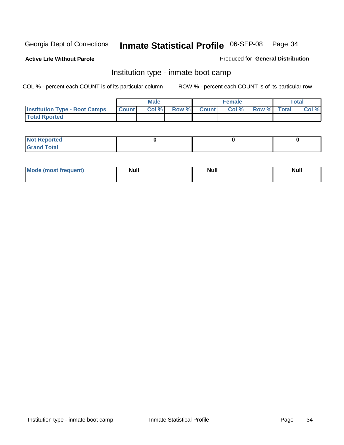**Active Life Without Parole** 

Produced for **General Distribution**

#### Institution type - inmate boot camp

|                                      |              | <b>Male</b> |                    | <b>Female</b> |             | <b>Total</b> |
|--------------------------------------|--------------|-------------|--------------------|---------------|-------------|--------------|
| <b>Institution Type - Boot Camps</b> | <b>Count</b> | Col%        | <b>Row % Count</b> | Col%          | Row % Total | Col %        |
| <b>Total Rported</b>                 |              |             |                    |               |             |              |

| <b>Not Reported</b>  |  |  |
|----------------------|--|--|
| <b>Total</b><br>Croy |  |  |

| Mode (most frequent) | <b>Null</b> | <b>Null</b> | <b>Null</b> |
|----------------------|-------------|-------------|-------------|
|                      |             |             |             |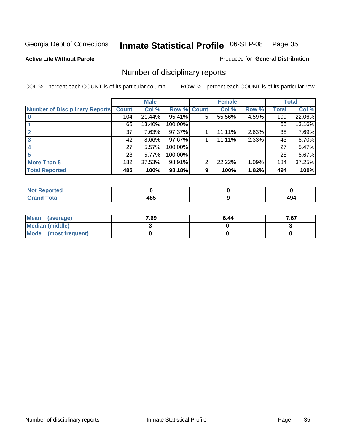**Active Life Without Parole** 

Produced for **General Distribution**

## Number of disciplinary reports

|                                       |              | <b>Male</b> |             |   | <b>Female</b> |          |              | <b>Total</b> |
|---------------------------------------|--------------|-------------|-------------|---|---------------|----------|--------------|--------------|
| <b>Number of Disciplinary Reports</b> | <b>Count</b> | Col %       | Row % Count |   | Col %         | Row %    | <b>Total</b> | Col %        |
|                                       | 104          | 21.44%      | 95.41%      | 5 | 55.56%        | 4.59%    | 109          | 22.06%       |
|                                       | 65           | 13.40%      | 100.00%     |   |               |          | 65           | 13.16%       |
|                                       | 37           | 7.63%       | 97.37%      |   | 11.11%        | $2.63\%$ | 38           | 7.69%        |
| 3                                     | 42           | $8.66\%$    | 97.67%      |   | 11.11%        | 2.33%    | 43           | 8.70%        |
|                                       | 27           | 5.57%       | 100.00%     |   |               |          | 27           | 5.47%        |
|                                       | 28           | 5.77%       | 100.00%     |   |               |          | 28           | 5.67%        |
| <b>More Than 5</b>                    | 182          | 37.53%      | 98.91%      | 2 | 22.22%        | 1.09%    | 184          | 37.25%       |
| <b>Total Reported</b>                 | 485          | 100%        | 98.18%      | 9 | 100%          | 1.82%    | 494          | 100%         |

| .<br>w<br>veu. |           |                 |
|----------------|-----------|-----------------|
| $\sim$         | .<br>$ -$ | c<br>194<br>$-$ |

| Mean (average)       | 7.69 | 6.44 | 7c7<br>0، / |
|----------------------|------|------|-------------|
| Median (middle)      |      |      |             |
| Mode (most frequent) |      |      |             |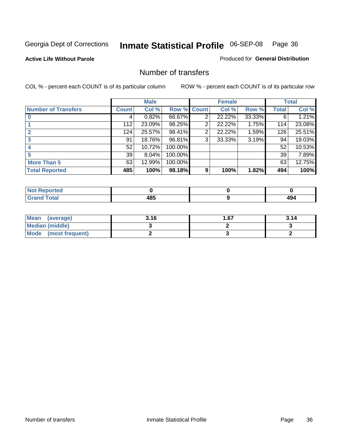**Active Life Without Parole** 

Produced for **General Distribution**

#### Number of transfers

|                            |         | <b>Male</b> |         |              | <b>Female</b> |        |              | <b>Total</b> |
|----------------------------|---------|-------------|---------|--------------|---------------|--------|--------------|--------------|
| <b>Number of Transfers</b> | Count l | Col %       | Row %   | <b>Count</b> | Col %         | Row %  | <b>Total</b> | Col %        |
|                            | 4       | 0.82%       | 66.67%  | 2            | 22.22%        | 33.33% | 6            | 1.21%        |
|                            | 112     | 23.09%      | 98.25%  | 2            | 22.22%        | 1.75%  | 114          | 23.08%       |
| $\mathbf{2}$               | 124     | 25.57%      | 98.41%  | 2            | 22.22%        | 1.59%  | 126          | 25.51%       |
|                            | 91      | 18.76%      | 96.81%  | 3            | 33.33%        | 3.19%  | 94           | 19.03%       |
|                            | 52      | 10.72%      | 100.00% |              |               |        | 52           | 10.53%       |
|                            | 39      | 8.04%       | 100.00% |              |               |        | 39           | 7.89%        |
| <b>More Than 5</b>         | 63      | 12.99%      | 100.00% |              |               |        | 63           | 12.75%       |
| <b>Total Reported</b>      | 485     | 100%        | 98.18%  | 9            | 100%          | 1.82%  | 494          | 100%         |

| NO<br>rer |                  |             |
|-----------|------------------|-------------|
| ______    | .<br>40.<br>$ -$ | - 3<br>$ -$ |

| Mean (average)         | 3.16 | 1.67 | 3.14 |
|------------------------|------|------|------|
| <b>Median (middle)</b> |      |      |      |
| Mode (most frequent)   |      |      |      |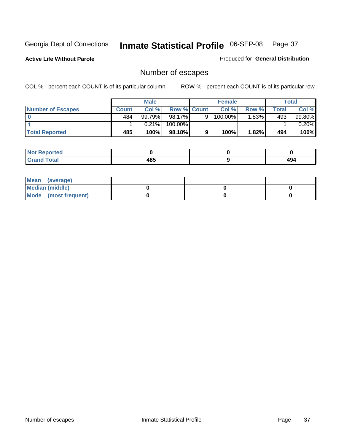**Active Life Without Parole** 

Produced for **General Distribution**

# Number of escapes

|                       |         | <b>Male</b> |                    |   | <b>Female</b> |          |       | <b>Total</b> |
|-----------------------|---------|-------------|--------------------|---|---------------|----------|-------|--------------|
| Number of Escapes     | Count l | Col %       | <b>Row % Count</b> |   | Col%          | Row %    | Total | Col %        |
|                       | 484     | 99.79%      | $98.17\%$          | 9 | 100.00%       | $1.83\%$ | 493   | 99.80%       |
|                       |         | 0.21%       | 100.00%            |   |               |          |       | 0.20%        |
| <b>Total Reported</b> | 485     | 100%        | $98.18\%$          |   | 100%          | 1.82%    | 494   | 100%         |

| rreo                            |                   |           |
|---------------------------------|-------------------|-----------|
| <b>otal</b><br>$\mathbf{v}$ and | AOC<br>-42<br>rv. | ໍ່<br>494 |

| Mean (average)       |  |  |
|----------------------|--|--|
| Median (middle)      |  |  |
| Mode (most frequent) |  |  |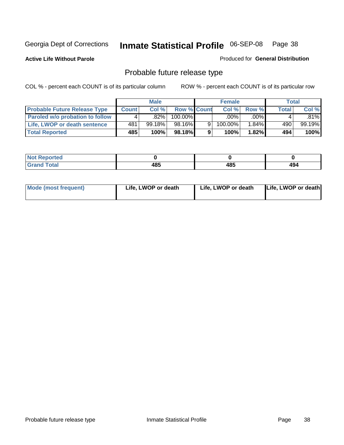**Active Life Without Parole** 

Produced for **General Distribution**

# Probable future release type

|                                        |              | <b>Male</b> |                    |   | <b>Female</b> |          |              | Total  |
|----------------------------------------|--------------|-------------|--------------------|---|---------------|----------|--------------|--------|
| <b>Probable Future Release Type</b>    | <b>Count</b> | Col%        | <b>Row % Count</b> |   | Col %         | Row %    | <b>Total</b> | Col %  |
| <b>Paroled w/o probation to follow</b> |              | .82%        | 100.00%            |   | .00%          | $.00\%$  |              | .81%l  |
| Life, LWOP or death sentence           | 481          | $99.18\%$   | 98.16%             | 9 | 100.00%       | $1.84\%$ | 490          | 99.19% |
| <b>Total Reported</b>                  | 485          | 100%        | 98.18%             | 9 | 100%          | 1.82%I   | 494          | 100%   |

| ted <sup>-</sup> |             |     |     |
|------------------|-------------|-----|-----|
| 'otal            | 10 E<br>4໐ະ | 485 | 494 |

| Mode (most frequent) | Life, LWOP or death | Life, LWOP or death | Life, LWOP or death |
|----------------------|---------------------|---------------------|---------------------|
|                      |                     |                     |                     |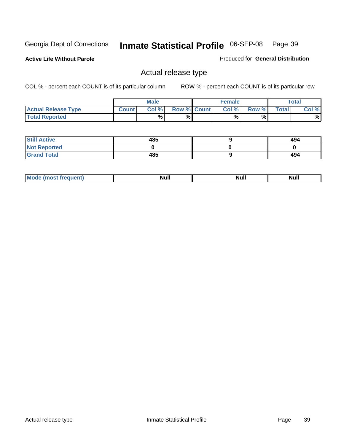**Active Life Without Parole** 

Produced for **General Distribution**

### Actual release type

|                            |              | <b>Male</b> |                    | <b>Female</b> |       |              | Total |
|----------------------------|--------------|-------------|--------------------|---------------|-------|--------------|-------|
| <b>Actual Release Type</b> | <b>Count</b> | Col %       | <b>Row % Count</b> | Col %         | Row % | <b>Total</b> | Col % |
| <b>Total Reported</b>      |              | $\%$        | %                  | %             | %     |              | %     |

| <b>Still Active</b> | 485 | 494 |
|---------------------|-----|-----|
| <b>Not Reported</b> |     |     |
| <b>Grand Total</b>  | 485 | 494 |

| īМ | м.<br>$-$ - $-$ - $-$ | Null | $\cdots$ |
|----|-----------------------|------|----------|
|    |                       |      |          |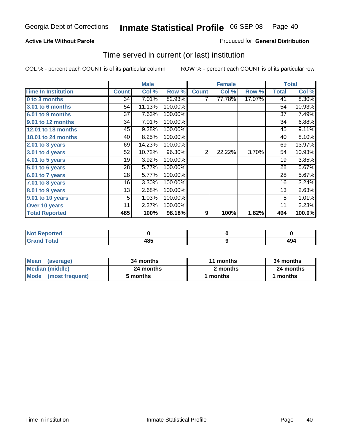#### **Active Life Without Parole**

#### Produced for **General Distribution**

### Time served in current (or last) institution

|                            |              | <b>Male</b> |         |              | <b>Female</b> |        |              | <b>Total</b> |
|----------------------------|--------------|-------------|---------|--------------|---------------|--------|--------------|--------------|
| <b>Time In Institution</b> | <b>Count</b> | Col %       | Row %   | <b>Count</b> | Col %         | Row %  | <b>Total</b> | Col %        |
| 0 to 3 months              | 34           | 7.01%       | 82.93%  |              | 77.78%        | 17.07% | 41           | 8.30%        |
| 3.01 to 6 months           | 54           | 11.13%      | 100.00% |              |               |        | 54           | 10.93%       |
| 6.01 to 9 months           | 37           | 7.63%       | 100.00% |              |               |        | 37           | 7.49%        |
| 9.01 to 12 months          | 34           | 7.01%       | 100.00% |              |               |        | 34           | 6.88%        |
| 12.01 to 18 months         | 45           | 9.28%       | 100.00% |              |               |        | 45           | 9.11%        |
| 18.01 to 24 months         | 40           | 8.25%       | 100.00% |              |               |        | 40           | 8.10%        |
| 2.01 to 3 years            | 69           | 14.23%      | 100.00% |              |               |        | 69           | 13.97%       |
| $3.01$ to 4 years          | 52           | 10.72%      | 96.30%  | 2            | 22.22%        | 3.70%  | 54           | 10.93%       |
| 4.01 to 5 years            | 19           | 3.92%       | 100.00% |              |               |        | 19           | 3.85%        |
| 5.01 to 6 years            | 28           | 5.77%       | 100.00% |              |               |        | 28           | 5.67%        |
| 6.01 to 7 years            | 28           | 5.77%       | 100.00% |              |               |        | 28           | 5.67%        |
| $7.01$ to 8 years          | 16           | 3.30%       | 100.00% |              |               |        | 16           | 3.24%        |
| 8.01 to 9 years            | 13           | 2.68%       | 100.00% |              |               |        | 13           | 2.63%        |
| 9.01 to 10 years           | 5            | 1.03%       | 100.00% |              |               |        | 5            | 1.01%        |
| Over 10 years              | 11           | 2.27%       | 100.00% |              |               |        | 11           | 2.23%        |
| <b>Total Reported</b>      | 485          | 100%        | 98.18%  | 9            | 100%          | 1.82%  | 494          | 100.0%       |

| <b>Reported</b><br><b>NOT</b> |            |      |
|-------------------------------|------------|------|
| <b>Total</b>                  | 10E<br>103 | - 77 |

| <b>Mean</b><br>(average) | 34 months | 11 months | 34 months |  |
|--------------------------|-----------|-----------|-----------|--|
| Median (middle)          | 24 months | 2 months  | 24 months |  |
| Mode (most frequent)     | 5 months  | ' months  | months    |  |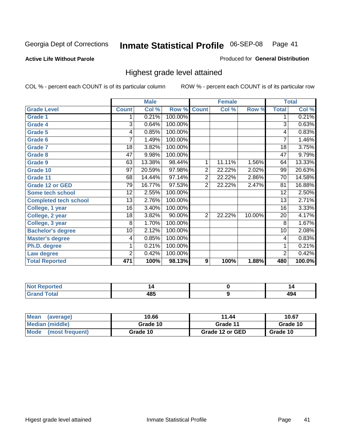#### **Active Life Without Parole**

#### Produced for **General Distribution**

### Highest grade level attained

|                              |                 | <b>Male</b> |         |                | <b>Female</b> |        |                 | <b>Total</b> |
|------------------------------|-----------------|-------------|---------|----------------|---------------|--------|-----------------|--------------|
| <b>Grade Level</b>           | <b>Count</b>    | Col %       | Row %   | <b>Count</b>   | Col %         | Row %  | <b>Total</b>    | Col %        |
| <b>Grade 1</b>               | 1               | 0.21%       | 100.00% |                |               |        | 1               | 0.21%        |
| <b>Grade 4</b>               | 3               | 0.64%       | 100.00% |                |               |        | 3               | 0.63%        |
| <b>Grade 5</b>               | 4               | 0.85%       | 100.00% |                |               |        | 4               | 0.83%        |
| Grade 6                      | 7               | 1.49%       | 100.00% |                |               |        | 7               | 1.46%        |
| <b>Grade 7</b>               | 18              | 3.82%       | 100.00% |                |               |        | 18              | 3.75%        |
| <b>Grade 8</b>               | $\overline{47}$ | 9.98%       | 100.00% |                |               |        | 47              | 9.79%        |
| Grade 9                      | 63              | 13.38%      | 98.44%  | 1              | 11.11%        | 1.56%  | 64              | 13.33%       |
| Grade 10                     | $\overline{97}$ | 20.59%      | 97.98%  | $\overline{2}$ | 22.22%        | 2.02%  | 99              | 20.63%       |
| Grade 11                     | 68              | 14.44%      | 97.14%  | $\overline{2}$ | 22.22%        | 2.86%  | 70              | 14.58%       |
| <b>Grade 12 or GED</b>       | 79              | 16.77%      | 97.53%  | 2              | 22.22%        | 2.47%  | 81              | 16.88%       |
| <b>Some tech school</b>      | $\overline{12}$ | 2.55%       | 100.00% |                |               |        | $\overline{12}$ | 2.50%        |
| <b>Completed tech school</b> | 13              | 2.76%       | 100.00% |                |               |        | 13              | 2.71%        |
| College, 1 year              | 16              | 3.40%       | 100.00% |                |               |        | 16              | 3.33%        |
| College, 2 year              | 18              | 3.82%       | 90.00%  | 2              | 22.22%        | 10.00% | 20              | 4.17%        |
| College, 3 year              | 8               | 1.70%       | 100.00% |                |               |        | 8               | 1.67%        |
| <b>Bachelor's degree</b>     | 10              | 2.12%       | 100.00% |                |               |        | 10              | 2.08%        |
| <b>Master's degree</b>       | 4               | 0.85%       | 100.00% |                |               |        | 4               | 0.83%        |
| Ph.D. degree                 | 1               | 0.21%       | 100.00% |                |               |        | 1               | 0.21%        |
| Law degree                   | $\overline{2}$  | 0.42%       | 100.00% |                |               |        | $\overline{2}$  | 0.42%        |
| <b>Total Reported</b>        | 471             | 100%        | 98.13%  | 9              | 100%          | 1.88%  | 480             | 100.0%       |

| A (CIO) |             |          |
|---------|-------------|----------|
| $\sim$  | 10 E<br>40. | 40<br>᠇৺ |

| <b>Mean</b><br>(average) | 10.66    | 11.44           | 10.67    |
|--------------------------|----------|-----------------|----------|
| Median (middle)          | Grade 10 | Grade 11        | Grade 10 |
| Mode (most frequent)     | Grade 10 | Grade 12 or GED | Grade 10 |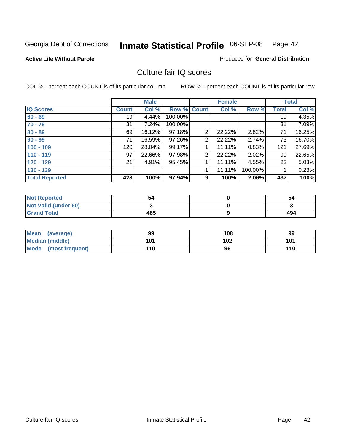#### **Active Life Without Parole**

#### Produced for **General Distribution**

### Culture fair IQ scores

|                       |              | <b>Male</b> |             |                | <b>Female</b> |         |              | <b>Total</b> |
|-----------------------|--------------|-------------|-------------|----------------|---------------|---------|--------------|--------------|
| <b>IQ Scores</b>      | <b>Count</b> | Col %       | Row % Count |                | Col %         | Row %   | <b>Total</b> | Col %        |
| $60 - 69$             | 19           | 4.44%       | 100.00%     |                |               |         | 19           | 4.35%        |
| $70 - 79$             | 31           | 7.24%       | 100.00%     |                |               |         | 31           | 7.09%        |
| $80 - 89$             | 69           | 16.12%      | 97.18%      | $\overline{2}$ | 22.22%        | 2.82%   | 71           | 16.25%       |
| $90 - 99$             | 71           | 16.59%      | 97.26%      | 2              | 22.22%        | 2.74%   | 73           | 16.70%       |
| $100 - 109$           | 120          | 28.04%      | 99.17%      |                | 11.11%        | 0.83%   | 121          | 27.69%       |
| $110 - 119$           | 97           | 22.66%      | 97.98%      | 2              | 22.22%        | 2.02%   | 99           | 22.65%       |
| $120 - 129$           | 21           | 4.91%       | 95.45%      | 1              | 11.11%        | 4.55%   | 22           | 5.03%        |
| $130 - 139$           |              |             |             |                | 11.11%        | 100.00% |              | 0.23%        |
| <b>Total Reported</b> | 428          | 100%        | 97.94%      | 9              | 100%          | 2.06%   | 437          | 100%         |

| <b>Not Reported</b>  | 54  | 54  |
|----------------------|-----|-----|
| Not Valid (under 60) |     |     |
| <b>Grand Total</b>   | 485 | 494 |

| <b>Mean</b><br>(average) | 99  | 108 | 99  |
|--------------------------|-----|-----|-----|
| <b>Median (middle)</b>   | 101 | 102 | 101 |
| Mode<br>(most frequent)  | 110 | 96  | 110 |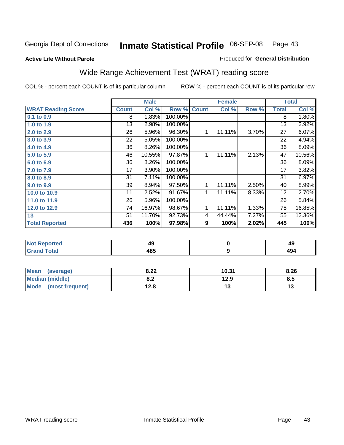#### **Active Life Without Parole**

#### Produced for **General Distribution**

# Wide Range Achievement Test (WRAT) reading score

COL % - percent each COUNT is of its particular column ROW % - percent each COUNT is of its particular row

 **9**

|                           |                 | <b>Male</b> |         |              | <b>Female</b> |       |                 | <b>Total</b> |
|---------------------------|-----------------|-------------|---------|--------------|---------------|-------|-----------------|--------------|
| <b>WRAT Reading Score</b> | <b>Count</b>    | Col %       | Row %   | <b>Count</b> | Col %         | Row % | <b>Total</b>    | Col %        |
| $0.1$ to $0.9$            | 8               | 1.83%       | 100.00% |              |               |       | 8               | 1.80%        |
| 1.0 to 1.9                | 13              | 2.98%       | 100.00% |              |               |       | 13              | 2.92%        |
| 2.0 to 2.9                | 26              | 5.96%       | 96.30%  | 1            | 11.11%        | 3.70% | 27              | 6.07%        |
| 3.0 to 3.9                | 22              | 5.05%       | 100.00% |              |               |       | 22              | 4.94%        |
| 4.0 to 4.9                | 36              | 8.26%       | 100.00% |              |               |       | 36              | 8.09%        |
| 5.0 to 5.9                | 46              | 10.55%      | 97.87%  | 1            | 11.11%        | 2.13% | 47              | 10.56%       |
| 6.0 to 6.9                | 36              | 8.26%       | 100.00% |              |               |       | 36              | 8.09%        |
| 7.0 to 7.9                | 17              | 3.90%       | 100.00% |              |               |       | 17              | 3.82%        |
| 8.0 to 8.9                | $\overline{31}$ | 7.11%       | 100.00% |              |               |       | $\overline{31}$ | 6.97%        |
| 9.0 to 9.9                | 39              | 8.94%       | 97.50%  | 1            | 11.11%        | 2.50% | 40              | 8.99%        |
| 10.0 to 10.9              | 11              | 2.52%       | 91.67%  | 1            | 11.11%        | 8.33% | 12              | 2.70%        |
| 11.0 to 11.9              | 26              | 5.96%       | 100.00% |              |               |       | 26              | 5.84%        |
| 12.0 to 12.9              | 74              | 16.97%      | 98.67%  | 1            | 11.11%        | 1.33% | 75              | 16.85%       |
| 13                        | 51              | 11.70%      | 92.73%  | 4            | 44.44%        | 7.27% | 55              | 12.36%       |
| <b>Total Reported</b>     | 436             | 100%        | 97.98%  | 9            | 100%          | 2.02% | 445             | 100%         |
|                           |                 |             |         |              |               |       |                 |              |
| <b>Not Reported</b>       |                 | 49          |         |              | $\mathbf 0$   |       |                 | 49           |

| Mean<br>(average)       | 8.22       | 10.31 | 8.26 |
|-------------------------|------------|-------|------|
| <b>Median (middle)</b>  | י ה<br>0.Z | 12.9  | ช.อ  |
| Mode<br>(most frequent) | 12.8       | 1 J   |      |

 **485**

 **Grand Total**

 **494**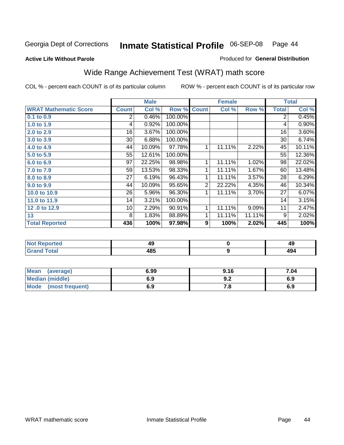Produced for **General Distribution**

#### **Active Life Without Parole**

# Wide Range Achievement Test (WRAT) math score

|                              |              | <b>Male</b> |         |                  | <b>Female</b> |        |              | <b>Total</b> |
|------------------------------|--------------|-------------|---------|------------------|---------------|--------|--------------|--------------|
| <b>WRAT Mathematic Score</b> | <b>Count</b> | Col %       | Row %   | <b>Count</b>     | Col %         | Row %  | <b>Total</b> | Col %        |
| $0.1$ to $0.9$               | 2            | 0.46%       | 100.00% |                  |               |        | 2            | 0.45%        |
| 1.0 to 1.9                   | 4            | 0.92%       | 100.00% |                  |               |        | 4            | 0.90%        |
| 2.0 to 2.9                   | 16           | 3.67%       | 100.00% |                  |               |        | 16           | 3.60%        |
| 3.0 to 3.9                   | 30           | 6.88%       | 100.00% |                  |               |        | 30           | 6.74%        |
| 4.0 to 4.9                   | 44           | 10.09%      | 97.78%  | 1                | 11.11%        | 2.22%  | 45           | 10.11%       |
| 5.0 to 5.9                   | 55           | 12.61%      | 100.00% |                  |               |        | 55           | 12.36%       |
| 6.0 to 6.9                   | 97           | 22.25%      | 98.98%  | 1                | 11.11%        | 1.02%  | 98           | 22.02%       |
| 7.0 to 7.9                   | 59           | 13.53%      | 98.33%  | 1                | 11.11%        | 1.67%  | 60           | 13.48%       |
| 8.0 to 8.9                   | 27           | 6.19%       | 96.43%  | 1                | 11.11%        | 3.57%  | 28           | 6.29%        |
| 9.0 to 9.9                   | 44           | 10.09%      | 95.65%  | $\overline{2}$   | 22.22%        | 4.35%  | 46           | 10.34%       |
| 10.0 to 10.9                 | 26           | 5.96%       | 96.30%  | 1                | 11.11%        | 3.70%  | 27           | 6.07%        |
| 11.0 to 11.9                 | 14           | 3.21%       | 100.00% |                  |               |        | 14           | 3.15%        |
| 12.0 to 12.9                 | 10           | 2.29%       | 90.91%  | 1                | 11.11%        | 9.09%  | 11           | 2.47%        |
| 13                           | 8            | 1.83%       | 88.89%  | 1                | 11.11%        | 11.11% | 9            | 2.02%        |
| <b>Total Reported</b>        | 436          | 100%        | 97.98%  | $\boldsymbol{9}$ | 100%          | 2.02%  | 445          | 100%         |
|                              |              |             |         |                  |               |        |              |              |
| <b>Not Reported</b>          |              | 49          |         |                  | $\pmb{0}$     |        |              | 49           |

| - | 10 E<br>40- | . |
|---|-------------|---|
|   |             |   |

| <b>Mean</b><br>(average) | 6.99 | 9.16 | 7.04 |
|--------------------------|------|------|------|
| Median (middle)          | 6.9  | J.Z  | 6.9  |
| Mode (most frequent)     | 6.9  |      | 6.9  |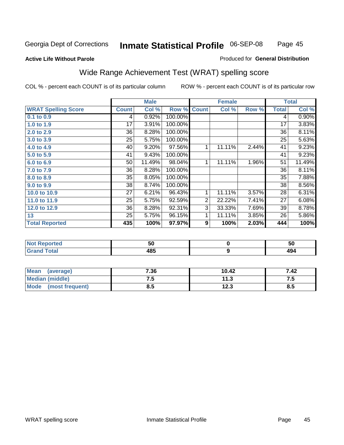Page 45

#### **Active Life Without Parole**

#### Produced for **General Distribution**

# Wide Range Achievement Test (WRAT) spelling score

|                            |              | <b>Male</b> |         |                | <b>Female</b> |       |              | <b>Total</b> |
|----------------------------|--------------|-------------|---------|----------------|---------------|-------|--------------|--------------|
| <b>WRAT Spelling Score</b> | <b>Count</b> | Col %       | Row %   | <b>Count</b>   | Col %         | Row % | <b>Total</b> | Col %        |
| 0.1 to 0.9                 | 4            | 0.92%       | 100.00% |                |               |       | 4            | 0.90%        |
| 1.0 to 1.9                 | 17           | 3.91%       | 100.00% |                |               |       | 17           | 3.83%        |
| 2.0 to 2.9                 | 36           | 8.28%       | 100.00% |                |               |       | 36           | 8.11%        |
| 3.0 to 3.9                 | 25           | 5.75%       | 100.00% |                |               |       | 25           | 5.63%        |
| 4.0 to 4.9                 | 40           | 9.20%       | 97.56%  | 1              | 11.11%        | 2.44% | 41           | 9.23%        |
| 5.0 to 5.9                 | 41           | 9.43%       | 100.00% |                |               |       | 41           | 9.23%        |
| 6.0 to 6.9                 | 50           | 11.49%      | 98.04%  | 1              | 11.11%        | 1.96% | 51           | 11.49%       |
| 7.0 to 7.9                 | 36           | 8.28%       | 100.00% |                |               |       | 36           | 8.11%        |
| 8.0 to 8.9                 | 35           | 8.05%       | 100.00% |                |               |       | 35           | 7.88%        |
| 9.0 to 9.9                 | 38           | 8.74%       | 100.00% |                |               |       | 38           | 8.56%        |
| 10.0 to 10.9               | 27           | 6.21%       | 96.43%  | 1              | 11.11%        | 3.57% | 28           | 6.31%        |
| 11.0 to 11.9               | 25           | 5.75%       | 92.59%  | $\overline{2}$ | 22.22%        | 7.41% | 27           | 6.08%        |
| 12.0 to 12.9               | 36           | 8.28%       | 92.31%  | 3              | 33.33%        | 7.69% | 39           | 8.78%        |
| 13                         | 25           | 5.75%       | 96.15%  | 1              | 11.11%        | 3.85% | 26           | 5.86%        |
| <b>Total Reported</b>      | 435          | 100%        | 97.97%  | 9              | 100%          | 2.03% | 444          | 100%         |
|                            |              |             |         |                |               |       |              |              |
| <b>Not Reported</b>        |              | 50          |         |                | $\mathbf 0$   |       |              | 50           |

| . <i>.</i> | $-$  | --             |
|------------|------|----------------|
| O(1)       | 10 L | $\overline{ }$ |
|            |      |                |
|            |      |                |

| <b>Mean</b><br>(average)       | 7.36 | 10.42         | 42: |
|--------------------------------|------|---------------|-----|
| <b>Median (middle)</b>         | ⊶י   | 11.3          |     |
| <b>Mode</b><br>(most frequent) | 8.5  | 1つ ?<br>1 Z.J | 8.5 |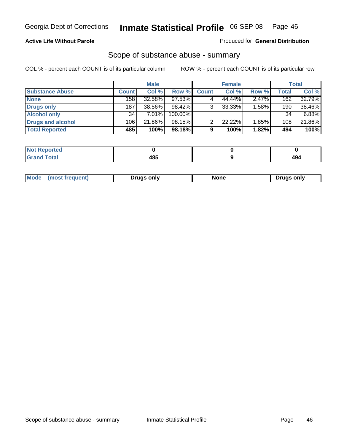#### **Active Life Without Parole**

#### Produced for **General Distribution**

### Scope of substance abuse - summary

|                        | <b>Male</b>  |          | <b>Female</b> |              |        | <b>Total</b> |              |        |
|------------------------|--------------|----------|---------------|--------------|--------|--------------|--------------|--------|
| <b>Substance Abuse</b> | <b>Count</b> | Col %    | Row %         | <b>Count</b> | Col %  | Row %        | <b>Total</b> | Col %  |
| <b>None</b>            | 158          | 32.58%   | 97.53%        |              | 44.44% | 2.47%        | 162          | 32.79% |
| Drugs only             | 187          | 38.56%   | $98.42\%$     | 3            | 33.33% | $1.58\%$     | 190          | 38.46% |
| <b>Alcohol only</b>    | 34           | $7.01\%$ | 100.00%       |              |        |              | 34           | 6.88%  |
| Drugs and alcohol      | 106          | 21.86%   | 98.15%        | ົ            | 22.22% | 1.85%        | 108          | 21.86% |
| <b>Total Reported</b>  | 485          | 100%     | 98.18%        | 9            | 100%   | 1.82%        | 494          | 100%   |

| <b>Reported</b><br>$\sim$ |      |                  |
|---------------------------|------|------------------|
| <b>Total</b><br>$\sim$    | 10 E | 10.<br>+J<br>$-$ |

|  | Mode<br>ונוצוווי | Druas onlv | None | only<br>Pruas . |
|--|------------------|------------|------|-----------------|
|--|------------------|------------|------|-----------------|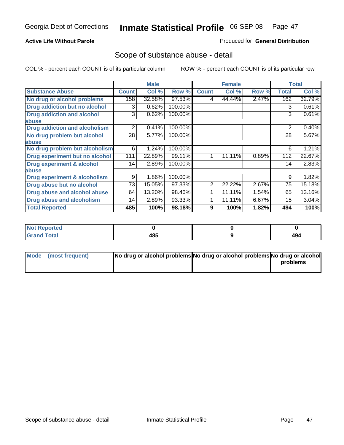#### **Active Life Without Parole**

#### Produced for **General Distribution**

### Scope of substance abuse - detail

|                                      |              | <b>Male</b> |         |              | <b>Female</b> |       |              | <b>Total</b> |
|--------------------------------------|--------------|-------------|---------|--------------|---------------|-------|--------------|--------------|
| <b>Substance Abuse</b>               | <b>Count</b> | Col %       | Row %   | <b>Count</b> | Col %         | Row % | <b>Total</b> | Col %        |
| No drug or alcohol problems          | 158          | 32.58%      | 97.53%  | 4            | 44.44%        | 2.47% | 162          | 32.79%       |
| Drug addiction but no alcohol        | 3            | 0.62%       | 100.00% |              |               |       | 3            | 0.61%        |
| <b>Drug addiction and alcohol</b>    | 3            | 0.62%       | 100.00% |              |               |       | 3            | 0.61%        |
| abuse                                |              |             |         |              |               |       |              |              |
| <b>Drug addiction and alcoholism</b> | 2            | 0.41%       | 100.00% |              |               |       | 2            | 0.40%        |
| No drug problem but alcohol          | 28           | 5.77%       | 100.00% |              |               |       | 28           | 5.67%        |
| abuse                                |              |             |         |              |               |       |              |              |
| No drug problem but alcoholism       | 6            | 1.24%       | 100.00% |              |               |       | 6            | 1.21%        |
| Drug experiment but no alcohol       | 111          | 22.89%      | 99.11%  | 1            | 11.11%        | 0.89% | 112          | 22.67%       |
| <b>Drug experiment &amp; alcohol</b> | 14           | 2.89%       | 100.00% |              |               |       | 14           | 2.83%        |
| abuse                                |              |             |         |              |               |       |              |              |
| Drug experiment & alcoholism         | 9            | 1.86%       | 100.00% |              |               |       | 9            | 1.82%        |
| Drug abuse but no alcohol            | 73           | 15.05%      | 97.33%  | 2            | 22.22%        | 2.67% | 75           | 15.18%       |
| Drug abuse and alcohol abuse         | 64           | 13.20%      | 98.46%  |              | 11.11%        | 1.54% | 65           | 13.16%       |
| Drug abuse and alcoholism            | 14           | 2.89%       | 93.33%  |              | 11.11%        | 6.67% | 15           | 3.04%        |
| <b>Total Reported</b>                | 485          | 100%        | 98.18%  | 9            | 100%          | 1.82% | 494          | 100%         |

| ∣Not Reported            |     |             |
|--------------------------|-----|-------------|
| <b>Total</b><br>$\sim$ . | 485 | ، ∩،<br>+34 |

| Mode (most frequent) | No drug or alcohol problems No drug or alcohol problems No drug or alcohol |          |
|----------------------|----------------------------------------------------------------------------|----------|
|                      |                                                                            | problems |
|                      |                                                                            |          |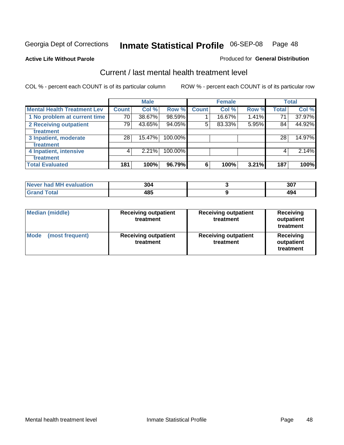#### **Active Life Without Parole**

#### Produced for **General Distribution**

### Current / last mental health treatment level

|                                    |              | <b>Male</b> |         |              | <b>Female</b> |          |              | <b>Total</b> |
|------------------------------------|--------------|-------------|---------|--------------|---------------|----------|--------------|--------------|
| <b>Mental Health Treatment Lev</b> | <b>Count</b> | Col %       | Row %   | <b>Count</b> | Col %         | Row %    | <b>Total</b> | Col %        |
| 1 No problem at current time       | 70           | 38.67%      | 98.59%  |              | 16.67%        | $1.41\%$ | 71           | 37.97%       |
| 2 Receiving outpatient             | 79           | 43.65%      | 94.05%  | 5            | 83.33%        | 5.95%    | 84           | 44.92%       |
| treatment                          |              |             |         |              |               |          |              |              |
| 3 Inpatient, moderate              | 28           | 15.47%      | 100.00% |              |               |          | 28           | 14.97%       |
| treatment                          |              |             |         |              |               |          |              |              |
| 4 Inpatient, intensive             | 4            | 2.21%       | 100.00% |              |               |          | 4            | 2.14%        |
| treatment                          |              |             |         |              |               |          |              |              |
| <b>Total Evaluated</b>             | 181          | 100%        | 96.79%  | 6            | 100%          | 3.21%    | 187          | 100%         |

| Never had MH evaluation | 304 | 307 |
|-------------------------|-----|-----|
| $T0+0$                  | 485 |     |

| <b>Median (middle)</b>         | <b>Receiving outpatient</b><br>treatment | <b>Receiving outpatient</b><br>treatment | <b>Receiving</b><br>outpatient<br>treatment |  |
|--------------------------------|------------------------------------------|------------------------------------------|---------------------------------------------|--|
| <b>Mode</b><br>(most frequent) | <b>Receiving outpatient</b><br>treatment | <b>Receiving outpatient</b><br>treatment | Receiving<br>outpatient<br>treatment        |  |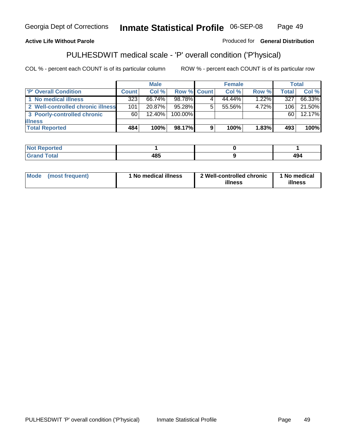### **Active Life Without Parole**

Produced for **General Distribution**

# PULHESDWIT medical scale - 'P' overall condition ('P'hysical)

|                                   |              | <b>Male</b> |                    |    | <b>Female</b> |          |              | <b>Total</b> |
|-----------------------------------|--------------|-------------|--------------------|----|---------------|----------|--------------|--------------|
| <b>P' Overall Condition</b>       | <b>Count</b> | Col%        | <b>Row % Count</b> |    | Col %         | Row %    | <b>Total</b> | Col %        |
| 1 No medical illness              | 323          | 66.74%      | 98.78%             |    | 44.44%        | $1.22\%$ | 327          | 66.33%       |
| 2 Well-controlled chronic illness | 101          | 20.87%      | 95.28%             | 5. | 55.56%        | 4.72%    | 106          | 21.50%       |
| 3 Poorly-controlled chronic       | 60           | $12.40\%$   | 100.00%            |    |               |          | 60           | 12.17%       |
| <b>illness</b>                    |              |             |                    |    |               |          |              |              |
| <b>Total Reported</b>             | 484          | 100%        | 98.17%             | 9  | 100%          | $1.83\%$ | 493          | 100%         |

| N<br>ויזי זי<br>$\cdots$ |                                     |     |
|--------------------------|-------------------------------------|-----|
|                          | .<br>-0-<br>$\cdot$ $\cdot$ $\cdot$ | 494 |

| 'No medical illness<br><b>Mode</b><br>(most frequent) | 2 Well-controlled chronic<br>illness | 1 No medical<br>illness |
|-------------------------------------------------------|--------------------------------------|-------------------------|
|-------------------------------------------------------|--------------------------------------|-------------------------|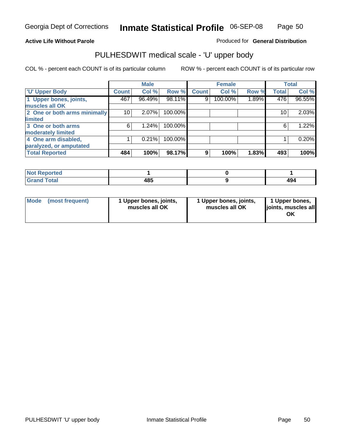#### **Active Life Without Parole**

Produced for **General Distribution**

### PULHESDWIT medical scale - 'U' upper body

|                              |                    | <b>Male</b> |         |              | <b>Female</b> |       |                 | <b>Total</b> |
|------------------------------|--------------------|-------------|---------|--------------|---------------|-------|-----------------|--------------|
| <b>U' Upper Body</b>         | Count <sup>1</sup> | Col %       | Row %   | <b>Count</b> | Col %         | Row % | <b>Total</b>    | Col %        |
| 1 Upper bones, joints,       | 467                | 96.49%      | 98.11%  | 9            | 100.00%       | 1.89% | 476             | 96.55%       |
| muscles all OK               |                    |             |         |              |               |       |                 |              |
| 2 One or both arms minimally | 10                 | 2.07%       | 100.00% |              |               |       | 10 <sub>1</sub> | 2.03%        |
| limited                      |                    |             |         |              |               |       |                 |              |
| 3 One or both arms           | 6                  | 1.24%       | 100.00% |              |               |       | 6               | 1.22%        |
| moderately limited           |                    |             |         |              |               |       |                 |              |
| 4 One arm disabled,          |                    | 0.21%       | 100.00% |              |               |       |                 | 0.20%        |
| paralyzed, or amputated      |                    |             |         |              |               |       |                 |              |
| <b>Total Reported</b>        | 484                | 100%        | 98.17%  | 9            | 100%          | 1.83% | 493             | 100%         |

| <b>Alax</b><br>norted<br>NOT |             |     |
|------------------------------|-------------|-----|
| <b>Total</b><br>------       | 10 E<br>48J | 494 |

|  | Mode (most frequent) | 1 Upper bones, joints,<br>muscles all OK | 1 Upper bones, joints,<br>muscles all OK | 1 Upper bones,<br>joints, muscles all<br>OK |
|--|----------------------|------------------------------------------|------------------------------------------|---------------------------------------------|
|--|----------------------|------------------------------------------|------------------------------------------|---------------------------------------------|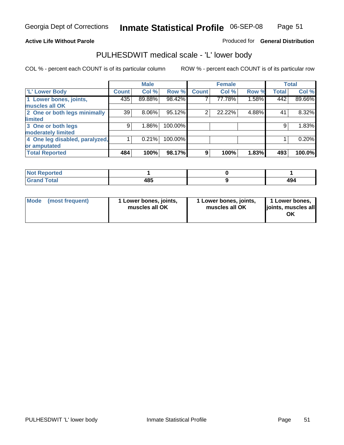#### **Active Life Without Parole**

#### Produced for **General Distribution**

### PULHESDWIT medical scale - 'L' lower body

|                                |       | <b>Male</b> |         |                | <b>Female</b> |       |              | <b>Total</b> |
|--------------------------------|-------|-------------|---------|----------------|---------------|-------|--------------|--------------|
| 'L' Lower Body                 | Count | Col %       | Row %   | <b>Count</b>   | Col %         | Row % | <b>Total</b> | Col %        |
| 1 Lower bones, joints,         | 435   | 89.88%      | 98.42%  |                | 77.78%        | 1.58% | 442          | 89.66%       |
| muscles all OK                 |       |             |         |                |               |       |              |              |
| 2 One or both legs minimally   | 39    | $8.06\%$    | 95.12%  | $\overline{2}$ | 22.22%        | 4.88% | 41           | 8.32%        |
| limited                        |       |             |         |                |               |       |              |              |
| 3 One or both legs             | 9     | 1.86%       | 100.00% |                |               |       | 9            | 1.83%        |
| moderately limited             |       |             |         |                |               |       |              |              |
| 4 One leg disabled, paralyzed, |       | 0.21%       | 100.00% |                |               |       |              | 0.20%        |
| or amputated                   |       |             |         |                |               |       |              |              |
| <b>Total Reported</b>          | 484   | 100%        | 98.17%  | 9              | 100%          | 1.83% | 493          | 100.0%       |

| <b>rted</b><br>N                     |             |  |
|--------------------------------------|-------------|--|
| $f \wedge f \wedge f'$<br>TOldi<br>. | 10 E<br>483 |  |

|  | Mode (most frequent) | 1 Lower bones, joints,<br>muscles all OK | 1 Lower bones, joints,<br>muscles all OK | 1 Lower bones,<br>joints, muscles all<br>OK |
|--|----------------------|------------------------------------------|------------------------------------------|---------------------------------------------|
|--|----------------------|------------------------------------------|------------------------------------------|---------------------------------------------|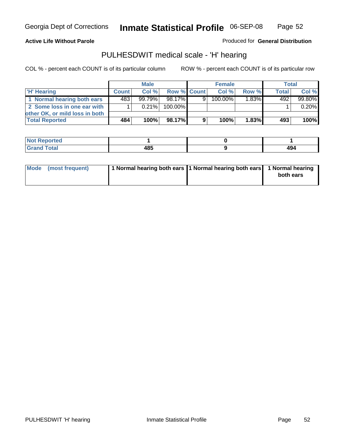Page 52

#### **Active Life Without Parole**

Produced for **General Distribution**

### PULHESDWIT medical scale - 'H' hearing

|                                | <b>Male</b>  |           |             | <b>Female</b> |            |                     | Total        |         |
|--------------------------------|--------------|-----------|-------------|---------------|------------|---------------------|--------------|---------|
| <b>H' Hearing</b>              | <b>Count</b> | Col%      | Row % Count |               | Col%       | Row %               | <b>Total</b> | Col %   |
| 1 Normal hearing both ears     | 483          | $99.79\%$ | 98.17%      | 9             | $100.00\%$ | $1.\overline{83\%}$ | 492          | 99.80%  |
| 2 Some loss in one ear with    |              | $0.21\%$  | 100.00%     |               |            |                     |              | 0.20%   |
| other OK, or mild loss in both |              |           |             |               |            |                     |              |         |
| <b>Total Reported</b>          | 484 !        | 100%      | 98.17%I     | 9             | 100%       | 1.83%               | 493          | $100\%$ |

| N<br>тео    |                         |      |
|-------------|-------------------------|------|
| ------      | .                       | 10 A |
| ----- ----- | $\cdot$ $\cdot$ $\cdot$ | 474  |

| Mode (most frequent) | 1 Normal hearing both ears 1 Normal hearing both ears 1 Normal hearing | both ears |
|----------------------|------------------------------------------------------------------------|-----------|
|                      |                                                                        |           |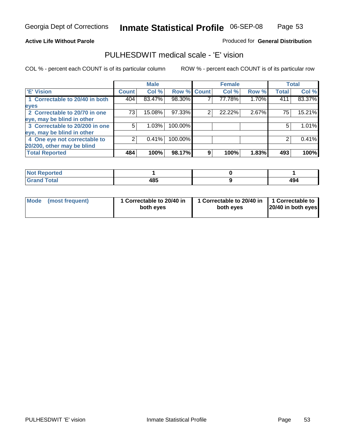Page 53

#### **Active Life Without Parole**

#### Produced for **General Distribution**

### PULHESDWIT medical scale - 'E' vision

|                                |              | <b>Male</b> |                    |   | <b>Female</b> |       |              | <b>Total</b> |
|--------------------------------|--------------|-------------|--------------------|---|---------------|-------|--------------|--------------|
| 'E' Vision                     | <b>Count</b> | Col %       | <b>Row % Count</b> |   | Col %         | Row % | <b>Total</b> | Col %        |
| 1 Correctable to 20/40 in both | 404          | 83.47%      | 98.30%             |   | 77.78%        | 1.70% | 411          | 83.37%       |
| eyes                           |              |             |                    |   |               |       |              |              |
| 2 Correctable to 20/70 in one  | 73           | 15.08%      | 97.33%             | 2 | 22.22%        | 2.67% | 75           | 15.21%       |
| eye, may be blind in other     |              |             |                    |   |               |       |              |              |
| 3 Correctable to 20/200 in one | 5            | 1.03%       | 100.00%            |   |               |       | 5            | 1.01%        |
| eye, may be blind in other     |              |             |                    |   |               |       |              |              |
| 4 One eye not correctable to   |              | 0.41%       | 100.00%            |   |               |       |              | 0.41%        |
| 20/200, other may be blind     |              |             |                    |   |               |       |              |              |
| <b>Total Reported</b>          | 484          | 100%        | 98.17%             | 9 | 100%          | 1.83% | 493          | 100%         |

| <b>Not Reported</b>  |     |     |
|----------------------|-----|-----|
| <b>Total</b><br>Cron | 485 | 494 |

| Mode (most frequent) | 1 Correctable to 20/40 in<br>both eves | 1 Correctable to 20/40 in   1 Correctable to  <br>both eves | 20/40 in both eyes |
|----------------------|----------------------------------------|-------------------------------------------------------------|--------------------|
|----------------------|----------------------------------------|-------------------------------------------------------------|--------------------|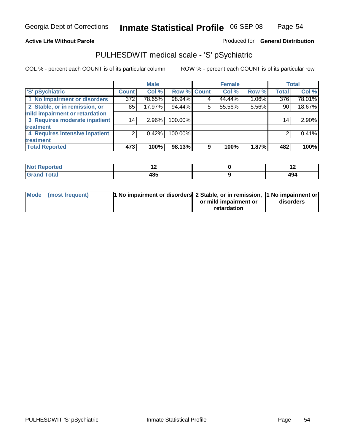#### **Active Life Without Parole**

### Produced for **General Distribution**

### PULHESDWIT medical scale - 'S' pSychiatric

|                                |              | <b>Male</b> |             |   | <b>Female</b> |       |                  | <b>Total</b> |
|--------------------------------|--------------|-------------|-------------|---|---------------|-------|------------------|--------------|
| 'S' pSychiatric                | <b>Count</b> | Col %       | Row % Count |   | Col %         | Row % | <b>Total</b>     | Col %        |
| 1 No impairment or disorders   | 372          | 78.65%      | 98.94%      |   | 44.44%        | 1.06% | $\overline{376}$ | 78.01%       |
| 2 Stable, or in remission, or  | 85           | 17.97%      | 94.44%      | 5 | 55.56%        | 5.56% | 90               | 18.67%       |
| mild impairment or retardation |              |             |             |   |               |       |                  |              |
| 3 Requires moderate inpatient  | 14           | $2.96\%$    | 100.00%     |   |               |       | 14               | $2.90\%$     |
| treatment                      |              |             |             |   |               |       |                  |              |
| 4 Requires intensive inpatient |              | $0.42\%$    | 100.00%     |   |               |       |                  | 0.41%        |
| treatment                      |              |             |             |   |               |       |                  |              |
| <b>Total Reported</b>          | 473          | 100%        | 98.13%      | 9 | 100%          | 1.87% | 482              | 100%         |

| orted        | . .         | $\cdot$ $\sim$ |
|--------------|-------------|----------------|
| <b>Total</b> | 40 E<br>40J | ، Λ<br>т.      |

| Mode (most frequent) | 1 No impairment or disorders 2 Stable, or in remission, 11 No impairment or |                       |           |
|----------------------|-----------------------------------------------------------------------------|-----------------------|-----------|
|                      |                                                                             | or mild impairment or | disorders |
|                      |                                                                             | retardation           |           |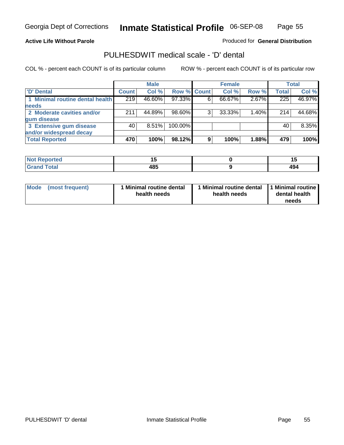Page 55

#### **Active Life Without Parole**

Produced for **General Distribution**

### PULHESDWIT medical scale - 'D' dental

|                                 |       | <b>Male</b> |             |   | <b>Female</b> |       |              | <b>Total</b> |
|---------------------------------|-------|-------------|-------------|---|---------------|-------|--------------|--------------|
| <b>D'</b> Dental                | Count | Col %       | Row % Count |   | Col %         | Row % | <b>Total</b> | Col %        |
| 1 Minimal routine dental health | 219   | 46.60%      | 97.33%      |   | 66.67%        | 2.67% | 225          | 46.97%       |
| <b>needs</b>                    |       |             |             |   |               |       |              |              |
| 2 Moderate cavities and/or      | 211   | 44.89%      | 98.60%      |   | 33.33%        | 1.40% | 214          | 44.68%       |
| gum disease                     |       |             |             |   |               |       |              |              |
| 3 Extensive gum disease         | 40    | $8.51\%$    | 100.00%     |   |               |       | 40           | 8.35%        |
| and/or widespread decay         |       |             |             |   |               |       |              |              |
| <b>Total Reported</b>           | 470   | 100%        | 98.12%      | 9 | 100%          | 1.88% | 479          | 100%         |

| <b><i>Charles College College College College</i></b><br>тео<br>N | . .<br>$-$       |           |
|-------------------------------------------------------------------|------------------|-----------|
|                                                                   | 10 C<br>טד<br>__ | 40<br>474 |

| Mode (most frequent) | <b>Minimal routine dental</b><br>health needs | 1 Minimal routine dental<br>health needs | 1 Minimal routine<br>dental health<br>needs |
|----------------------|-----------------------------------------------|------------------------------------------|---------------------------------------------|
|----------------------|-----------------------------------------------|------------------------------------------|---------------------------------------------|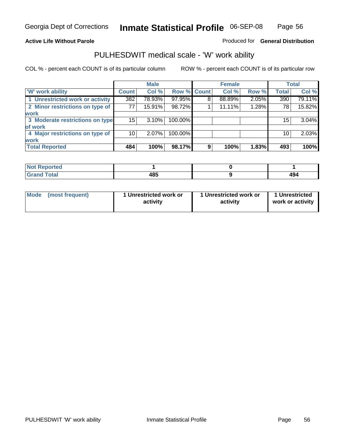#### **Active Life Without Parole**

#### Produced for **General Distribution**

### PULHESDWIT medical scale - 'W' work ability

|                                 |                 | <b>Male</b> |             |   | <b>Female</b> |       |              | <b>Total</b> |
|---------------------------------|-----------------|-------------|-------------|---|---------------|-------|--------------|--------------|
| <b>W' work ability</b>          | <b>Count</b>    | Col %       | Row % Count |   | Col %         | Row % | <b>Total</b> | Col %        |
| 1 Unrestricted work or activity | 382             | 78.93%      | 97.95%      | 8 | 88.89%        | 2.05% | 390          | 79.11%       |
| 2 Minor restrictions on type of | 77              | 15.91%      | 98.72%      |   | 11.11%        | 1.28% | 78           | 15.82%       |
| work                            |                 |             |             |   |               |       |              |              |
| 3 Moderate restrictions on type | 15 <sup>1</sup> | $3.10\%$    | 100.00%     |   |               |       | 15           | 3.04%        |
| of work                         |                 |             |             |   |               |       |              |              |
| 4 Major restrictions on type of | 10              | $2.07\%$    | 100.00%     |   |               |       | 10           | 2.03%        |
| <b>work</b>                     |                 |             |             |   |               |       |              |              |
| <b>Total Reported</b>           | 484             | 100%        | 98.17%      | 9 | 100%          | 1.83% | 493          | 100%         |

| $^{\circ}$ Not $\mathbf{F}$<br><b>Reported</b> |      |     |
|------------------------------------------------|------|-----|
| Total                                          | 10 C | ٬۸  |
| C-rs                                           | 403  | 434 |

| Mode | (most frequent) | 1 Unrestricted work or<br>activity | 1 Unrestricted work or<br>activity | 1 Unrestricted<br>work or activity |
|------|-----------------|------------------------------------|------------------------------------|------------------------------------|
|      |                 |                                    |                                    |                                    |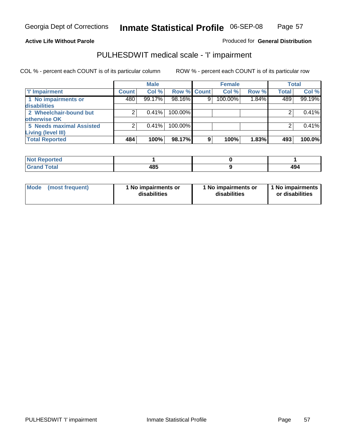Page 57

#### **Active Life Without Parole**

#### Produced for **General Distribution**

### PULHESDWIT medical scale - 'I' impairment

|                                 |              | <b>Male</b> |                    |   | <b>Female</b> |       |              | <b>Total</b> |
|---------------------------------|--------------|-------------|--------------------|---|---------------|-------|--------------|--------------|
| <b>T' Impairment</b>            | <b>Count</b> | Col %       | <b>Row % Count</b> |   | Col%          | Row % | <b>Total</b> | Col %        |
| 1 No impairments or             | 480          | 99.17%      | 98.16%             | 9 | 100.00%       | 1.84% | 489          | 99.19%       |
| disabilities                    |              |             |                    |   |               |       |              |              |
| 2 Wheelchair-bound but          |              | 0.41%       | 100.00%            |   |               |       |              | 0.41%        |
| otherwise OK                    |              |             |                    |   |               |       |              |              |
| <b>5 Needs maximal Assisted</b> | 2            | 0.41%       | 100.00%            |   |               |       |              | 0.41%        |
| <b>Living (level III)</b>       |              |             |                    |   |               |       |              |              |
| <b>Total Reported</b>           | 484          | 100%        | 98.17%             | 9 | 100%          | 1.83% | 493          | 100.0%       |

| ported<br><b>NOT</b><br>$\sim$                   |     |            |
|--------------------------------------------------|-----|------------|
| hat<br>$\sim$ $\sim$ $\sim$ $\sim$ $\sim$ $\sim$ | 485 | 43<br>$ -$ |

| Mode            | 1 No impairments or | 1 No impairments or | 1 No impairments |
|-----------------|---------------------|---------------------|------------------|
| (most frequent) | disabilities        | disabilities        | or disabilities  |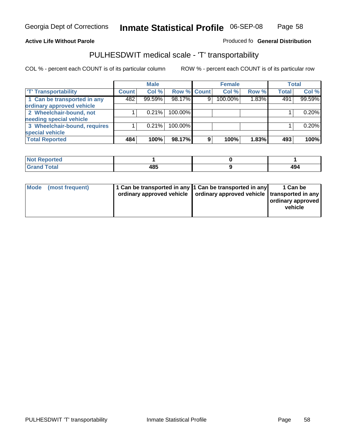#### **Inmate Statistical Profile** 06-SEP-08 Page Page 58

### **Active Life Without Parole Produced fo Seneral Distribution**

### PULHESDWIT medical scale - 'T' transportability

|                              |              | <b>Male</b> |             |                | <b>Female</b> |       |              | <b>Total</b> |
|------------------------------|--------------|-------------|-------------|----------------|---------------|-------|--------------|--------------|
| <b>T' Transportability</b>   | <b>Count</b> | Col %       | Row % Count |                | Col %         | Row % | <b>Total</b> | Col %        |
| 1 Can be transported in any  | 482          | 99.59%      | 98.17%      | 9 <sub>1</sub> | 100.00%       | 1.83% | 491          | 99.59%       |
| ordinary approved vehicle    |              |             |             |                |               |       |              |              |
| 2 Wheelchair-bound, not      |              | 0.21%       | 100.00%     |                |               |       |              | 0.20%        |
| needing special vehicle      |              |             |             |                |               |       |              |              |
| 3 Wheelchair-bound, requires |              | 0.21%       | 100.00%     |                |               |       |              | 0.20%        |
| special vehicle              |              |             |             |                |               |       |              |              |
| <b>Total Reported</b>        | 484          | 100%        | 98.17%      | 9              | 100%          | 1.83% | 493          | 100%         |

| <b>Not</b><br><b>Reported</b> |     |     |
|-------------------------------|-----|-----|
| <b>Total</b>                  | 485 | 494 |

| Mode (most frequent) | 1 Can be transported in any 1 Can be transported in any | ordinary approved vehicle   ordinary approved vehicle   transported in any | 1 Can be<br>  ordinary approved  <br>vehicle |
|----------------------|---------------------------------------------------------|----------------------------------------------------------------------------|----------------------------------------------|
|----------------------|---------------------------------------------------------|----------------------------------------------------------------------------|----------------------------------------------|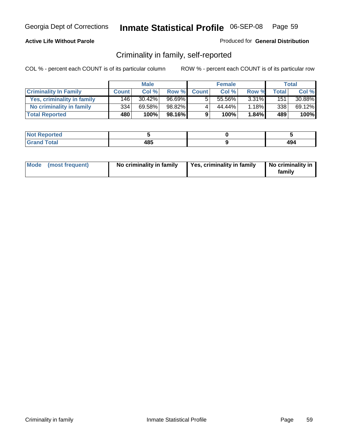#### **Active Life Without Parole**

#### Produced for **General Distribution**

### Criminality in family, self-reported

|                              | <b>Male</b>  |           | <b>Female</b> |              |        | Total    |       |        |
|------------------------------|--------------|-----------|---------------|--------------|--------|----------|-------|--------|
| <b>Criminality In Family</b> | <b>Count</b> | Col %     | Row %         | <b>Count</b> | Col %  | Row %    | Total | Col %  |
| Yes, criminality in family   | 146          | $30.42\%$ | 96.69%        |              | 55.56% | $3.31\%$ | 151   | 30.88% |
| No criminality in family     | 334          | 69.58%    | 98.82%        | 4            | 44.44% | $1.18\%$ | 3381  | 69.12% |
| <b>Total Reported</b>        | 480          | 100%      | 98.16%        | 9            | 100%   | $1.84\%$ | 489   | 100%   |

| oorted<br><b>NOT</b><br><b>IJCI</b> |     |     |
|-------------------------------------|-----|-----|
| $\sim$<br>Grar<br>---               | 185 | 494 |

|  | Mode (most frequent) | No criminality in family | Yes, criminality in family | No criminality in<br>family |
|--|----------------------|--------------------------|----------------------------|-----------------------------|
|--|----------------------|--------------------------|----------------------------|-----------------------------|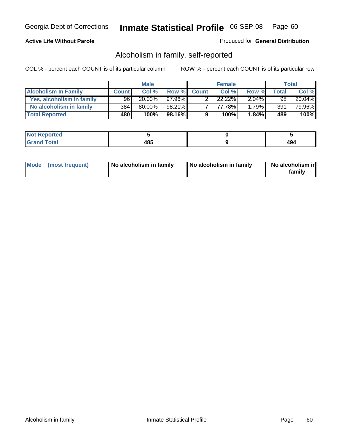#### **Active Life Without Parole**

#### Produced for **General Distribution**

### Alcoholism in family, self-reported

|                             | <b>Male</b>  |           | <b>Female</b> |              |        | Total    |       |        |
|-----------------------------|--------------|-----------|---------------|--------------|--------|----------|-------|--------|
| <b>Alcoholism In Family</b> | <b>Count</b> | Col %     | Row %         | <b>Count</b> | Col %  | Row %    | Total | Col %  |
| Yes, alcoholism in family   | 96           | $20.00\%$ | $97.96\%$     |              | 22.22% | $2.04\%$ | 98    | 20.04% |
| No alcoholism in family     | 384          | 80.00%    | 98.21%        |              | 77.78% | $1.79\%$ | 391   | 79.96% |
| <b>Total Reported</b>       | 480          | 100%      | 98.16%        | 9            | 100%   | $1.84\%$ | 489   | 100%   |

| oorted<br><b>NOT</b><br><b>IVGI</b> |             |                       |
|-------------------------------------|-------------|-----------------------|
| Total<br>Grar<br>---                | 10 C<br>4໐ພ | $\overline{ }$<br>- 3 |

|  | Mode (most frequent) | No alcoholism in family | No alcoholism in family | No alcoholism in<br>family |
|--|----------------------|-------------------------|-------------------------|----------------------------|
|--|----------------------|-------------------------|-------------------------|----------------------------|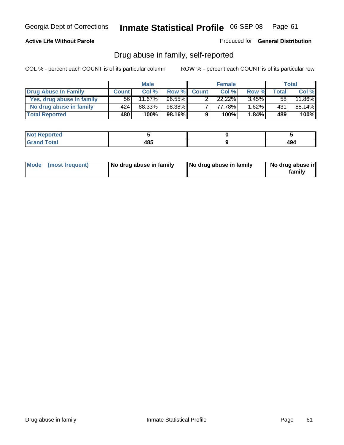#### **Active Life Without Parole**

Produced for **General Distribution**

### Drug abuse in family, self-reported

|                           | <b>Male</b>  |           | <b>Female</b> |              |           | <b>Total</b> |       |        |
|---------------------------|--------------|-----------|---------------|--------------|-----------|--------------|-------|--------|
| Drug Abuse In Family      | <b>Count</b> | Col %     | Row %         | <b>Count</b> | Col %     | Row %        | Total | Col %  |
| Yes, drug abuse in family | 56           | $11.67\%$ | $96.55\%$     | ົ            | $22.22\%$ | $3.45\%$     | 58    | 11.86% |
| No drug abuse in family   | 424          | 88.33%    | 98.38%        |              | 77.78%    | 1.62%        | 431   | 88.14% |
| <b>Total Reported</b>     | 480          | 100%      | 98.16%        | 9            | 100%      | $1.84\%$     | 489   | 100%   |

| <b>Not Reported</b> |             |  |
|---------------------|-------------|--|
| Гоtal<br>Grane      | 485<br>$ -$ |  |

|  | Mode (most frequent) | No drug abuse in family | No drug abuse in family | No drug abuse in<br>family |
|--|----------------------|-------------------------|-------------------------|----------------------------|
|--|----------------------|-------------------------|-------------------------|----------------------------|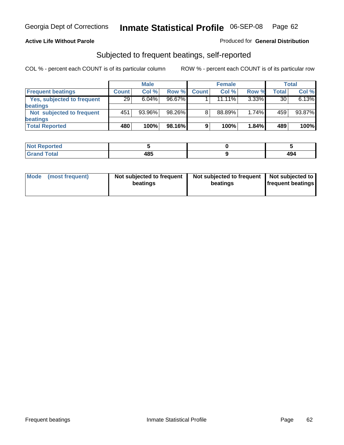#### **Active Life Without Parole**

#### Produced for **General Distribution**

### Subjected to frequent beatings, self-reported

|                            | <b>Male</b>  |          | <b>Female</b> |              |           | <b>Total</b> |       |        |
|----------------------------|--------------|----------|---------------|--------------|-----------|--------------|-------|--------|
| <b>Frequent beatings</b>   | <b>Count</b> | Col%     | Row %         | <b>Count</b> | Col%      | Row %        | Total | Col %  |
| Yes, subjected to frequent | 29           | $6.04\%$ | 96.67%        |              | $11.11\%$ | $3.33\%$     | 30    | 6.13%  |
| <b>beatings</b>            |              |          |               |              |           |              |       |        |
| Not subjected to frequent  | 451          | 93.96%   | 98.26%        | 8            | 88.89%    | 1.74%        | 459   | 93.87% |
| <b>beatings</b>            |              |          |               |              |           |              |       |        |
| <b>Total Reported</b>      | 480          | 100%     | 98.16%        | 9            | 100%      | 1.84%        | 489   | 100%   |

| Not Reported                  |     |                  |
|-------------------------------|-----|------------------|
| T <sub>ofol</sub><br>$C$ rons | 485 | $A\Omega$<br>474 |

| Mode<br>(most frequent) | beatings | Not subjected to frequent | Not subjected to frequent<br>beatings | Not subjected to<br><b>frequent beatings</b> |
|-------------------------|----------|---------------------------|---------------------------------------|----------------------------------------------|
|                         |          |                           |                                       |                                              |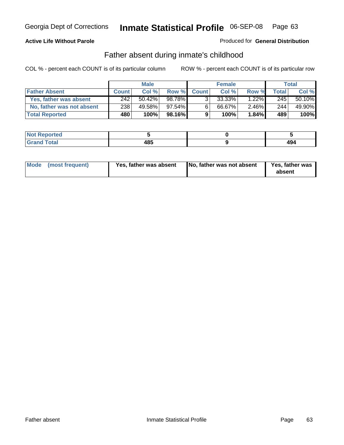#### **Active Life Without Parole**

#### Produced for **General Distribution**

### Father absent during inmate's childhood

|                           | <b>Male</b>  |           | <b>Female</b> |              |        | Total    |       |        |
|---------------------------|--------------|-----------|---------------|--------------|--------|----------|-------|--------|
| <b>Father Absent</b>      | <b>Count</b> | Col %     | Row %         | <b>Count</b> | Col %  | Row %    | Total | Col %  |
| Yes, father was absent    | 242          | $50.42\%$ | 98.78%        | 3.           | 33.33% | $1.22\%$ | 245   | 50.10% |
| No, father was not absent | 238          | 49.58%    | $97.54\%$     | 6            | 66.67% | $2.46\%$ | 244   | 49.90% |
| <b>Total Reported</b>     | 480          | 100%      | 98.16%        | 9            | 100%   | $1.84\%$ | 489   | 100%   |

| <b>Not Reported</b>   |     |            |
|-----------------------|-----|------------|
| <b>Total</b><br>Grano | 485 | 40.<br>434 |

|  | Mode (most frequent) | Yes, father was absent | No, father was not absent | Yes, father was<br>absent |
|--|----------------------|------------------------|---------------------------|---------------------------|
|--|----------------------|------------------------|---------------------------|---------------------------|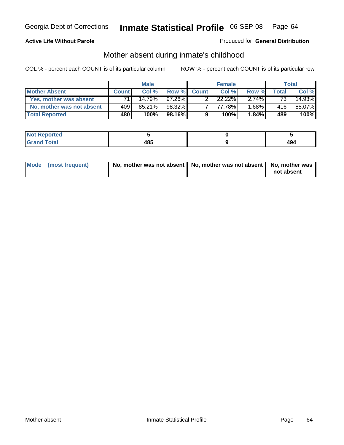#### **Active Life Without Parole**

#### Produced for **General Distribution**

# Mother absent during inmate's childhood

|                           | <b>Male</b>  |           | <b>Female</b> |              |           | Total    |       |        |
|---------------------------|--------------|-----------|---------------|--------------|-----------|----------|-------|--------|
| <b>Mother Absent</b>      | <b>Count</b> | Col %     | Row %         | <b>Count</b> | Col %     | Row %    | Total | Col %  |
| Yes, mother was absent    |              | 14.79%    | $97.26\%$     | ົ            | $22.22\%$ | 2.74%    | 73    | 14.93% |
| No, mother was not absent | 409          | $85.21\%$ | 98.32%        |              | 77.78%    | $1.68\%$ | 416   | 85.07% |
| <b>Total Reported</b>     | 480          | 100%      | 98.16%        | 9            | 100%      | 1.84%    | 489   | 100%   |

| <b>Not Reported</b> |      |                 |
|---------------------|------|-----------------|
| <b>Total</b>        | 10 E | $\overline{10}$ |
| Grano               | 4໐ພ  | - 7             |

| Mode (most frequent) | No, mother was not absent $\vert$ No, mother was not absent $\vert$ No, mother was | not absent |
|----------------------|------------------------------------------------------------------------------------|------------|
|                      |                                                                                    |            |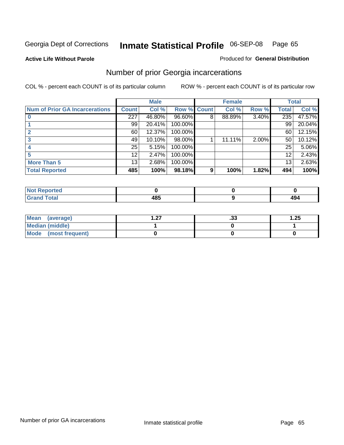**Active Life Without Parole** 

#### Produced for **General Distribution**

# Number of prior Georgia incarcerations

|                                       |                 | <b>Male</b> |                    |   | <b>Female</b> |          |       | <b>Total</b> |
|---------------------------------------|-----------------|-------------|--------------------|---|---------------|----------|-------|--------------|
| <b>Num of Prior GA Incarcerations</b> | <b>Count</b>    | Col %       | <b>Row % Count</b> |   | Col %         | Row %    | Total | Col %        |
|                                       | 227             | 46.80%      | 96.60%             | 8 | 88.89%        | 3.40%    | 235   | 47.57%       |
|                                       | 99              | 20.41%      | 100.00%            |   |               |          | 99    | 20.04%       |
|                                       | 60              | 12.37%      | 100.00%            |   |               |          | 60    | 12.15%       |
|                                       | 49              | 10.10%      | 98.00%             |   | 11.11%        | $2.00\%$ | 50    | 10.12%       |
|                                       | 25              | 5.15%       | 100.00%            |   |               |          | 25    | 5.06%        |
|                                       | 12 <sup>°</sup> | 2.47%       | 100.00%            |   |               |          | 12    | 2.43%        |
| <b>More Than 5</b>                    | 13 <sub>1</sub> | 2.68%       | 100.00%            |   |               |          | 13    | 2.63%        |
| <b>Total Reported</b>                 | 485             | 100%        | 98.18%             | 9 | 100%          | 1.82%    | 494   | 100%         |

| ا د د ک<br>≺eported⊦<br>NOT |         |     |
|-----------------------------|---------|-----|
| <b>otal</b><br>$\sim$ .     | <br>ıo. | 494 |

| Mean (average)       | - 27<br>. . <i>.</i> . | . JJ | 1.25 |
|----------------------|------------------------|------|------|
| Median (middle)      |                        |      |      |
| Mode (most frequent) |                        |      |      |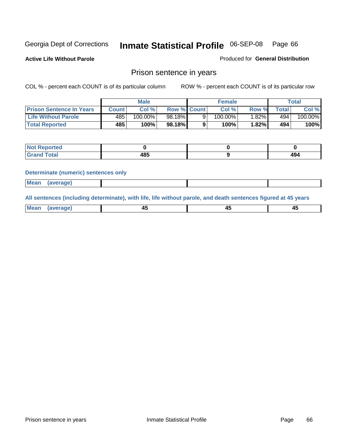**Active Life Without Parole** 

Produced for **General Distribution**

### Prison sentence in years

COL % - percent each COUNT is of its particular column ROW % - percent each COUNT is of its particular row

|                                 |        | Male       |                    | <b>Female</b> |       |             | Total   |
|---------------------------------|--------|------------|--------------------|---------------|-------|-------------|---------|
| <b>Prison Sentence In Years</b> | Count⊺ | Col %      | <b>Row % Count</b> | Col %         | Row % | $\tau$ otal | Col %   |
| <b>Life Without Parole</b>      | 485    | $100.00\%$ | 98.18%             | 100.00%       | ا%82. | 494         | 100.00% |
| <b>Total Reported</b>           | 485    | 100%       | 98.18%             | 100%          | 1.82% | 494         | 100%    |

| Reported                                |             |                             |
|-----------------------------------------|-------------|-----------------------------|
| <b>Total</b><br>Gra<br>$\mathbf{v}$ and | 10 E<br>403 | $\overline{A}$<br>--<br>Tv- |

#### **Determinate (numeric) sentences only**

| <b>Mean</b> | (average) |  |  |
|-------------|-----------|--|--|

**All sentences (including determinate), with life, life without parole, and death sentences figured at 45 years**

| Me:<br>апет<br>.<br>᠇<br>$\sim$ | -- | т.<br>$\sim$ |
|---------------------------------|----|--------------|
|---------------------------------|----|--------------|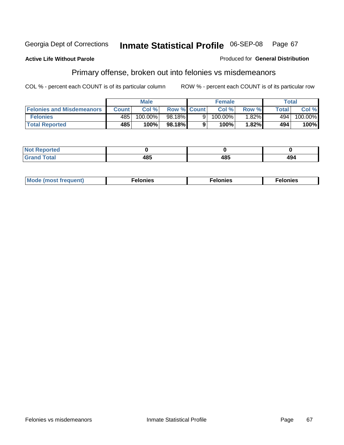#### **Active Life Without Parole**

#### Produced for **General Distribution**

# Primary offense, broken out into felonies vs misdemeanors

|                                  |         | <b>Male</b> |                    | <b>Female</b> |          | Total |         |
|----------------------------------|---------|-------------|--------------------|---------------|----------|-------|---------|
| <b>Felonies and Misdemeanors</b> | Count l | Col%        | <b>Row % Count</b> | Col%          | Row %    | Total | Col %   |
| <b>Felonies</b>                  | 485     | 100.00%     | 98.18%             | $100.00\%$    | $1.82\%$ | 494   | 100.00% |
| <b>Total Reported</b>            | 485     | 100%        | 98.18%I            | 100%          | .82%     | 494   | 100%    |

| <b>Not Reported</b> |     |      |     |
|---------------------|-----|------|-----|
| <b>Total</b>        | .   | 40 E | 494 |
| Grano               | .uJ | 10J  |     |

| M<br>$\cdots$<br>пю.<br>. | nies<br>. | . |
|---------------------------|-----------|---|
|---------------------------|-----------|---|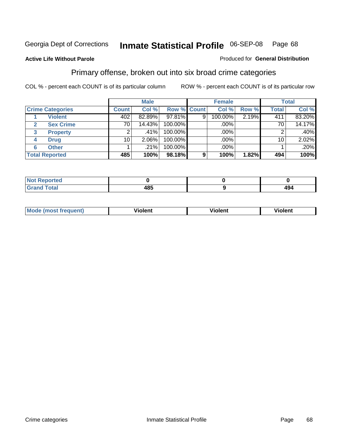**Active Life Without Parole** 

#### Produced for **General Distribution**

### Primary offense, broken out into six broad crime categories

|                         |              | <b>Male</b> |                    |   | <b>Female</b> |       |              | <b>Total</b> |
|-------------------------|--------------|-------------|--------------------|---|---------------|-------|--------------|--------------|
| <b>Crime Categories</b> | <b>Count</b> | Col %       | <b>Row % Count</b> |   | Col %         | Row % | <b>Total</b> | Col %        |
| <b>Violent</b>          | 402          | 82.89%      | 97.81%             | 9 | 100.00%       | 2.19% | 411          | 83.20%       |
| <b>Sex Crime</b>        | 70           | 14.43%      | 100.00%            |   | .00%          |       | 70           | 14.17%       |
| 3<br><b>Property</b>    | 2            | .41%        | 100.00%            |   | .00%          |       |              | $.40\%$      |
| <b>Drug</b><br>4        | 10           | $2.06\%$    | 100.00%            |   | .00%          |       | 10           | 2.02%        |
| <b>Other</b><br>6       |              | .21%        | 100.00%            |   | .00%          |       |              | .20%         |
| <b>Total Reported</b>   | 485          | 100%        | 98.18%             | 9 | 100%          | 1.82% | 494          | 100%         |

| <b>Reported</b><br><b>NOT</b><br>. |     |     |
|------------------------------------|-----|-----|
| <b>Total</b><br><b>C</b> Ho H      | 485 | 494 |

| Mo | n n | winlor" | ılen' |
|----|-----|---------|-------|
|    |     |         |       |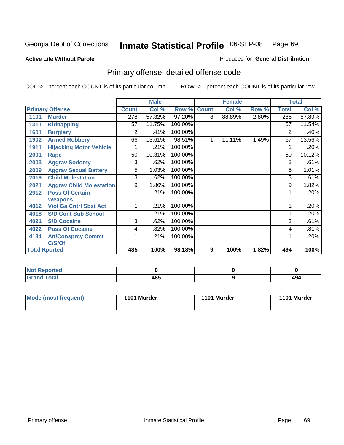#### **Active Life Without Parole**

#### Produced for **General Distribution**

# Primary offense, detailed offense code

|      |                                 |              | <b>Male</b> |         |              | <b>Female</b> |       |              | <b>Total</b> |
|------|---------------------------------|--------------|-------------|---------|--------------|---------------|-------|--------------|--------------|
|      | <b>Primary Offense</b>          | <b>Count</b> | Col %       | Row %   | <b>Count</b> | Col %         | Row % | <b>Total</b> | Col %        |
| 1101 | <b>Murder</b>                   | 278          | 57.32%      | 97.20%  | 8            | 88.89%        | 2.80% | 286          | 57.89%       |
| 1311 | <b>Kidnapping</b>               | 57           | 11.75%      | 100.00% |              |               |       | 57           | 11.54%       |
| 1601 | <b>Burglary</b>                 | 2            | .41%        | 100.00% |              |               |       | 2            | .40%         |
| 1902 | <b>Armed Robbery</b>            | 66           | 13.61%      | 98.51%  | 1            | 11.11%        | 1.49% | 67           | 13.56%       |
| 1911 | <b>Hijacking Motor Vehicle</b>  |              | .21%        | 100.00% |              |               |       |              | .20%         |
| 2001 | Rape                            | 50           | 10.31%      | 100.00% |              |               |       | 50           | 10.12%       |
| 2003 | <b>Aggrav Sodomy</b>            | 3            | .62%        | 100.00% |              |               |       | 3            | .61%         |
| 2009 | <b>Aggrav Sexual Battery</b>    | 5            | 1.03%       | 100.00% |              |               |       | 5            | 1.01%        |
| 2019 | <b>Child Molestation</b>        | 3            | .62%        | 100.00% |              |               |       | 3            | .61%         |
| 2021 | <b>Aggrav Child Molestation</b> | 9            | 1.86%       | 100.00% |              |               |       | 9            | 1.82%        |
| 2912 | <b>Poss Of Certain</b>          |              | .21%        | 100.00% |              |               |       |              | .20%         |
|      | <b>Weapons</b>                  |              |             |         |              |               |       |              |              |
| 4012 | <b>Viol Ga Cntrl Sbst Act</b>   |              | .21%        | 100.00% |              |               |       |              | .20%         |
| 4018 | <b>S/D Cont Sub School</b>      | 1            | .21%        | 100.00% |              |               |       |              | .20%         |
| 4021 | <b>S/D Cocaine</b>              | 3            | .62%        | 100.00% |              |               |       | 3            | .61%         |
| 4022 | <b>Poss Of Cocaine</b>          | 4            | .82%        | 100.00% |              |               |       | 4            | .81%         |
| 4134 | <b>Att/Consprcy Commt</b>       | 1            | .21%        | 100.00% |              |               |       | 1            | .20%         |
|      | C/S/Of                          |              |             |         |              |               |       |              |              |
|      | <b>Total Rported</b>            | 485          | 100%        | 98.18%  | 9            | 100%          | 1.82% | 494          | 100%         |

| <b>Not Reported</b> |              |               |
|---------------------|--------------|---------------|
| <b>Total</b>        | 1 O E<br>403 | 494<br>$\sim$ |

| Mode (most frequent) | 1101 Murder | 1101 Murder | 1101 Murder |
|----------------------|-------------|-------------|-------------|
|----------------------|-------------|-------------|-------------|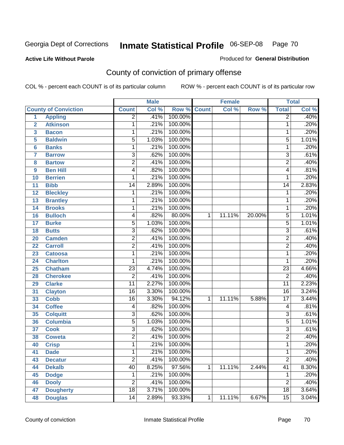#### **Active Life Without Parole**

### Produced for **General Distribution**

# County of conviction of primary offense

|                         |                             |                 | <b>Male</b> |             |              | <b>Female</b> |        |                 | <b>Total</b> |
|-------------------------|-----------------------------|-----------------|-------------|-------------|--------------|---------------|--------|-----------------|--------------|
|                         | <b>County of Conviction</b> | <b>Count</b>    | Col %       | Row % Count |              | Col %         | Row %  | <b>Total</b>    | Col %        |
| 1                       | <b>Appling</b>              | $\overline{2}$  | .41%        | 100.00%     |              |               |        | $\overline{2}$  | .40%         |
| $\overline{2}$          | <b>Atkinson</b>             | 1               | .21%        | 100.00%     |              |               |        | 1               | .20%         |
| $\overline{\mathbf{3}}$ | <b>Bacon</b>                | 1               | .21%        | 100.00%     |              |               |        | 1               | .20%         |
| 5                       | <b>Baldwin</b>              | $\overline{5}$  | 1.03%       | 100.00%     |              |               |        | 5               | 1.01%        |
| 6                       | <b>Banks</b>                | 1               | .21%        | 100.00%     |              |               |        | $\mathbf{1}$    | .20%         |
| $\overline{7}$          | <b>Barrow</b>               | $\overline{3}$  | .62%        | 100.00%     |              |               |        | $\overline{3}$  | .61%         |
| 8                       | <b>Bartow</b>               | $\overline{2}$  | .41%        | 100.00%     |              |               |        | $\overline{2}$  | .40%         |
| 9                       | <b>Ben Hill</b>             | 4               | .82%        | 100.00%     |              |               |        | 4               | .81%         |
| 10                      | <b>Berrien</b>              | 1               | .21%        | 100.00%     |              |               |        | 1               | .20%         |
| 11                      | <b>Bibb</b>                 | $\overline{14}$ | 2.89%       | 100.00%     |              |               |        | 14              | 2.83%        |
| 12                      | <b>Bleckley</b>             | 1               | .21%        | 100.00%     |              |               |        | 1               | .20%         |
| 13                      | <b>Brantley</b>             | 1               | .21%        | 100.00%     |              |               |        | 1               | .20%         |
| $\overline{14}$         | <b>Brooks</b>               | 1               | .21%        | 100.00%     |              |               |        | $\mathbf{1}$    | .20%         |
| 16                      | <b>Bulloch</b>              | 4               | .82%        | 80.00%      | 1            | 11.11%        | 20.00% | $\overline{5}$  | 1.01%        |
| 17                      | <b>Burke</b>                | $\overline{5}$  | 1.03%       | 100.00%     |              |               |        | $\overline{5}$  | 1.01%        |
| 18                      | <b>Butts</b>                | $\overline{3}$  | .62%        | 100.00%     |              |               |        | $\overline{3}$  | .61%         |
| 20                      | <b>Camden</b>               | $\overline{2}$  | .41%        | 100.00%     |              |               |        | $\overline{2}$  | .40%         |
| 22                      | <b>Carroll</b>              | $\overline{2}$  | .41%        | 100.00%     |              |               |        | $\overline{2}$  | .40%         |
| 23                      | <b>Catoosa</b>              | 1               | .21%        | 100.00%     |              |               |        | $\mathbf{1}$    | .20%         |
| 24                      | <b>Charlton</b>             | 1               | .21%        | 100.00%     |              |               |        | 1               | .20%         |
| 25                      | <b>Chatham</b>              | $\overline{23}$ | 4.74%       | 100.00%     |              |               |        | $\overline{23}$ | 4.66%        |
| 28                      | <b>Cherokee</b>             | $\overline{2}$  | .41%        | 100.00%     |              |               |        | $\overline{2}$  | .40%         |
| 29                      | <b>Clarke</b>               | $\overline{11}$ | 2.27%       | 100.00%     |              |               |        | $\overline{11}$ | 2.23%        |
| 31                      | <b>Clayton</b>              | $\overline{16}$ | 3.30%       | 100.00%     |              |               |        | $\overline{16}$ | 3.24%        |
| 33                      | <b>Cobb</b>                 | $\overline{16}$ | 3.30%       | 94.12%      | 1            | 11.11%        | 5.88%  | $\overline{17}$ | 3.44%        |
| 34                      | <b>Coffee</b>               | 4               | .82%        | 100.00%     |              |               |        | 4               | .81%         |
| 35                      | <b>Colquitt</b>             | $\overline{3}$  | .62%        | 100.00%     |              |               |        | $\overline{3}$  | .61%         |
| 36                      | <b>Columbia</b>             | $\overline{5}$  | 1.03%       | 100.00%     |              |               |        | $\overline{5}$  | 1.01%        |
| 37                      | <b>Cook</b>                 | $\overline{3}$  | .62%        | 100.00%     |              |               |        | $\overline{3}$  | .61%         |
| 38                      | <b>Coweta</b>               | $\overline{2}$  | .41%        | 100.00%     |              |               |        | $\overline{2}$  | .40%         |
| 40                      | <b>Crisp</b>                | 1               | .21%        | 100.00%     |              |               |        | 1               | .20%         |
| 41                      | <b>Dade</b>                 | 1               | .21%        | 100.00%     |              |               |        | 1               | .20%         |
| 43                      | <b>Decatur</b>              | $\overline{2}$  | .41%        | 100.00%     |              |               |        | $\overline{2}$  | .40%         |
| 44                      | <b>Dekalb</b>               | 40              | 8.25%       | 97.56%      | $\mathbf{1}$ | 11.11%        | 2.44%  | $\overline{41}$ | 8.30%        |
| 45                      | <b>Dodge</b>                | 1               | .21%        | 100.00%     |              |               |        | 1               | .20%         |
| 46                      | <b>Dooly</b>                | $\overline{2}$  | .41%        | 100.00%     |              |               |        | $\overline{2}$  | .40%         |
| 47                      | <b>Dougherty</b>            | $\overline{18}$ | 3.71%       | 100.00%     |              |               |        | $\overline{18}$ | 3.64%        |
| 48                      | <b>Douglas</b>              | 14              | 2.89%       | 93.33%      | $\mathbf{1}$ | 11.11%        | 6.67%  | $\overline{15}$ | 3.04%        |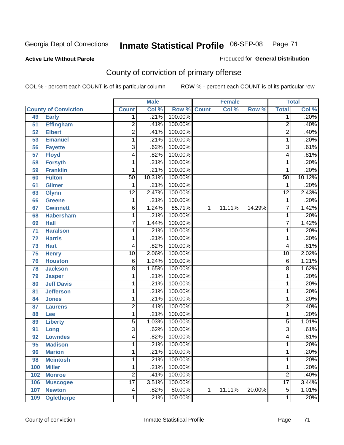**Active Life Without Parole** 

Produced for **General Distribution**

# County of conviction of primary offense

|                 |                             |                         | <b>Male</b> |                    |   | <b>Female</b> |        |                 | <b>Total</b> |
|-----------------|-----------------------------|-------------------------|-------------|--------------------|---|---------------|--------|-----------------|--------------|
|                 | <b>County of Conviction</b> | <b>Count</b>            | Col %       | <b>Row % Count</b> |   | Col %         | Row %  | <b>Total</b>    | Col %        |
| 49              | <b>Early</b>                | 1                       | .21%        | 100.00%            |   |               |        | 1               | .20%         |
| 51              | <b>Effingham</b>            | $\overline{2}$          | .41%        | 100.00%            |   |               |        | $\overline{2}$  | .40%         |
| 52              | <b>Elbert</b>               | $\overline{2}$          | .41%        | 100.00%            |   |               |        | $\overline{2}$  | .40%         |
| 53              | <b>Emanuel</b>              | 1                       | .21%        | 100.00%            |   |               |        | 1               | .20%         |
| 56              | <b>Fayette</b>              | 3                       | .62%        | 100.00%            |   |               |        | $\overline{3}$  | .61%         |
| $\overline{57}$ | <b>Floyd</b>                | 4                       | .82%        | 100.00%            |   |               |        | 4               | .81%         |
| 58              | <b>Forsyth</b>              | 1                       | .21%        | 100.00%            |   |               |        | 1               | .20%         |
| 59              | <b>Franklin</b>             | 1                       | .21%        | 100.00%            |   |               |        | 1               | .20%         |
| 60              | <b>Fulton</b>               | 50                      | 10.31%      | 100.00%            |   |               |        | $\overline{50}$ | 10.12%       |
| 61              | Gilmer                      | 1                       | .21%        | 100.00%            |   |               |        | 1               | .20%         |
| 63              | <b>Glynn</b>                | $\overline{12}$         | 2.47%       | 100.00%            |   |               |        | $\overline{12}$ | 2.43%        |
| 66              | <b>Greene</b>               | 1                       | .21%        | 100.00%            |   |               |        | 1               | .20%         |
| 67              | <b>Gwinnett</b>             | 6                       | 1.24%       | 85.71%             | 1 | 11.11%        | 14.29% | $\overline{7}$  | 1.42%        |
| 68              | <b>Habersham</b>            | 1                       | .21%        | 100.00%            |   |               |        | 1               | .20%         |
| 69              | <b>Hall</b>                 | 7                       | 1.44%       | 100.00%            |   |               |        | 7               | 1.42%        |
| 71              | <b>Haralson</b>             | 1                       | .21%        | 100.00%            |   |               |        | 1               | .20%         |
| 72              | <b>Harris</b>               | 1                       | .21%        | 100.00%            |   |               |        | 1               | .20%         |
| 73              | <b>Hart</b>                 | 4                       | .82%        | 100.00%            |   |               |        | 4               | .81%         |
| 75              | <b>Henry</b>                | $\overline{10}$         | 2.06%       | 100.00%            |   |               |        | 10              | 2.02%        |
| 76              | <b>Houston</b>              | 6                       | 1.24%       | 100.00%            |   |               |        | 6               | 1.21%        |
| 78              | <b>Jackson</b>              | 8                       | 1.65%       | 100.00%            |   |               |        | 8               | 1.62%        |
| 79              | <b>Jasper</b>               | 1                       | .21%        | 100.00%            |   |               |        | 1               | .20%         |
| 80              | <b>Jeff Davis</b>           | 1                       | .21%        | 100.00%            |   |               |        | 1               | .20%         |
| 81              | <b>Jefferson</b>            | 1                       | .21%        | 100.00%            |   |               |        | 1               | .20%         |
| 84              | <b>Jones</b>                | 1                       | .21%        | 100.00%            |   |               |        | 1               | .20%         |
| 87              | <b>Laurens</b>              | $\overline{2}$          | .41%        | 100.00%            |   |               |        | $\overline{2}$  | .40%         |
| 88              | Lee                         | 1                       | .21%        | 100.00%            |   |               |        | 1               | .20%         |
| 89              | <b>Liberty</b>              | 5                       | 1.03%       | 100.00%            |   |               |        | 5               | 1.01%        |
| 91              | Long                        | 3                       | .62%        | 100.00%            |   |               |        | 3               | .61%         |
| 92              | <b>Lowndes</b>              | 4                       | .82%        | 100.00%            |   |               |        | 4               | .81%         |
| 95              | <b>Madison</b>              | 1                       | .21%        | 100.00%            |   |               |        | 1               | .20%         |
| 96              | <b>Marion</b>               | 1                       | .21%        | 100.00%            |   |               |        | 1               | .20%         |
| 98              | <b>Mcintosh</b>             | 1                       | .21%        | 100.00%            |   |               |        | 1               | .20%         |
| 100             | <b>Miller</b>               | 1                       | .21%        | 100.00%            |   |               |        | 1               | .20%         |
| 102             | <b>Monroe</b>               | $\overline{2}$          | .41%        | 100.00%            |   |               |        | $\overline{2}$  | .40%         |
| 106             | <b>Muscogee</b>             | $\overline{17}$         | 3.51%       | 100.00%            |   |               |        | $\overline{17}$ | 3.44%        |
| 107             | <b>Newton</b>               | $\overline{\mathbf{4}}$ | .82%        | 80.00%             | 1 | 11.11%        | 20.00% | $\overline{5}$  | 1.01%        |
| 109             | <b>Oglethorpe</b>           | 1                       | .21%        | 100.00%            |   |               |        | 1               | .20%         |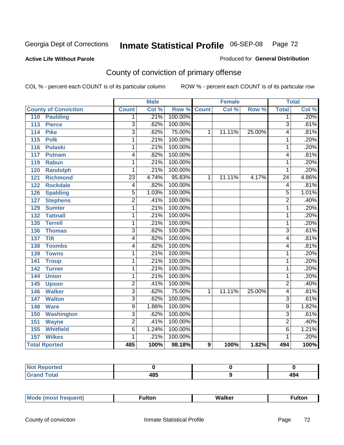#### **Active Life Without Parole**

#### Produced for **General Distribution**

# County of conviction of primary offense

|                                     |                 | <b>Male</b> |                    |   | <b>Female</b> |        |                 | <b>Total</b>       |
|-------------------------------------|-----------------|-------------|--------------------|---|---------------|--------|-----------------|--------------------|
| <b>County of Conviction</b>         | <b>Count</b>    | Col %       | <b>Row % Count</b> |   | Col %         | Row %  | <b>Total</b>    | Col %              |
| 110<br><b>Paulding</b>              | 1               | .21%        | 100.00%            |   |               |        | $\overline{1}$  | .20%               |
| $\overline{113}$<br><b>Pierce</b>   | $\overline{3}$  | .62%        | 100.00%            |   |               |        | $\overline{3}$  | .61%               |
| <b>Pike</b><br>114                  | $\overline{3}$  | .62%        | 75.00%             | 1 | 11.11%        | 25.00% | 4               | .81%               |
| 115<br><b>Polk</b>                  | 1               | .21%        | 100.00%            |   |               |        | 1               | .20%               |
| <b>Pulaski</b><br>116               | 1               | .21%        | 100.00%            |   |               |        | $\mathbf{1}$    | .20%               |
| 117<br><b>Putnam</b>                | 4               | .82%        | 100.00%            |   |               |        | 4               | .81%               |
| 119<br><b>Rabun</b>                 | 1               | .21%        | 100.00%            |   |               |        | $\mathbf{1}$    | .20%               |
| <b>Randolph</b><br>120              | 1               | .21%        | 100.00%            |   |               |        | 1               | .20%               |
| $\overline{121}$<br><b>Richmond</b> | $\overline{23}$ | 4.74%       | 95.83%             | 1 | 11.11%        | 4.17%  | $\overline{24}$ | 4.86%              |
| <b>Rockdale</b><br>122              | 4               | .82%        | 100.00%            |   |               |        | 4               | .81%               |
| <b>Spalding</b><br>126              | $\overline{5}$  | 1.03%       | 100.00%            |   |               |        | $\overline{5}$  | 1.01%              |
| <b>Stephens</b><br>127              | $\overline{2}$  | .41%        | 100.00%            |   |               |        | $\overline{2}$  | .40%               |
| 129<br><b>Sumter</b>                | 1               | .21%        | 100.00%            |   |               |        | 1               | .20%               |
| 132<br><b>Tattnall</b>              | 1               | .21%        | 100.00%            |   |               |        | 1               | .20%               |
| <b>Terrell</b><br>135               | 1               | .21%        | 100.00%            |   |               |        | 1               | .20%               |
| 136<br><b>Thomas</b>                | $\overline{3}$  | .62%        | 100.00%            |   |               |        | $\overline{3}$  | .61%               |
| 137<br><b>Tift</b>                  | 4               | .82%        | 100.00%            |   |               |        | 4               | .81%               |
| <b>Toombs</b><br>138                | 4               | .82%        | 100.00%            |   |               |        | 4               | .81%               |
| 139<br><b>Towns</b>                 | 1               | .21%        | 100.00%            |   |               |        | $\mathbf{1}$    | .20%               |
| 141<br><b>Troup</b>                 | 1               | .21%        | 100.00%            |   |               |        | $\mathbf{1}$    | .20%               |
| 142<br><b>Turner</b>                | $\overline{1}$  | .21%        | 100.00%            |   |               |        | $\overline{1}$  | .20%               |
| <b>Union</b><br>144                 | 1               | .21%        | 100.00%            |   |               |        | $\mathbf{1}$    | .20%               |
| 145<br><b>Upson</b>                 | $\overline{2}$  | .41%        | 100.00%            |   |               |        | $\overline{2}$  | .40%               |
| 146<br><b>Walker</b>                | $\overline{3}$  | .62%        | 75.00%             | 1 | 11.11%        | 25.00% | 4               | .81%               |
| 147<br><b>Walton</b>                | $\overline{3}$  | .62%        | 100.00%            |   |               |        | 3               | .61%               |
| <b>Ware</b><br>148                  | $\overline{9}$  | 1.86%       | 100.00%            |   |               |        | 9               | 1.82%              |
| <b>Washington</b><br>150            | $\overline{3}$  | .62%        | 100.00%            |   |               |        | $\overline{3}$  | .61%               |
| 151<br><b>Wayne</b>                 | $\overline{2}$  | .41%        | 100.00%            |   |               |        | $\overline{2}$  | .40%               |
| <b>Whitfield</b><br>155             | 6               | 1.24%       | 100.00%            |   |               |        | 6               | 1.21%              |
| <b>Wilkes</b><br>157                | 1               | .21%        | 100.00%            |   |               |        | 1               | .20%               |
| <b>Total Rported</b>                | 485             | 100%        | 98.18%             | 9 | 100%          | 1.82%  | 494             | $\overline{100\%}$ |

| Reported<br>NOT F<br>. |     |            |
|------------------------|-----|------------|
| <b>Total</b>           | 485 | ،۵۸<br>474 |

| _____ |  | Мe | τοη<br>ur. | <b>Walker</b> | ultor |
|-------|--|----|------------|---------------|-------|
|-------|--|----|------------|---------------|-------|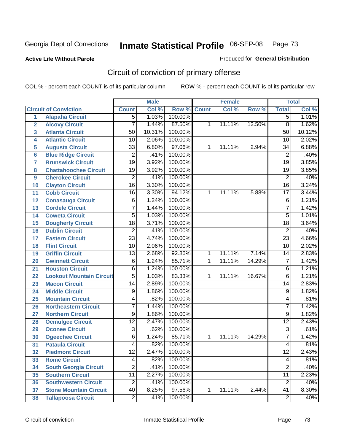### **Active Life Without Parole**

## Produced for **General Distribution**

# Circuit of conviction of primary offense

|                |                                 |                 | <b>Male</b> |         |              | <b>Female</b> |        |                 | <b>Total</b>               |
|----------------|---------------------------------|-----------------|-------------|---------|--------------|---------------|--------|-----------------|----------------------------|
|                | <b>Circuit of Conviction</b>    | <b>Count</b>    | Col %       | Row %   | <b>Count</b> | Col %         | Row %  | <b>Total</b>    | $\overline{\text{Col }^9}$ |
| 1              | <b>Alapaha Circuit</b>          | $\overline{5}$  | 1.03%       | 100.00% |              |               |        | 5               | 1.01%                      |
| $\overline{2}$ | <b>Alcovy Circuit</b>           | 7               | 1.44%       | 87.50%  | 1            | 11.11%        | 12.50% | $\overline{8}$  | 1.62%                      |
| 3              | <b>Atlanta Circuit</b>          | 50              | 10.31%      | 100.00% |              |               |        | 50              | 10.12%                     |
| 4              | <b>Atlantic Circuit</b>         | 10              | 2.06%       | 100.00% |              |               |        | $\overline{10}$ | 2.02%                      |
| 5              | <b>Augusta Circuit</b>          | 33              | 6.80%       | 97.06%  | 1            | 11.11%        | 2.94%  | 34              | 6.88%                      |
| $6\phantom{a}$ | <b>Blue Ridge Circuit</b>       | $\overline{2}$  | .41%        | 100.00% |              |               |        | $\overline{2}$  | .40%                       |
| $\overline{7}$ | <b>Brunswick Circuit</b>        | $\overline{19}$ | 3.92%       | 100.00% |              |               |        | $\overline{19}$ | 3.85%                      |
| 8              | <b>Chattahoochee Circuit</b>    | $\overline{19}$ | 3.92%       | 100.00% |              |               |        | $\overline{19}$ | 3.85%                      |
| 9              | <b>Cherokee Circuit</b>         | $\overline{2}$  | .41%        | 100.00% |              |               |        | $\overline{2}$  | .40%                       |
| 10             | <b>Clayton Circuit</b>          | $\overline{16}$ | 3.30%       | 100.00% |              |               |        | $\overline{16}$ | 3.24%                      |
| 11             | <b>Cobb Circuit</b>             | 16              | 3.30%       | 94.12%  | 1            | 11.11%        | 5.88%  | 17              | 3.44%                      |
| 12             | <b>Conasauga Circuit</b>        | 6               | 1.24%       | 100.00% |              |               |        | 6               | 1.21%                      |
| 13             | <b>Cordele Circuit</b>          | 7               | 1.44%       | 100.00% |              |               |        | 7               | 1.42%                      |
| 14             | <b>Coweta Circuit</b>           | $\overline{5}$  | 1.03%       | 100.00% |              |               |        | $\overline{5}$  | 1.01%                      |
| 15             | <b>Dougherty Circuit</b>        | $\overline{18}$ | 3.71%       | 100.00% |              |               |        | $\overline{18}$ | 3.64%                      |
| 16             | <b>Dublin Circuit</b>           | $\overline{2}$  | .41%        | 100.00% |              |               |        | $\overline{2}$  | .40%                       |
| 17             | <b>Eastern Circuit</b>          | $\overline{23}$ | 4.74%       | 100.00% |              |               |        | $\overline{23}$ | 4.66%                      |
| 18             | <b>Flint Circuit</b>            | $\overline{10}$ | 2.06%       | 100.00% |              |               |        | 10              | 2.02%                      |
| 19             | <b>Griffin Circuit</b>          | 13              | 2.68%       | 92.86%  | 1            | 11.11%        | 7.14%  | 14              | 2.83%                      |
| 20             | <b>Gwinnett Circuit</b>         | $\overline{6}$  | 1.24%       | 85.71%  | 1            | 11.11%        | 14.29% | $\overline{7}$  | 1.42%                      |
| 21             | <b>Houston Circuit</b>          | 6               | 1.24%       | 100.00% |              |               |        | 6               | 1.21%                      |
| 22             | <b>Lookout Mountain Circuit</b> | $\overline{5}$  | 1.03%       | 83.33%  | 1            | 11.11%        | 16.67% | 6               | 1.21%                      |
| 23             | <b>Macon Circuit</b>            | $\overline{14}$ | 2.89%       | 100.00% |              |               |        | $\overline{14}$ | 2.83%                      |
| 24             | <b>Middle Circuit</b>           | 9               | 1.86%       | 100.00% |              |               |        | $\overline{9}$  | 1.82%                      |
| 25             | <b>Mountain Circuit</b>         | 4               | .82%        | 100.00% |              |               |        | 4               | .81%                       |
| 26             | <b>Northeastern Circuit</b>     | 7               | 1.44%       | 100.00% |              |               |        | $\overline{7}$  | 1.42%                      |
| 27             | <b>Northern Circuit</b>         | 9               | 1.86%       | 100.00% |              |               |        | 9               | 1.82%                      |
| 28             | <b>Ocmulgee Circuit</b>         | $\overline{12}$ | 2.47%       | 100.00% |              |               |        | $\overline{12}$ | 2.43%                      |
| 29             | <b>Oconee Circuit</b>           | 3               | .62%        | 100.00% |              |               |        | $\overline{3}$  | .61%                       |
| 30             | <b>Ogeechee Circuit</b>         | $\overline{6}$  | 1.24%       | 85.71%  | 1            | 11.11%        | 14.29% | $\overline{7}$  | 1.42%                      |
| 31             | <b>Pataula Circuit</b>          | 4               | .82%        | 100.00% |              |               |        | 4               | .81%                       |
| 32             | <b>Piedmont Circuit</b>         | 12              | 2.47%       | 100.00% |              |               |        | $\overline{12}$ | 2.43%                      |
| 33             | <b>Rome Circuit</b>             | 4               | .82%        | 100.00% |              |               |        | 4               | .81%                       |
| 34             | <b>South Georgia Circuit</b>    | $\overline{2}$  | .41%        | 100.00% |              |               |        | $\overline{2}$  | .40%                       |
| 35             | <b>Southern Circuit</b>         | 11              | 2.27%       | 100.00% |              |               |        | $\overline{11}$ | 2.23%                      |
| 36             | <b>Southwestern Circuit</b>     | $\overline{2}$  | .41%        | 100.00% |              |               |        | $\overline{2}$  | .40%                       |
| 37             | <b>Stone Mountain Circuit</b>   | 40              | 8.25%       | 97.56%  | $\mathbf{1}$ | 11.11%        | 2.44%  | 41              | 8.30%                      |
| 38             | <b>Tallapoosa Circuit</b>       | $\overline{2}$  | .41%        | 100.00% |              |               |        | $\overline{2}$  | .40%                       |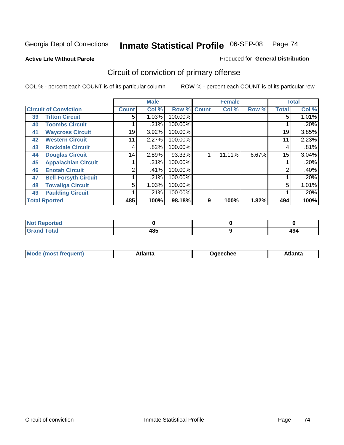#### **Active Life Without Parole**

#### Produced for **General Distribution**

# Circuit of conviction of primary offense

|                      |                              |              | <b>Male</b> |         |              | <b>Female</b> |       |              | <b>Total</b> |
|----------------------|------------------------------|--------------|-------------|---------|--------------|---------------|-------|--------------|--------------|
|                      | <b>Circuit of Conviction</b> | <b>Count</b> | Col %       | Row %   | <b>Count</b> | Col %         | Row % | <b>Total</b> | Col %        |
| 39                   | <b>Tifton Circuit</b>        | 5            | 1.03%       | 100.00% |              |               |       | 5            | 1.01%        |
| 40                   | <b>Toombs Circuit</b>        |              | .21%        | 100.00% |              |               |       |              | .20%         |
| 41                   | <b>Waycross Circuit</b>      | 19           | 3.92%       | 100.00% |              |               |       | 19           | 3.85%        |
| 42                   | <b>Western Circuit</b>       | 11           | 2.27%       | 100.00% |              |               |       | 11           | 2.23%        |
| 43                   | <b>Rockdale Circuit</b>      | 4            | .82%        | 100.00% |              |               |       | 4            | .81%         |
| 44                   | <b>Douglas Circuit</b>       | 14           | 2.89%       | 93.33%  |              | 11.11%        | 6.67% | 15           | 3.04%        |
| 45                   | <b>Appalachian Circuit</b>   |              | .21%        | 100.00% |              |               |       |              | .20%         |
| 46                   | <b>Enotah Circuit</b>        | ◠            | .41%        | 100.00% |              |               |       | 2            | .40%         |
| 47                   | <b>Bell-Forsyth Circuit</b>  |              | .21%        | 100.00% |              |               |       |              | .20%         |
| 48                   | <b>Towaliga Circuit</b>      | 5            | 1.03%       | 100.00% |              |               |       | 5            | 1.01%        |
| 49                   | <b>Paulding Circuit</b>      |              | .21%        | 100.00% |              |               |       |              | .20%         |
| <b>Total Rported</b> |                              | 485          | 100%        | 98.18%  | 9            | 100%          | 1.82% | 494          | 100%         |

| <b>eported</b><br>w |     |     |
|---------------------|-----|-----|
| <b>otal</b>         | 10E | 40. |
| $\sim$ .            | 403 | 4J  |

|  | M | *****<br>⊡alilu | chee | .<br>''ILC |
|--|---|-----------------|------|------------|
|--|---|-----------------|------|------------|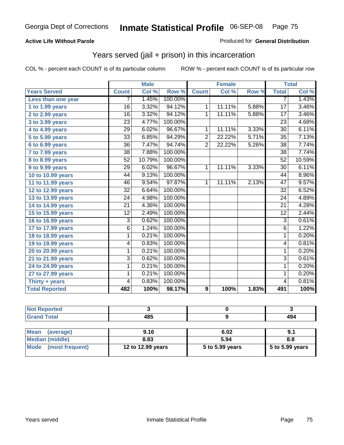### **Active Life Without Parole**

#### Produced for **General Distribution**

### Years served (jail + prison) in this incarceration

|                       |                 | <b>Male</b> |         |                | <b>Female</b> |       | <b>Total</b>    |        |
|-----------------------|-----------------|-------------|---------|----------------|---------------|-------|-----------------|--------|
| <b>Years Served</b>   | <b>Count</b>    | Col %       | Row %   | <b>Count</b>   | Col %         | Row % | <b>Total</b>    | Col %  |
| Less than one year    | 7               | 1.45%       | 100.00% |                |               |       | 7               | 1.43%  |
| 1 to 1.99 years       | 16              | 3.32%       | 94.12%  | 1              | 11.11%        | 5.88% | $\overline{17}$ | 3.46%  |
| 2 to 2.99 years       | $\overline{16}$ | 3.32%       | 94.12%  | $\mathbf{1}$   | 11.11%        | 5.88% | 17              | 3.46%  |
| 3 to 3.99 years       | $\overline{23}$ | 4.77%       | 100.00% |                |               |       | $\overline{23}$ | 4.68%  |
| 4 to 4.99 years       | $\overline{29}$ | 6.02%       | 96.67%  | 1              | 11.11%        | 3.33% | $\overline{30}$ | 6.11%  |
| 5 to 5.99 years       | 33              | 6.85%       | 94.29%  | $\overline{2}$ | 22.22%        | 5.71% | 35              | 7.13%  |
| 6 to 6.99 years       | $\overline{36}$ | 7.47%       | 94.74%  | $\overline{2}$ | 22.22%        | 5.26% | $\overline{38}$ | 7.74%  |
| 7 to 7.99 years       | $\overline{38}$ | 7.88%       | 100.00% |                |               |       | $\overline{38}$ | 7.74%  |
| 8 to 8.99 years       | 52              | 10.79%      | 100.00% |                |               |       | 52              | 10.59% |
| 9 to 9.99 years       | $\overline{29}$ | 6.02%       | 96.67%  | $\overline{1}$ | 11.11%        | 3.33% | $\overline{30}$ | 6.11%  |
| 10 to 10.99 years     | 44              | 9.13%       | 100.00% |                |               |       | 44              | 8.96%  |
| 11 to 11.99 years     | 46              | 9.54%       | 97.87%  | 1              | 11.11%        | 2.13% | 47              | 9.57%  |
| 12 to 12.99 years     | $\overline{32}$ | 6.64%       | 100.00% |                |               |       | $\overline{32}$ | 6.52%  |
| 13 to 13.99 years     | 24              | 4.98%       | 100.00% |                |               |       | 24              | 4.89%  |
| 14 to 14.99 years     | $\overline{21}$ | 4.36%       | 100.00% |                |               |       | $\overline{21}$ | 4.28%  |
| 15 to 15.99 years     | $\overline{12}$ | 2.49%       | 100.00% |                |               |       | $\overline{12}$ | 2.44%  |
| 16 to 16.99 years     | 3               | 0.62%       | 100.00% |                |               |       | $\overline{3}$  | 0.61%  |
| 17 to 17.99 years     | 6               | 1.24%       | 100.00% |                |               |       | $\overline{6}$  | 1.22%  |
| 18 to 18.99 years     | 1               | 0.21%       | 100.00% |                |               |       | $\mathbf{1}$    | 0.20%  |
| 19 to 19.99 years     | 4               | 0.83%       | 100.00% |                |               |       | 4               | 0.81%  |
| 20 to 20.99 years     | 1               | 0.21%       | 100.00% |                |               |       | $\mathbf{1}$    | 0.20%  |
| 21 to 21.99 years     | 3               | 0.62%       | 100.00% |                |               |       | $\overline{3}$  | 0.61%  |
| 24 to 24.99 years     | 1               | 0.21%       | 100.00% |                |               |       | 1               | 0.20%  |
| 27 to 27.99 years     | 1               | 0.21%       | 100.00% |                |               |       | 1               | 0.20%  |
| Thirty + years        | 4               | 0.83%       | 100.00% |                |               |       | $\overline{4}$  | 0.81%  |
| <b>Total Reported</b> | 482             | 100%        | 98.17%  | 9              | 100%          | 1.83% | 491             | 100%   |

| Reported |            |     |
|----------|------------|-----|
| Total    | 485<br>. . | 494 |

| <b>Mean</b><br>(average) | 9.16              | 6.02            | 9.1               |
|--------------------------|-------------------|-----------------|-------------------|
| Median (middle)          | 8.83              | 5.94            | 8.8               |
| Mode (most frequent)     | 12 to 12.99 years | 5 to 5.99 years | $5$ to 5.99 years |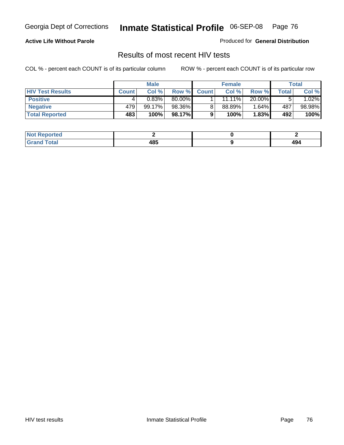### **Active Life Without Parole**

Produced for **General Distribution**

### Results of most recent HIV tests

|                         | <b>Male</b>  |        | <b>Female</b> |              |           | Total  |       |        |
|-------------------------|--------------|--------|---------------|--------------|-----------|--------|-------|--------|
| <b>HIV Test Results</b> | <b>Count</b> | Col %  | Row %I        | <b>Count</b> | Col %     | Row %  | Total | Col %  |
| <b>Positive</b>         |              | 0.83%  | 80.00%        |              | $11.11\%$ | 20.00% |       | 1.02%  |
| <b>Negative</b>         | 479          | 99.17% | 98.36%        |              | 88.89%    | 1.64%  | 487   | 98.98% |
| <b>Total Reported</b>   | 483          | 100%   | 98.17%        |              | 100%      | 1.83%  | 492   | 100%   |

| <b>Not Reported</b> |     |           |
|---------------------|-----|-----------|
| <b>Total</b><br>Gr< | 485 | 40<br>494 |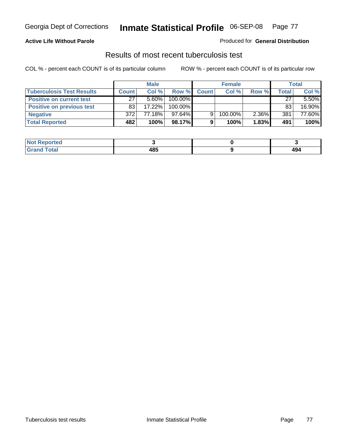### **Active Life Without Parole**

#### Produced for **General Distribution**

### Results of most recent tuberculosis test

|                                  | <b>Male</b>  |           | <b>Female</b> |              |         | <b>Total</b> |       |        |
|----------------------------------|--------------|-----------|---------------|--------------|---------|--------------|-------|--------|
| <b>Tuberculosis Test Results</b> | <b>Count</b> | Col %     | Row %         | <b>Count</b> | Col %   | Row %        | Total | Col %  |
| <b>Positive on current test</b>  | 27           | $5.60\%$  | 100.00%       |              |         |              | 27    | 5.50%  |
| <b>Positive on previous test</b> | 83           | $17.22\%$ | 100.00%       |              |         |              | 83    | 16.90% |
| <b>Negative</b>                  | 372          | 77.18%    | $97.64\%$     |              | 100.00% | 2.36%        | 381   | 77.60% |
| <b>Total Reported</b>            | 482          | 100%      | 98.17%        |              | 100%    | 1.83%        | 491   | 100%   |

| <b>Not</b><br><b>Reported</b> |     |     |
|-------------------------------|-----|-----|
| <b>Total</b>                  | 485 | 494 |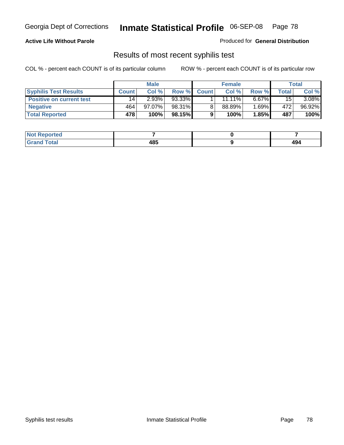### **Active Life Without Parole**

Produced for **General Distribution**

### Results of most recent syphilis test

|                                 | <b>Male</b>  |           | <b>Female</b> |              |           | Total    |        |        |
|---------------------------------|--------------|-----------|---------------|--------------|-----------|----------|--------|--------|
| <b>Syphilis Test Results</b>    | <b>Count</b> | Col %     | Row %         | <b>Count</b> | Col %     | Row %    | Total. | Col %  |
| <b>Positive on current test</b> | 14           | 2.93%     | 93.33%        |              | $11.11\%$ | $6.67\%$ | 15     | 3.08%  |
| <b>Negative</b>                 | 464          | $97.07\%$ | 98.31%        |              | 88.89%    | 1.69%∎   | 472    | 96.92% |
| <b>Total Reported</b>           | 478          | 100%      | 98.15%        |              | 100%      | 1.85%    | 487    | 100%   |

| <b>Not Reported</b> |     |            |
|---------------------|-----|------------|
| <b>Grand Total</b>  | 485 | 10.<br>474 |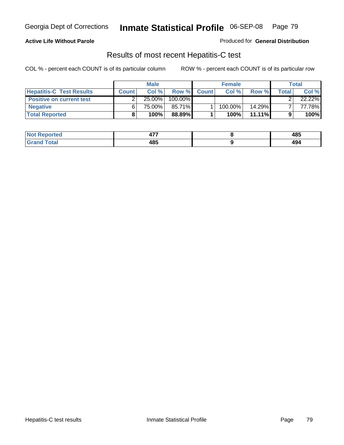### **Active Life Without Parole**

Produced for **General Distribution**

### Results of most recent Hepatitis-C test

|                                 |              | <b>Male</b> |         |              | <b>Female</b> |           |        | Total  |
|---------------------------------|--------------|-------------|---------|--------------|---------------|-----------|--------|--------|
| <b>Hepatitis-C Test Results</b> | <b>Count</b> | Col %       | Row %   | <b>Count</b> | Col %         | Row %     | Totall | Col %  |
| <b>Positive on current test</b> |              | $25.00\%$   | 100.00% |              |               |           |        | 22.22% |
| <b>Negative</b>                 |              | 75.00%      | 85.71%  |              | 100.00%       | $14.29\%$ |        | 77.78% |
| <b>Total Reported</b>           |              | 100%        | 88.89%  |              | 100%          | $11.11\%$ |        | 100%   |

| <b>Not Reported</b> | --- | 485 |
|---------------------|-----|-----|
| <b>Grand Total</b>  | 485 | 494 |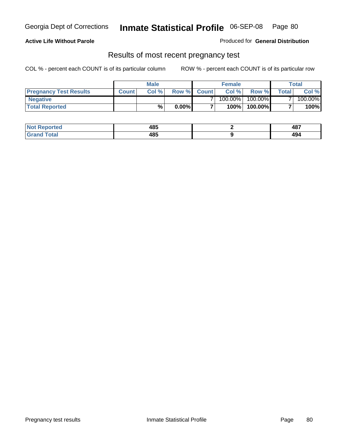#### **Active Life Without Parole**

Produced for **General Distribution**

### Results of most recent pregnancy test

|                               | <b>Male</b>  |      |          | <b>Female</b>  |            |         | <b>Total</b>   |         |
|-------------------------------|--------------|------|----------|----------------|------------|---------|----------------|---------|
| <b>Pregnancy Test Results</b> | <b>Count</b> | Col% | Row %    | <b>Count</b> Ⅰ | Col %      | Row %   | <b>Total</b> I | Col %   |
| <b>Negative</b>               |              |      |          |                | $100.00\%$ | 100.00% |                | 100.00% |
| <b>Total Reported</b>         |              | %    | $0.00\%$ |                | 100%       | 100.00% |                | 100%    |

| Not F<br>Reported       | 485 | 487                 |
|-------------------------|-----|---------------------|
| <b>Total</b><br>l Grand | 485 | $\mathbf{A}$<br>494 |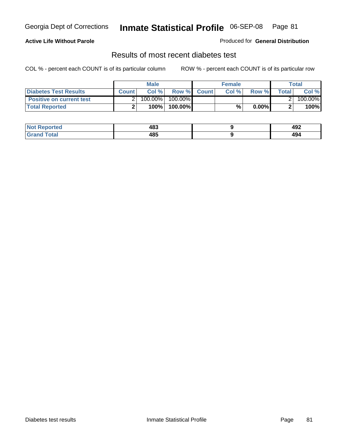### **Active Life Without Parole**

Produced for **General Distribution**

### Results of most recent diabetes test

|                                 |              | <b>Male</b> |                  | <b>Female</b> |          |       | Total   |
|---------------------------------|--------------|-------------|------------------|---------------|----------|-------|---------|
| <b>Diabetes Test Results</b>    | <b>Count</b> | Col %       | Row % Count      | Col %         | Row %    | Total | Col %   |
| <b>Positive on current test</b> |              | $100.00\%$  | 100.00% <b>I</b> |               |          |       | 100.00% |
| <b>Total Reported</b>           |              | $100\%$     | 100.00%          | %             | $0.00\%$ |       | 100%    |

| <b>eported</b> | 483 | 102<br>49∠<br>____ |
|----------------|-----|--------------------|
| <b>Total</b>   | 485 | "^'<br>494         |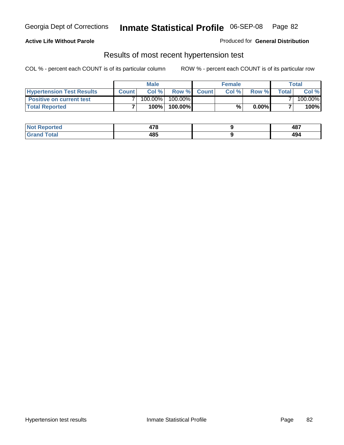#### **Active Life Without Parole**

#### Produced for **General Distribution**

### Results of most recent hypertension test

|                                  |              | <b>Male</b> |            |             | <b>Female</b> |          |        | Total   |
|----------------------------------|--------------|-------------|------------|-------------|---------------|----------|--------|---------|
| <b>Hypertension Test Results</b> | <b>Count</b> | Col %       |            | Row % Count | Col%          | Row %    | Totall | Col %   |
| <b>Positive on current test</b>  |              | 100.00%     | $100.00\%$ |             |               |          |        | 100.00% |
| <b>Total Reported</b>            |              | 100%        | 100.00%    |             | %,            | $0.00\%$ |        | 100%    |

| orted        | 470<br>47 C | 487        |
|--------------|-------------|------------|
| <b>Total</b> | 485         | "^'<br>474 |